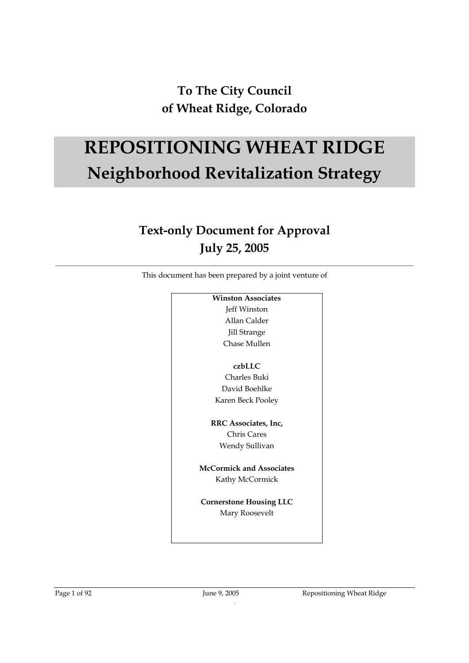## **To The City Council of Wheat Ridge, Colorado**

# **REPOSITIONING WHEAT RIDGE Neighborhood Revitalization Strategy**

# **Text-only Document for Approval July 25, 2005**

This document has been prepared by a joint venture of

| <b>Winston Associates</b>      |
|--------------------------------|
| Jeff Winston                   |
| Allan Calder                   |
| <b>Jill Strange</b>            |
| Chase Mullen                   |
| czbLLC                         |
| Charles Buki                   |
| David Boehlke                  |
| Karen Beck Pooley              |
| RRC Associates, Inc,           |
| Chris Cares                    |
| Wendy Sullivan                 |
| McCormick and Associates       |
| Kathy McCormick                |
| <b>Cornerstone Housing LLC</b> |
| Mary Roosevelt                 |
|                                |
|                                |

.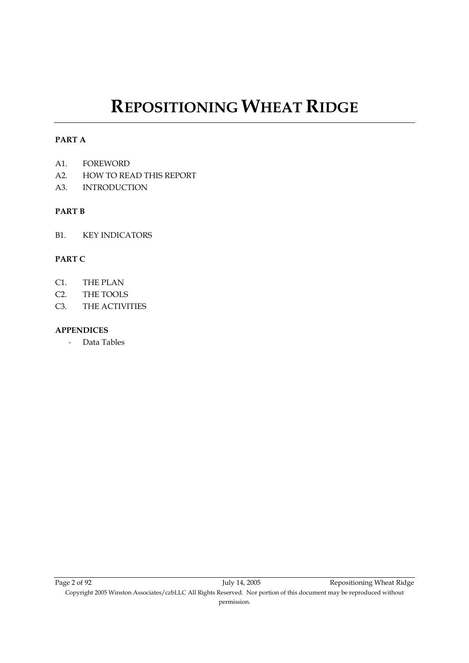# **REPOSITIONING WHEAT RIDGE**

#### **PART A**

- A1. FOREWORD
- A2. HOW TO READ THIS REPORT
- A3. INTRODUCTION

#### **PART B**

B1. KEY INDICATORS

#### **PART C**

- C1. THE PLAN
- C2. THE TOOLS
- C3. THE ACTIVITIES

#### **APPENDICES**

- Data Tables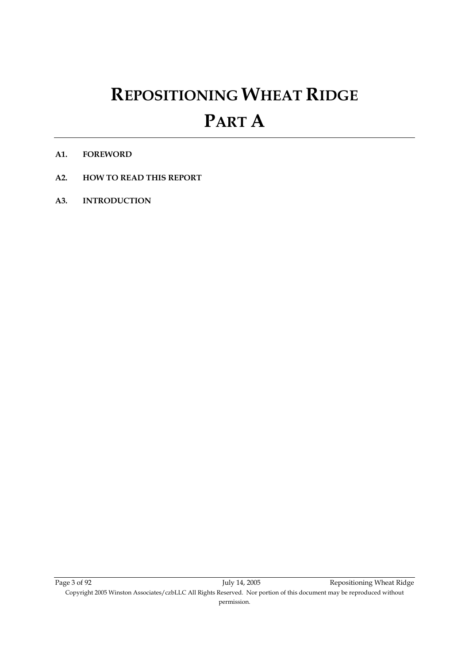# **REPOSITIONING WHEAT RIDGE PART A**

- **A1. FOREWORD**
- **A2. HOW TO READ THIS REPORT**
- **A3. INTRODUCTION**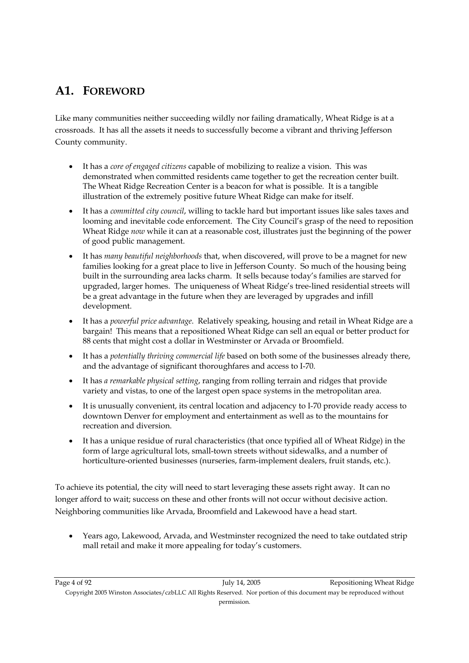### **A1. FOREWORD**

Like many communities neither succeeding wildly nor failing dramatically, Wheat Ridge is at a crossroads. It has all the assets it needs to successfully become a vibrant and thriving Jefferson County community.

- It has a *core of engaged citizens* capable of mobilizing to realize a vision. This was demonstrated when committed residents came together to get the recreation center built. The Wheat Ridge Recreation Center is a beacon for what is possible. It is a tangible illustration of the extremely positive future Wheat Ridge can make for itself.
- It has a *committed city council*, willing to tackle hard but important issues like sales taxes and looming and inevitable code enforcement. The City Council's grasp of the need to reposition Wheat Ridge *now* while it can at a reasonable cost, illustrates just the beginning of the power of good public management.
- It has *many beautiful neighborhoods* that, when discovered, will prove to be a magnet for new families looking for a great place to live in Jefferson County. So much of the housing being built in the surrounding area lacks charm. It sells because today's families are starved for upgraded, larger homes. The uniqueness of Wheat Ridge's tree-lined residential streets will be a great advantage in the future when they are leveraged by upgrades and infill development.
- It has a *powerful price advantage*. Relatively speaking, housing and retail in Wheat Ridge are a bargain! This means that a repositioned Wheat Ridge can sell an equal or better product for 88 cents that might cost a dollar in Westminster or Arvada or Broomfield.
- It has a *potentially thriving commercial life* based on both some of the businesses already there, and the advantage of significant thoroughfares and access to I-70.
- It has *a remarkable physical setting*, ranging from rolling terrain and ridges that provide variety and vistas, to one of the largest open space systems in the metropolitan area.
- It is unusually convenient, its central location and adjacency to I-70 provide ready access to downtown Denver for employment and entertainment as well as to the mountains for recreation and diversion.
- It has a unique residue of rural characteristics (that once typified all of Wheat Ridge) in the form of large agricultural lots, small-town streets without sidewalks, and a number of horticulture-oriented businesses (nurseries, farm-implement dealers, fruit stands, etc.).

To achieve its potential, the city will need to start leveraging these assets right away. It can no longer afford to wait; success on these and other fronts will not occur without decisive action. Neighboring communities like Arvada, Broomfield and Lakewood have a head start.

• Years ago, Lakewood, Arvada, and Westminster recognized the need to take outdated strip mall retail and make it more appealing for today's customers.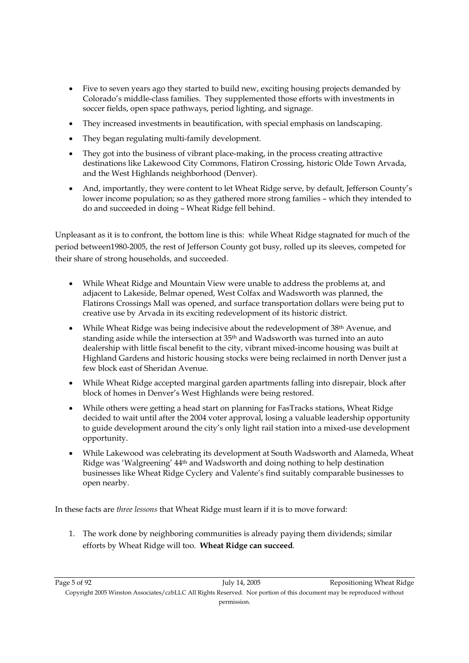- Five to seven years ago they started to build new, exciting housing projects demanded by Colorado's middle-class families. They supplemented those efforts with investments in soccer fields, open space pathways, period lighting, and signage.
- They increased investments in beautification, with special emphasis on landscaping.
- They began regulating multi-family development.
- They got into the business of vibrant place-making, in the process creating attractive destinations like Lakewood City Commons, Flatiron Crossing, historic Olde Town Arvada, and the West Highlands neighborhood (Denver).
- And, importantly, they were content to let Wheat Ridge serve, by default, Jefferson County's lower income population; so as they gathered more strong families – which they intended to do and succeeded in doing – Wheat Ridge fell behind.

Unpleasant as it is to confront, the bottom line is this: while Wheat Ridge stagnated for much of the period between1980-2005, the rest of Jefferson County got busy, rolled up its sleeves, competed for their share of strong households, and succeeded.

- While Wheat Ridge and Mountain View were unable to address the problems at, and adjacent to Lakeside, Belmar opened, West Colfax and Wadsworth was planned, the Flatirons Crossings Mall was opened, and surface transportation dollars were being put to creative use by Arvada in its exciting redevelopment of its historic district.
- While Wheat Ridge was being indecisive about the redevelopment of 38<sup>th</sup> Avenue, and standing aside while the intersection at 35th and Wadsworth was turned into an auto dealership with little fiscal benefit to the city, vibrant mixed-income housing was built at Highland Gardens and historic housing stocks were being reclaimed in north Denver just a few block east of Sheridan Avenue.
- While Wheat Ridge accepted marginal garden apartments falling into disrepair, block after block of homes in Denver's West Highlands were being restored.
- While others were getting a head start on planning for FasTracks stations, Wheat Ridge decided to wait until after the 2004 voter approval, losing a valuable leadership opportunity to guide development around the city's only light rail station into a mixed-use development opportunity.
- While Lakewood was celebrating its development at South Wadsworth and Alameda, Wheat Ridge was 'Walgreening' 44th and Wadsworth and doing nothing to help destination businesses like Wheat Ridge Cyclery and Valente's find suitably comparable businesses to open nearby.

In these facts are *three lessons* that Wheat Ridge must learn if it is to move forward:

1. The work done by neighboring communities is already paying them dividends; similar efforts by Wheat Ridge will too. **Wheat Ridge can succeed**.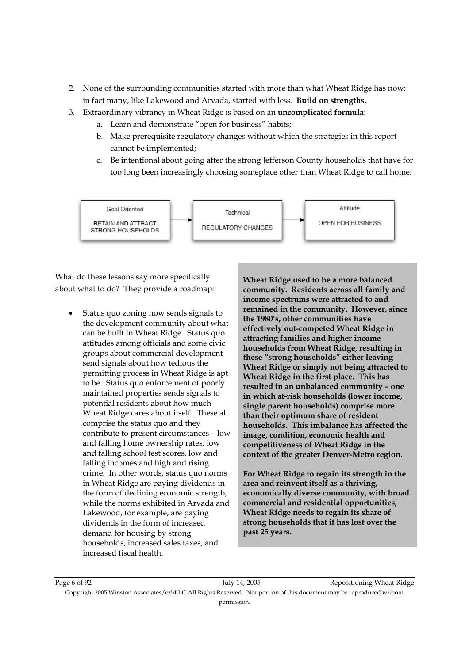- 2. None of the surrounding communities started with more than what Wheat Ridge has now; in fact many, like Lakewood and Arvada, started with less. **Build on strengths.**
- 3. Extraordinary vibrancy in Wheat Ridge is based on an **uncomplicated formula**:
	- a. Learn and demonstrate "open for business" habits;
	- b. Make prerequisite regulatory changes without which the strategies in this report cannot be implemented;
	- c. Be intentional about going after the strong Jefferson County households that have for too long been increasingly choosing someplace other than Wheat Ridge to call home.



What do these lessons say more specifically about what to do? They provide a roadmap:

• Status quo zoning now sends signals to the development community about what can be built in Wheat Ridge. Status quo attitudes among officials and some civic groups about commercial development send signals about how tedious the permitting process in Wheat Ridge is apt to be. Status quo enforcement of poorly maintained properties sends signals to potential residents about how much Wheat Ridge cares about itself. These all comprise the status quo and they contribute to present circumstances – low and falling home ownership rates, low and falling school test scores, low and falling incomes and high and rising crime. In other words, status quo norms in Wheat Ridge are paying dividends in the form of declining economic strength, while the norms exhibited in Arvada and Lakewood, for example, are paying dividends in the form of increased demand for housing by strong households, increased sales taxes, and increased fiscal health.

**Wheat Ridge used to be a more balanced community. Residents across all family and income spectrums were attracted to and remained in the community. However, since the 1980's, other communities have effectively out-competed Wheat Ridge in attracting families and higher income households from Wheat Ridge, resulting in these "strong households" either leaving Wheat Ridge or simply not being attracted to Wheat Ridge in the first place. This has resulted in an unbalanced community – one in which at-risk households (lower income, single parent households) comprise more than their optimum share of resident households. This imbalance has affected the image, condition, economic health and competitiveness of Wheat Ridge in the context of the greater Denver-Metro region.** 

**For Wheat Ridge to regain its strength in the area and reinvent itself as a thriving, economically diverse community, with broad commercial and residential opportunities, Wheat Ridge needs to regain its share of strong households that it has lost over the past 25 years.** 

Page 6 of 92 July 14, 2005 July 14, 2005 Repositioning Wheat Ridge Copyright 2005 Winston Associates/czbLLC All Rights Reserved. Nor portion of this document may be reproduced without permission.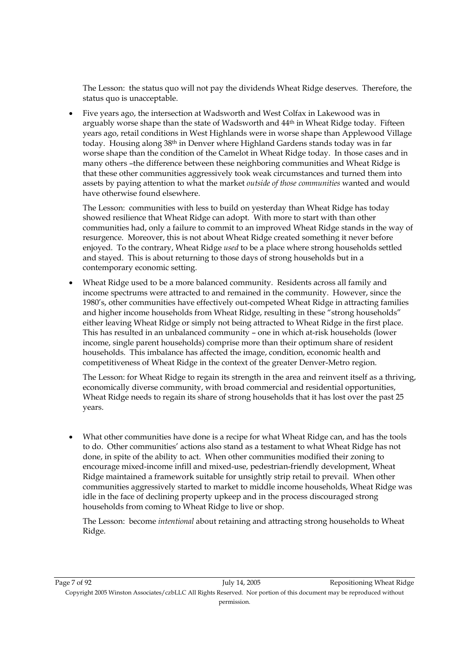The Lesson: the status quo will not pay the dividends Wheat Ridge deserves. Therefore, the status quo is unacceptable.

• Five years ago, the intersection at Wadsworth and West Colfax in Lakewood was in arguably worse shape than the state of Wadsworth and  $44<sup>th</sup>$  in Wheat Ridge today. Fifteen years ago, retail conditions in West Highlands were in worse shape than Applewood Village today. Housing along 38th in Denver where Highland Gardens stands today was in far worse shape than the condition of the Camelot in Wheat Ridge today. In those cases and in many others –the difference between these neighboring communities and Wheat Ridge is that these other communities aggressively took weak circumstances and turned them into assets by paying attention to what the market *outside of those communities* wanted and would have otherwise found elsewhere.

The Lesson: communities with less to build on yesterday than Wheat Ridge has today showed resilience that Wheat Ridge can adopt. With more to start with than other communities had, only a failure to commit to an improved Wheat Ridge stands in the way of resurgence. Moreover, this is not about Wheat Ridge created something it never before enjoyed. To the contrary, Wheat Ridge *used* to be a place where strong households settled and stayed. This is about returning to those days of strong households but in a contemporary economic setting.

• Wheat Ridge used to be a more balanced community. Residents across all family and income spectrums were attracted to and remained in the community. However, since the 1980's, other communities have effectively out-competed Wheat Ridge in attracting families and higher income households from Wheat Ridge, resulting in these "strong households" either leaving Wheat Ridge or simply not being attracted to Wheat Ridge in the first place. This has resulted in an unbalanced community – one in which at-risk households (lower income, single parent households) comprise more than their optimum share of resident households. This imbalance has affected the image, condition, economic health and competitiveness of Wheat Ridge in the context of the greater Denver-Metro region.

The Lesson: for Wheat Ridge to regain its strength in the area and reinvent itself as a thriving, economically diverse community, with broad commercial and residential opportunities, Wheat Ridge needs to regain its share of strong households that it has lost over the past 25 years.

• What other communities have done is a recipe for what Wheat Ridge can, and has the tools to do. Other communities' actions also stand as a testament to what Wheat Ridge has not done, in spite of the ability to act. When other communities modified their zoning to encourage mixed-income infill and mixed-use, pedestrian-friendly development, Wheat Ridge maintained a framework suitable for unsightly strip retail to prevail. When other communities aggressively started to market to middle income households, Wheat Ridge was idle in the face of declining property upkeep and in the process discouraged strong households from coming to Wheat Ridge to live or shop.

The Lesson: become *intentional* about retaining and attracting strong households to Wheat Ridge.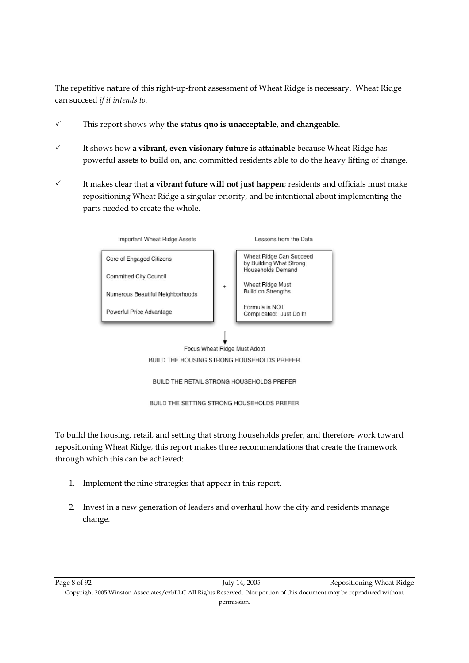The repetitive nature of this right-up-front assessment of Wheat Ridge is necessary. Wheat Ridge can succeed *if it intends to.*

- 3 This report shows why **the status quo is unacceptable, and changeable**.
- $\checkmark$  It shows how **a vibrant, even visionary future is attainable** because Wheat Ridge has powerful assets to build on, and committed residents able to do the heavy lifting of change.
- $\checkmark$  It makes clear that **a vibrant future will not just happen**; residents and officials must make repositioning Wheat Ridge a singular priority, and be intentional about implementing the parts needed to create the whole.



BUILD THE HOUSING STRONG HOUSEHOLDS PREFER

BUILD THE RETAIL STRONG HOUSEHOLDS PREFER

BUILD THE SETTING STRONG HOUSEHOLDS PREFER

To build the housing, retail, and setting that strong households prefer, and therefore work toward repositioning Wheat Ridge, this report makes three recommendations that create the framework through which this can be achieved:

- 1. Implement the nine strategies that appear in this report.
- 2. Invest in a new generation of leaders and overhaul how the city and residents manage change.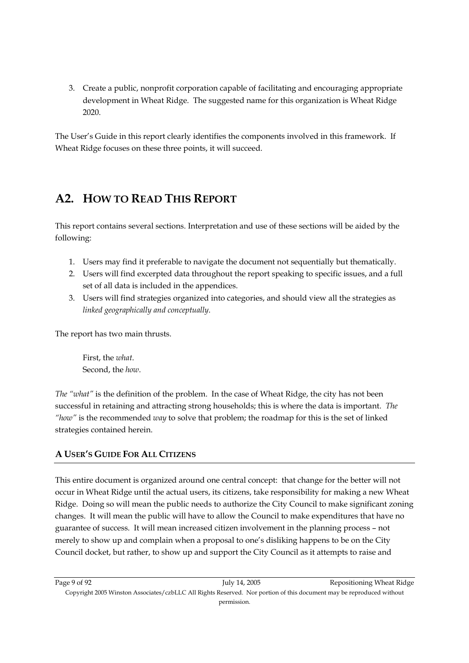3. Create a public, nonprofit corporation capable of facilitating and encouraging appropriate development in Wheat Ridge. The suggested name for this organization is Wheat Ridge 2020.

The User's Guide in this report clearly identifies the components involved in this framework. If Wheat Ridge focuses on these three points, it will succeed.

### **A2. HOW TO READ THIS REPORT**

This report contains several sections. Interpretation and use of these sections will be aided by the following:

- 1. Users may find it preferable to navigate the document not sequentially but thematically.
- 2. Users will find excerpted data throughout the report speaking to specific issues, and a full set of all data is included in the appendices.
- 3. Users will find strategies organized into categories, and should view all the strategies as *linked geographically and conceptually*.

The report has two main thrusts.

First, the *what*. Second, the *how*.

*The "what"* is the definition of the problem. In the case of Wheat Ridge, the city has not been successful in retaining and attracting strong households; this is where the data is important. *The "how"* is the recommended *way* to solve that problem; the roadmap for this is the set of linked strategies contained herein.

#### **A USER'S GUIDE FOR ALL CITIZENS**

This entire document is organized around one central concept: that change for the better will not occur in Wheat Ridge until the actual users, its citizens, take responsibility for making a new Wheat Ridge. Doing so will mean the public needs to authorize the City Council to make significant zoning changes. It will mean the public will have to allow the Council to make expenditures that have no guarantee of success. It will mean increased citizen involvement in the planning process – not merely to show up and complain when a proposal to one's disliking happens to be on the City Council docket, but rather, to show up and support the City Council as it attempts to raise and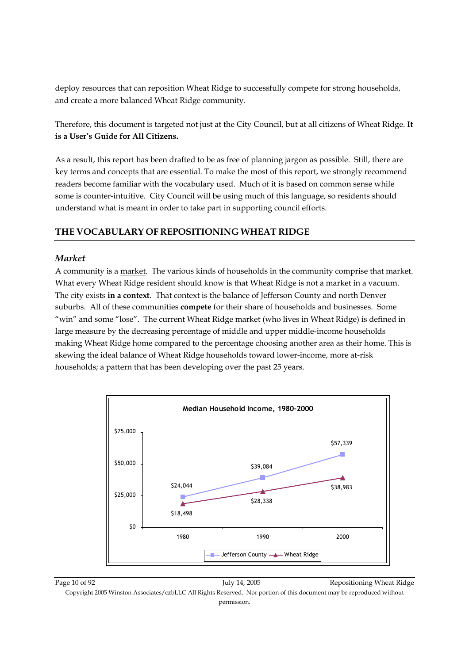deploy resources that can reposition Wheat Ridge to successfully compete for strong households, and create a more balanced Wheat Ridge community.

Therefore, this document is targeted not just at the City Council, but at all citizens of Wheat Ridge. **It is a User's Guide for All Citizens.** 

As a result, this report has been drafted to be as free of planning jargon as possible. Still, there are key terms and concepts that are essential. To make the most of this report, we strongly recommend readers become familiar with the vocabulary used. Much of it is based on common sense while some is counter-intuitive. City Council will be using much of this language, so residents should understand what is meant in order to take part in supporting council efforts.

#### **THE VOCABULARY OF REPOSITIONING WHEAT RIDGE**

#### *Market*

A community is a market. The various kinds of households in the community comprise that market. What every Wheat Ridge resident should know is that Wheat Ridge is not a market in a vacuum. The city exists **in a context**. That context is the balance of Jefferson County and north Denver suburbs. All of these communities **compete** for their share of households and businesses. Some "win" and some "lose". The current Wheat Ridge market (who lives in Wheat Ridge) is defined in large measure by the decreasing percentage of middle and upper middle-income households making Wheat Ridge home compared to the percentage choosing another area as their home. This is skewing the ideal balance of Wheat Ridge households toward lower-income, more at-risk households; a pattern that has been developing over the past 25 years.

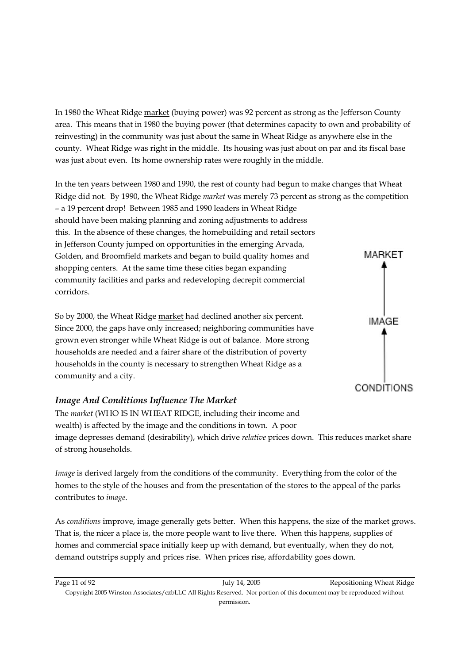In 1980 the Wheat Ridge market (buying power) was 92 percent as strong as the Jefferson County area. This means that in 1980 the buying power (that determines capacity to own and probability of reinvesting) in the community was just about the same in Wheat Ridge as anywhere else in the county. Wheat Ridge was right in the middle. Its housing was just about on par and its fiscal base was just about even. Its home ownership rates were roughly in the middle.

In the ten years between 1980 and 1990, the rest of county had begun to make changes that Wheat Ridge did not. By 1990, the Wheat Ridge *market* was merely 73 percent as strong as the competition – a 19 percent drop! Between 1985 and 1990 leaders in Wheat Ridge should have been making planning and zoning adjustments to address this. In the absence of these changes, the homebuilding and retail sectors in Jefferson County jumped on opportunities in the emerging Arvada, Golden, and Broomfield markets and began to build quality homes and shopping centers. At the same time these cities began expanding community facilities and parks and redeveloping decrepit commercial corridors.

So by 2000, the Wheat Ridge market had declined another six percent. Since 2000, the gaps have only increased; neighboring communities have grown even stronger while Wheat Ridge is out of balance. More strong households are needed and a fairer share of the distribution of poverty households in the county is necessary to strengthen Wheat Ridge as a community and a city.

#### *Image And Conditions Influence The Market*



The *market* (WHO IS IN WHEAT RIDGE, including their income and wealth) is affected by the image and the conditions in town. A poor image depresses demand (desirability), which drive *relative* prices down. This reduces market share of strong households.

*Image* is derived largely from the conditions of the community. Everything from the color of the homes to the style of the houses and from the presentation of the stores to the appeal of the parks contributes to *image*.

As *conditions* improve, image generally gets better. When this happens, the size of the market grows. That is, the nicer a place is, the more people want to live there. When this happens, supplies of homes and commercial space initially keep up with demand, but eventually, when they do not, demand outstrips supply and prices rise. When prices rise, affordability goes down.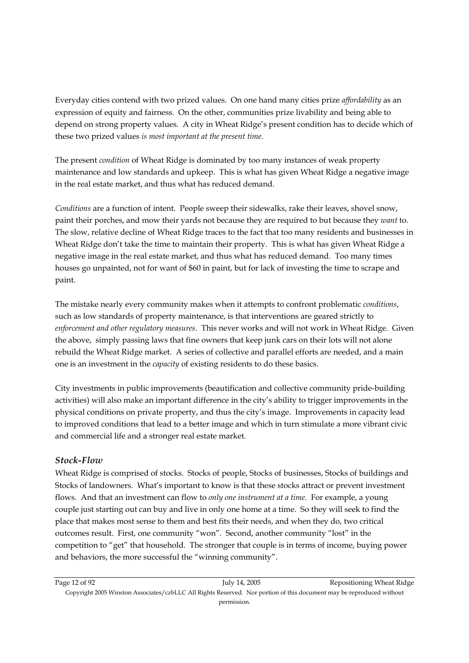Everyday cities contend with two prized values. On one hand many cities prize *affordability* as an expression of equity and fairness. On the other, communities prize livability and being able to depend on strong property values. A city in Wheat Ridge's present condition has to decide which of these two prized values *is most important at the present time*.

The present *condition* of Wheat Ridge is dominated by too many instances of weak property maintenance and low standards and upkeep. This is what has given Wheat Ridge a negative image in the real estate market, and thus what has reduced demand.

*Conditions* are a function of intent. People sweep their sidewalks, rake their leaves, shovel snow, paint their porches, and mow their yards not because they are required to but because they *want* to. The slow, relative decline of Wheat Ridge traces to the fact that too many residents and businesses in Wheat Ridge don't take the time to maintain their property. This is what has given Wheat Ridge a negative image in the real estate market, and thus what has reduced demand. Too many times houses go unpainted, not for want of \$60 in paint, but for lack of investing the time to scrape and paint.

The mistake nearly every community makes when it attempts to confront problematic *conditions*, such as low standards of property maintenance, is that interventions are geared strictly to *enforcement and other regulatory measures*. This never works and will not work in Wheat Ridge. Given the above, simply passing laws that fine owners that keep junk cars on their lots will not alone rebuild the Wheat Ridge market. A series of collective and parallel efforts are needed, and a main one is an investment in the *capacity* of existing residents to do these basics.

City investments in public improvements (beautification and collective community pride-building activities) will also make an important difference in the city's ability to trigger improvements in the physical conditions on private property, and thus the city's image. Improvements in capacity lead to improved conditions that lead to a better image and which in turn stimulate a more vibrant civic and commercial life and a stronger real estate market.

#### *Stock-Flow*

Wheat Ridge is comprised of stocks. Stocks of people, Stocks of businesses, Stocks of buildings and Stocks of landowners. What's important to know is that these stocks attract or prevent investment flows. And that an investment can flow to *only one instrument at a time*. For example, a young couple just starting out can buy and live in only one home at a time. So they will seek to find the place that makes most sense to them and best fits their needs, and when they do, two critical outcomes result. First, one community "won". Second, another community "lost" in the competition to "get" that household. The stronger that couple is in terms of income, buying power and behaviors, the more successful the "winning community".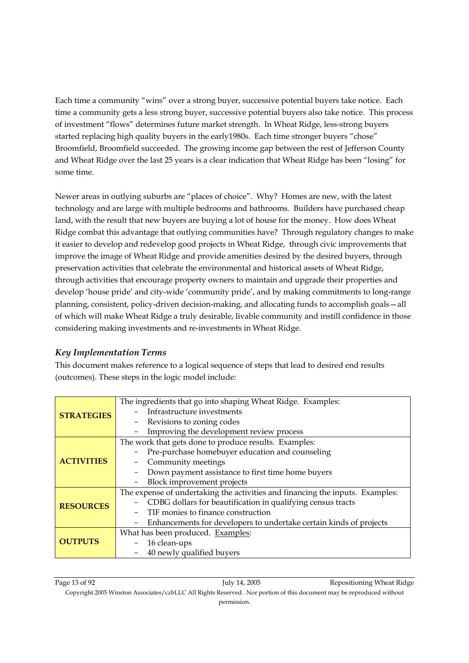Each time a community "wins" over a strong buyer, successive potential buyers take notice. Each time a community gets a less strong buyer, successive potential buyers also take notice. This process of investment "flows" determines future market strength. In Wheat Ridge, less-strong buyers started replacing high quality buyers in the early1980s. Each time stronger buyers "chose" Broomfield, Broomfield succeeded. The growing income gap between the rest of Jefferson County and Wheat Ridge over the last 25 years is a clear indication that Wheat Ridge has been "losing" for some time.

Newer areas in outlying suburbs are "places of choice". Why? Homes are new, with the latest technology and are large with multiple bedrooms and bathrooms. Builders have purchased cheap land, with the result that new buyers are buying a lot of house for the money. How does Wheat Ridge combat this advantage that outlying communities have? Through regulatory changes to make it easier to develop and redevelop good projects in Wheat Ridge, through civic improvements that improve the image of Wheat Ridge and provide amenities desired by the desired buyers, through preservation activities that celebrate the environmental and historical assets of Wheat Ridge, through activities that encourage property owners to maintain and upgrade their properties and develop 'house pride' and city-wide 'community pride', and by making commitments to long-range planning, consistent, policy-driven decision-making, and allocating funds to accomplish goals—all of which will make Wheat Ridge a truly desirable, livable community and instill confidence in those considering making investments and re-investments in Wheat Ridge.

#### *Key Implementation Terms*

This document makes reference to a logical sequence of steps that lead to desired end results (outcomes). These steps in the logic model include:

|                   | The ingredients that go into shaping Wheat Ridge. Examples:                   |  |  |
|-------------------|-------------------------------------------------------------------------------|--|--|
| <b>STRATEGIES</b> | Infrastructure investments                                                    |  |  |
|                   | Revisions to zoning codes                                                     |  |  |
|                   | Improving the development review process                                      |  |  |
|                   | The work that gets done to produce results. Examples:                         |  |  |
|                   | Pre-purchase homebuyer education and counseling                               |  |  |
| <b>ACTIVITIES</b> | Community meetings                                                            |  |  |
|                   | Down payment assistance to first time home buyers                             |  |  |
|                   | Block improvement projects                                                    |  |  |
|                   | The expense of undertaking the activities and financing the inputs. Examples: |  |  |
| <b>RESOURCES</b>  | CDBG dollars for beautification in qualifying census tracts                   |  |  |
|                   | TIF monies to finance construction                                            |  |  |
|                   | Enhancements for developers to undertake certain kinds of projects            |  |  |
|                   | What has been produced. Examples:                                             |  |  |
| <b>OUTPUTS</b>    | 16 clean-ups                                                                  |  |  |
|                   | 40 newly qualified buyers                                                     |  |  |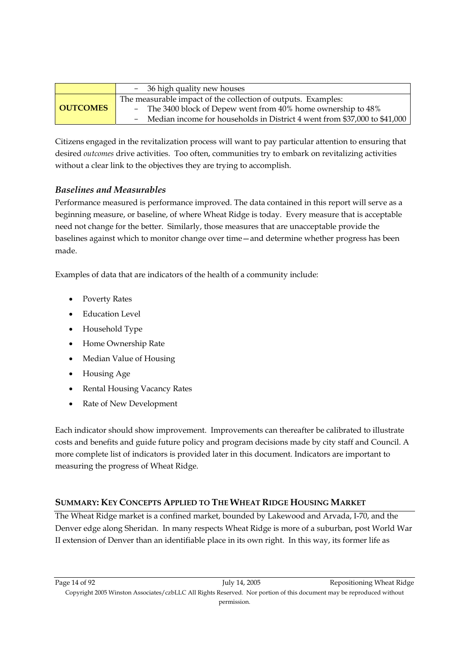|                 | - 36 high quality new houses                                                                                                                                                                                  |
|-----------------|---------------------------------------------------------------------------------------------------------------------------------------------------------------------------------------------------------------|
| <b>OUTCOMES</b> | The measurable impact of the collection of outputs. Examples:<br>- The 3400 block of Depew went from 40% home ownership to 48%<br>- Median income for households in District 4 went from \$37,000 to \$41,000 |

Citizens engaged in the revitalization process will want to pay particular attention to ensuring that desired *outcomes* drive activities. Too often, communities try to embark on revitalizing activities without a clear link to the objectives they are trying to accomplish.

#### *Baselines and Measurables*

Performance measured is performance improved. The data contained in this report will serve as a beginning measure, or baseline, of where Wheat Ridge is today. Every measure that is acceptable need not change for the better. Similarly, those measures that are unacceptable provide the baselines against which to monitor change over time—and determine whether progress has been made.

Examples of data that are indicators of the health of a community include:

- Poverty Rates
- Education Level
- Household Type
- Home Ownership Rate
- Median Value of Housing
- Housing Age
- Rental Housing Vacancy Rates
- Rate of New Development

Each indicator should show improvement. Improvements can thereafter be calibrated to illustrate costs and benefits and guide future policy and program decisions made by city staff and Council. A more complete list of indicators is provided later in this document. Indicators are important to measuring the progress of Wheat Ridge.

#### **SUMMARY: KEY CONCEPTS APPLIED TO THE WHEAT RIDGE HOUSING MARKET**

The Wheat Ridge market is a confined market, bounded by Lakewood and Arvada, I-70, and the Denver edge along Sheridan. In many respects Wheat Ridge is more of a suburban, post World War II extension of Denver than an identifiable place in its own right. In this way, its former life as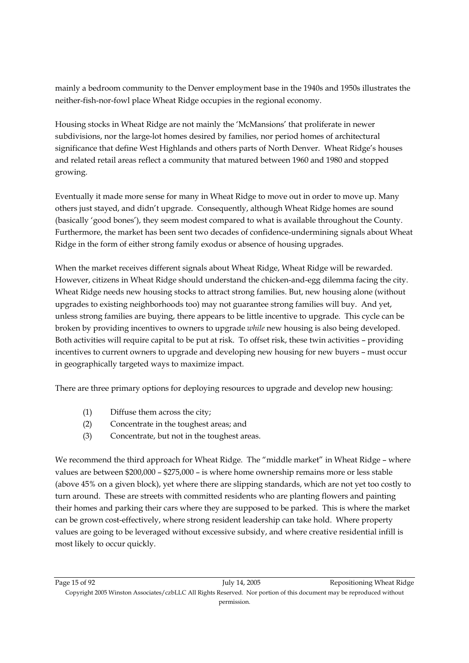mainly a bedroom community to the Denver employment base in the 1940s and 1950s illustrates the neither-fish-nor-fowl place Wheat Ridge occupies in the regional economy.

Housing stocks in Wheat Ridge are not mainly the 'McMansions' that proliferate in newer subdivisions, nor the large-lot homes desired by families, nor period homes of architectural significance that define West Highlands and others parts of North Denver. Wheat Ridge's houses and related retail areas reflect a community that matured between 1960 and 1980 and stopped growing.

Eventually it made more sense for many in Wheat Ridge to move out in order to move up. Many others just stayed, and didn't upgrade. Consequently, although Wheat Ridge homes are sound (basically 'good bones'), they seem modest compared to what is available throughout the County. Furthermore, the market has been sent two decades of confidence-undermining signals about Wheat Ridge in the form of either strong family exodus or absence of housing upgrades.

When the market receives different signals about Wheat Ridge, Wheat Ridge will be rewarded. However, citizens in Wheat Ridge should understand the chicken-and-egg dilemma facing the city. Wheat Ridge needs new housing stocks to attract strong families. But, new housing alone (without upgrades to existing neighborhoods too) may not guarantee strong families will buy. And yet, unless strong families are buying, there appears to be little incentive to upgrade. This cycle can be broken by providing incentives to owners to upgrade *while* new housing is also being developed. Both activities will require capital to be put at risk. To offset risk, these twin activities – providing incentives to current owners to upgrade and developing new housing for new buyers – must occur in geographically targeted ways to maximize impact.

There are three primary options for deploying resources to upgrade and develop new housing:

- (1) Diffuse them across the city;
- (2) Concentrate in the toughest areas; and
- (3) Concentrate, but not in the toughest areas.

We recommend the third approach for Wheat Ridge. The "middle market" in Wheat Ridge - where values are between \$200,000 – \$275,000 – is where home ownership remains more or less stable (above 45% on a given block), yet where there are slipping standards, which are not yet too costly to turn around. These are streets with committed residents who are planting flowers and painting their homes and parking their cars where they are supposed to be parked. This is where the market can be grown cost-effectively, where strong resident leadership can take hold. Where property values are going to be leveraged without excessive subsidy, and where creative residential infill is most likely to occur quickly.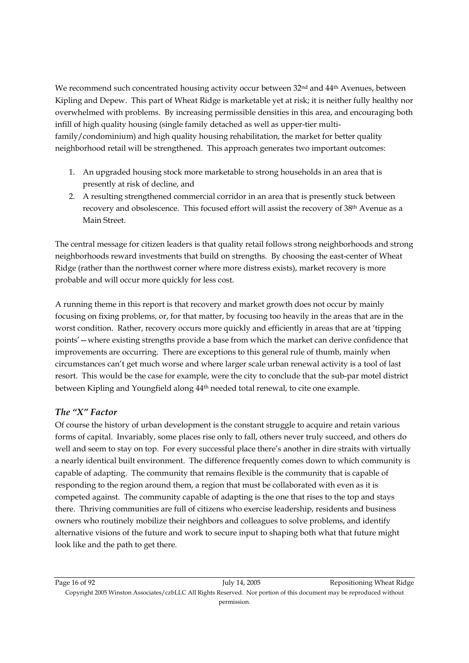We recommend such concentrated housing activity occur between 32<sup>nd</sup> and 44<sup>th</sup> Avenues, between Kipling and Depew. This part of Wheat Ridge is marketable yet at risk; it is neither fully healthy nor overwhelmed with problems. By increasing permissible densities in this area, and encouraging both infill of high quality housing (single family detached as well as upper-tier multifamily/condominium) and high quality housing rehabilitation, the market for better quality neighborhood retail will be strengthened. This approach generates two important outcomes:

- 1. An upgraded housing stock more marketable to strong households in an area that is presently at risk of decline, and
- 2. A resulting strengthened commercial corridor in an area that is presently stuck between recovery and obsolescence. This focused effort will assist the recovery of 38<sup>th</sup> Avenue as a Main Street.

The central message for citizen leaders is that quality retail follows strong neighborhoods and strong neighborhoods reward investments that build on strengths. By choosing the east-center of Wheat Ridge (rather than the northwest corner where more distress exists), market recovery is more probable and will occur more quickly for less cost.

A running theme in this report is that recovery and market growth does not occur by mainly focusing on fixing problems, or, for that matter, by focusing too heavily in the areas that are in the worst condition. Rather, recovery occurs more quickly and efficiently in areas that are at 'tipping points'—where existing strengths provide a base from which the market can derive confidence that improvements are occurring. There are exceptions to this general rule of thumb, mainly when circumstances can't get much worse and where larger scale urban renewal activity is a tool of last resort. This would be the case for example, were the city to conclude that the sub-par motel district between Kipling and Youngfield along 44th needed total renewal, to cite one example.

#### *The "X" Factor*

Of course the history of urban development is the constant struggle to acquire and retain various forms of capital. Invariably, some places rise only to fall, others never truly succeed, and others do well and seem to stay on top. For every successful place there's another in dire straits with virtually a nearly identical built environment. The difference frequently comes down to which community is capable of adapting. The community that remains flexible is the community that is capable of responding to the region around them, a region that must be collaborated with even as it is competed against. The community capable of adapting is the one that rises to the top and stays there. Thriving communities are full of citizens who exercise leadership, residents and business owners who routinely mobilize their neighbors and colleagues to solve problems, and identify alternative visions of the future and work to secure input to shaping both what that future might look like and the path to get there.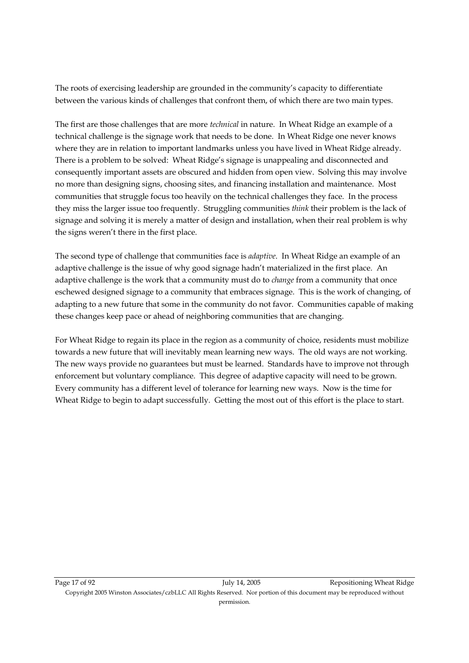The roots of exercising leadership are grounded in the community's capacity to differentiate between the various kinds of challenges that confront them, of which there are two main types.

The first are those challenges that are more *technical* in nature. In Wheat Ridge an example of a technical challenge is the signage work that needs to be done. In Wheat Ridge one never knows where they are in relation to important landmarks unless you have lived in Wheat Ridge already. There is a problem to be solved: Wheat Ridge's signage is unappealing and disconnected and consequently important assets are obscured and hidden from open view. Solving this may involve no more than designing signs, choosing sites, and financing installation and maintenance. Most communities that struggle focus too heavily on the technical challenges they face. In the process they miss the larger issue too frequently. Struggling communities *think* their problem is the lack of signage and solving it is merely a matter of design and installation, when their real problem is why the signs weren't there in the first place.

The second type of challenge that communities face is *adaptive*. In Wheat Ridge an example of an adaptive challenge is the issue of why good signage hadn't materialized in the first place. An adaptive challenge is the work that a community must do to *change* from a community that once eschewed designed signage to a community that embraces signage. This is the work of changing, of adapting to a new future that some in the community do not favor. Communities capable of making these changes keep pace or ahead of neighboring communities that are changing.

For Wheat Ridge to regain its place in the region as a community of choice, residents must mobilize towards a new future that will inevitably mean learning new ways. The old ways are not working. The new ways provide no guarantees but must be learned. Standards have to improve not through enforcement but voluntary compliance. This degree of adaptive capacity will need to be grown. Every community has a different level of tolerance for learning new ways. Now is the time for Wheat Ridge to begin to adapt successfully. Getting the most out of this effort is the place to start.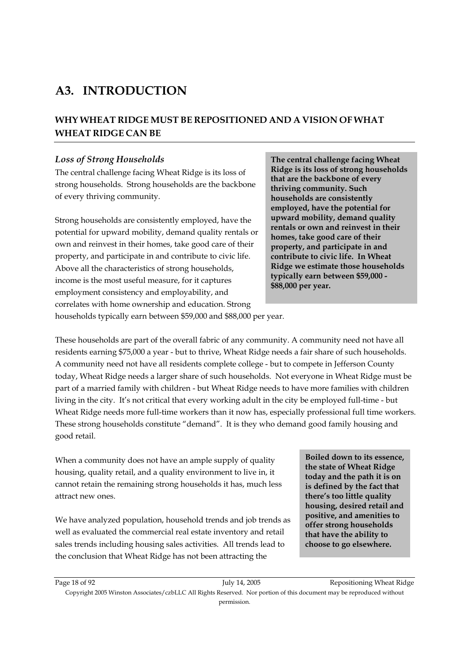## **A3. INTRODUCTION**

### **WHY WHEAT RIDGE MUST BE REPOSITIONED AND A VISION OF WHAT WHEAT RIDGE CAN BE**

#### *Loss of Strong Households*

The central challenge facing Wheat Ridge is its loss of strong households. Strong households are the backbone of every thriving community.

Strong households are consistently employed, have the potential for upward mobility, demand quality rentals or own and reinvest in their homes, take good care of their property, and participate in and contribute to civic life. Above all the characteristics of strong households, income is the most useful measure, for it captures employment consistency and employability, and correlates with home ownership and education. Strong

**The central challenge facing Wheat Ridge is its loss of strong households that are the backbone of every thriving community. Such households are consistently employed, have the potential for upward mobility, demand quality rentals or own and reinvest in their homes, take good care of their property, and participate in and contribute to civic life. In Wheat Ridge we estimate those households typically earn between \$59,000 - \$88,000 per year.** 

households typically earn between \$59,000 and \$88,000 per year.

These households are part of the overall fabric of any community. A community need not have all residents earning \$75,000 a year - but to thrive, Wheat Ridge needs a fair share of such households. A community need not have all residents complete college - but to compete in Jefferson County today, Wheat Ridge needs a larger share of such households. Not everyone in Wheat Ridge must be part of a married family with children - but Wheat Ridge needs to have more families with children living in the city. It's not critical that every working adult in the city be employed full-time - but Wheat Ridge needs more full-time workers than it now has, especially professional full time workers. These strong households constitute "demand". It is they who demand good family housing and good retail.

When a community does not have an ample supply of quality housing, quality retail, and a quality environment to live in, it cannot retain the remaining strong households it has, much less attract new ones.

We have analyzed population, household trends and job trends as well as evaluated the commercial real estate inventory and retail sales trends including housing sales activities. All trends lead to the conclusion that Wheat Ridge has not been attracting the

**Boiled down to its essence, the state of Wheat Ridge today and the path it is on is defined by the fact that there's too little quality housing, desired retail and positive, and amenities to offer strong households that have the ability to choose to go elsewhere.**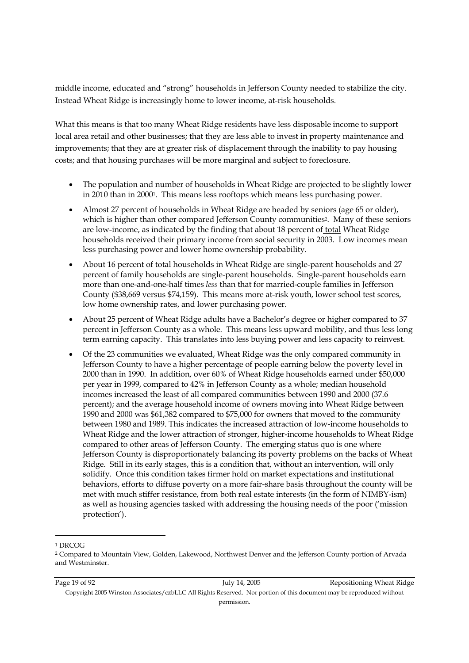middle income, educated and "strong" households in Jefferson County needed to stabilize the city. Instead Wheat Ridge is increasingly home to lower income, at-risk households.

What this means is that too many Wheat Ridge residents have less disposable income to support local area retail and other businesses; that they are less able to invest in property maintenance and improvements; that they are at greater risk of displacement through the inability to pay housing costs; and that housing purchases will be more marginal and subject to foreclosure.

- The population and number of households in Wheat Ridge are projected to be slightly lower in 2010 than in 20001. This means less rooftops which means less purchasing power.
- Almost 27 percent of households in Wheat Ridge are headed by seniors (age 65 or older), which is higher than other compared Jefferson County communities<sup>2</sup>. Many of these seniors are low-income, as indicated by the finding that about 18 percent of total Wheat Ridge households received their primary income from social security in 2003. Low incomes mean less purchasing power and lower home ownership probability.
- About 16 percent of total households in Wheat Ridge are single-parent households and 27 percent of family households are single-parent households. Single-parent households earn more than one-and-one-half times *less* than that for married-couple families in Jefferson County (\$38,669 versus \$74,159). This means more at-risk youth, lower school test scores, low home ownership rates, and lower purchasing power.
- About 25 percent of Wheat Ridge adults have a Bachelor's degree or higher compared to 37 percent in Jefferson County as a whole. This means less upward mobility, and thus less long term earning capacity. This translates into less buying power and less capacity to reinvest.
- Of the 23 communities we evaluated, Wheat Ridge was the only compared community in Jefferson County to have a higher percentage of people earning below the poverty level in 2000 than in 1990. In addition, over 60% of Wheat Ridge households earned under \$50,000 per year in 1999, compared to 42% in Jefferson County as a whole; median household incomes increased the least of all compared communities between 1990 and 2000 (37.6 percent); and the average household income of owners moving into Wheat Ridge between 1990 and 2000 was \$61,382 compared to \$75,000 for owners that moved to the community between 1980 and 1989. This indicates the increased attraction of low-income households to Wheat Ridge and the lower attraction of stronger, higher-income households to Wheat Ridge compared to other areas of Jefferson County. The emerging status quo is one where Jefferson County is disproportionately balancing its poverty problems on the backs of Wheat Ridge. Still in its early stages, this is a condition that, without an intervention, will only solidify. Once this condition takes firmer hold on market expectations and institutional behaviors, efforts to diffuse poverty on a more fair-share basis throughout the county will be met with much stiffer resistance, from both real estate interests (in the form of NIMBY-ism) as well as housing agencies tasked with addressing the housing needs of the poor ('mission protection').

-

<sup>1</sup> DRCOG

<sup>2</sup> Compared to Mountain View, Golden, Lakewood, Northwest Denver and the Jefferson County portion of Arvada and Westminster.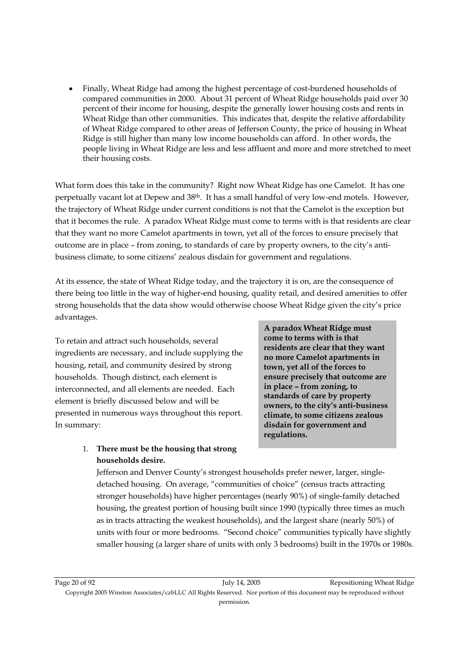• Finally, Wheat Ridge had among the highest percentage of cost-burdened households of compared communities in 2000. About 31 percent of Wheat Ridge households paid over 30 percent of their income for housing, despite the generally lower housing costs and rents in Wheat Ridge than other communities. This indicates that, despite the relative affordability of Wheat Ridge compared to other areas of Jefferson County, the price of housing in Wheat Ridge is still higher than many low income households can afford. In other words, the people living in Wheat Ridge are less and less affluent and more and more stretched to meet their housing costs.

What form does this take in the community? Right now Wheat Ridge has one Camelot. It has one perpetually vacant lot at Depew and 38th. It has a small handful of very low-end motels. However, the trajectory of Wheat Ridge under current conditions is not that the Camelot is the exception but that it becomes the rule. A paradox Wheat Ridge must come to terms with is that residents are clear that they want no more Camelot apartments in town, yet all of the forces to ensure precisely that outcome are in place – from zoning, to standards of care by property owners, to the city's antibusiness climate, to some citizens' zealous disdain for government and regulations.

At its essence, the state of Wheat Ridge today, and the trajectory it is on, are the consequence of there being too little in the way of higher-end housing, quality retail, and desired amenities to offer strong households that the data show would otherwise choose Wheat Ridge given the city's price advantages.

To retain and attract such households, several ingredients are necessary, and include supplying the housing, retail, and community desired by strong households. Though distinct, each element is interconnected, and all elements are needed. Each element is briefly discussed below and will be presented in numerous ways throughout this report. In summary:

**A paradox Wheat Ridge must come to terms with is that residents are clear that they want no more Camelot apartments in town, yet all of the forces to ensure precisely that outcome are in place – from zoning, to standards of care by property owners, to the city's anti-business climate, to some citizens zealous disdain for government and regulations.** 

#### 1. **There must be the housing that strong households desire.**

 Jefferson and Denver County's strongest households prefer newer, larger, singledetached housing. On average, "communities of choice" (census tracts attracting stronger households) have higher percentages (nearly 90%) of single-family detached housing, the greatest portion of housing built since 1990 (typically three times as much as in tracts attracting the weakest households), and the largest share (nearly 50%) of units with four or more bedrooms. "Second choice" communities typically have slightly smaller housing (a larger share of units with only 3 bedrooms) built in the 1970s or 1980s.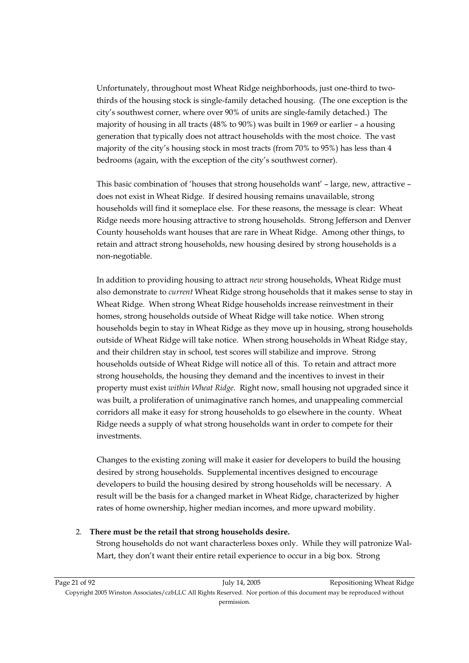Unfortunately, throughout most Wheat Ridge neighborhoods, just one-third to twothirds of the housing stock is single-family detached housing. (The one exception is the city's southwest corner, where over 90% of units are single-family detached.) The majority of housing in all tracts (48% to 90%) was built in 1969 or earlier – a housing generation that typically does not attract households with the most choice. The vast majority of the city's housing stock in most tracts (from 70% to 95%) has less than 4 bedrooms (again, with the exception of the city's southwest corner).

This basic combination of 'houses that strong households want' – large, new, attractive – does not exist in Wheat Ridge. If desired housing remains unavailable, strong households will find it someplace else. For these reasons, the message is clear: Wheat Ridge needs more housing attractive to strong households. Strong Jefferson and Denver County households want houses that are rare in Wheat Ridge. Among other things, to retain and attract strong households, new housing desired by strong households is a non-negotiable.

In addition to providing housing to attract *new* strong households, Wheat Ridge must also demonstrate to *current* Wheat Ridge strong households that it makes sense to stay in Wheat Ridge. When strong Wheat Ridge households increase reinvestment in their homes, strong households outside of Wheat Ridge will take notice. When strong households begin to stay in Wheat Ridge as they move up in housing, strong households outside of Wheat Ridge will take notice. When strong households in Wheat Ridge stay, and their children stay in school, test scores will stabilize and improve. Strong households outside of Wheat Ridge will notice all of this. To retain and attract more strong households, the housing they demand and the incentives to invest in their property must exist *within Wheat Ridge.* Right now, small housing not upgraded since it was built, a proliferation of unimaginative ranch homes, and unappealing commercial corridors all make it easy for strong households to go elsewhere in the county. Wheat Ridge needs a supply of what strong households want in order to compete for their investments.

Changes to the existing zoning will make it easier for developers to build the housing desired by strong households. Supplemental incentives designed to encourage developers to build the housing desired by strong households will be necessary. A result will be the basis for a changed market in Wheat Ridge, characterized by higher rates of home ownership, higher median incomes, and more upward mobility.

#### 2. **There must be the retail that strong households desire.**

 Strong households do not want characterless boxes only. While they will patronize Wal-Mart, they don't want their entire retail experience to occur in a big box. Strong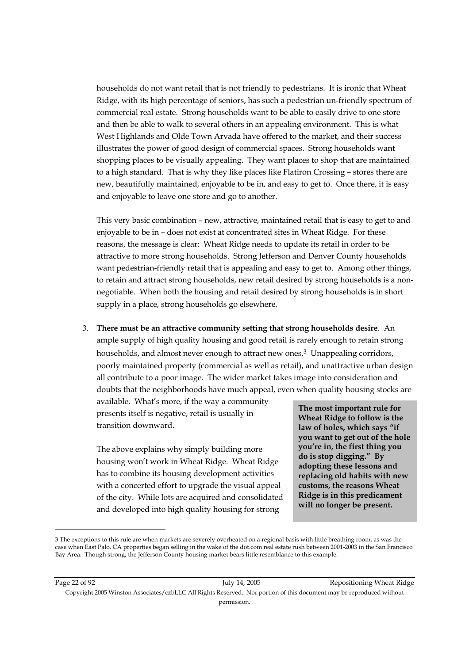households do not want retail that is not friendly to pedestrians. It is ironic that Wheat Ridge, with its high percentage of seniors, has such a pedestrian un-friendly spectrum of commercial real estate. Strong households want to be able to easily drive to one store and then be able to walk to several others in an appealing environment. This is what West Highlands and Olde Town Arvada have offered to the market, and their success illustrates the power of good design of commercial spaces. Strong households want shopping places to be visually appealing. They want places to shop that are maintained to a high standard. That is why they like places like Flatiron Crossing – stores there are new, beautifully maintained, enjoyable to be in, and easy to get to. Once there, it is easy and enjoyable to leave one store and go to another.

 This very basic combination – new, attractive, maintained retail that is easy to get to and enjoyable to be in – does not exist at concentrated sites in Wheat Ridge. For these reasons, the message is clear: Wheat Ridge needs to update its retail in order to be attractive to more strong households. Strong Jefferson and Denver County households want pedestrian-friendly retail that is appealing and easy to get to. Among other things, to retain and attract strong households, new retail desired by strong households is a nonnegotiable. When both the housing and retail desired by strong households is in short supply in a place, strong households go elsewhere.

3. **There must be an attractive community setting that strong households desire**. An ample supply of high quality housing and good retail is rarely enough to retain strong households, and almost never enough to attract new ones.<sup>3</sup> Unappealing corridors, poorly maintained property (commercial as well as retail), and unattractive urban design all contribute to a poor image. The wider market takes image into consideration and doubts that the neighborhoods have much appeal, even when quality housing stocks are

available. What's more, if the way a community presents itself is negative, retail is usually in transition downward.

The above explains why simply building more housing won't work in Wheat Ridge. Wheat Ridge has to combine its housing development activities with a concerted effort to upgrade the visual appeal of the city. While lots are acquired and consolidated and developed into high quality housing for strong

**The most important rule for Wheat Ridge to follow is the law of holes, which says "if you want to get out of the hole you're in, the first thing you do is stop digging." By adopting these lessons and replacing old habits with new customs, the reasons Wheat Ridge is in this predicament will no longer be present.** 

-

Page 22 of 92 **July 14, 2005** Repositioning Wheat Ridge Copyright 2005 Winston Associates/czbLLC All Rights Reserved. Nor portion of this document may be reproduced without

<sup>3</sup> The exceptions to this rule are when markets are severely overheated on a regional basis with little breathing room, as was the case when East Palo, CA properties began selling in the wake of the dot.com real estate rush between 2001-2003 in the San Francisco Bay Area. Though strong, the Jefferson County housing market bears little resemblance to this example.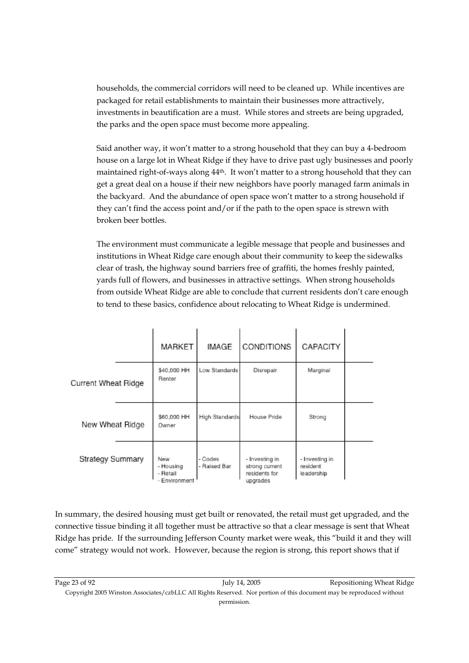households, the commercial corridors will need to be cleaned up. While incentives are packaged for retail establishments to maintain their businesses more attractively, investments in beautification are a must. While stores and streets are being upgraded, the parks and the open space must become more appealing.

Said another way, it won't matter to a strong household that they can buy a 4-bedroom house on a large lot in Wheat Ridge if they have to drive past ugly businesses and poorly maintained right-of-ways along 44th. It won't matter to a strong household that they can get a great deal on a house if their new neighbors have poorly managed farm animals in the backyard. And the abundance of open space won't matter to a strong household if they can't find the access point and/or if the path to the open space is strewn with broken beer bottles.

The environment must communicate a legible message that people and businesses and institutions in Wheat Ridge care enough about their community to keep the sidewalks clear of trash, the highway sound barriers free of graffiti, the homes freshly painted, yards full of flowers, and businesses in attractive settings. When strong households from outside Wheat Ridge are able to conclude that current residents don't care enough to tend to these basics, confidence about relocating to Wheat Ridge is undermined.

|                            | MARKET                                        | <b>IMAGE</b>            | <b>CONDITIONS</b>                                             | CAPACITY                                 |  |
|----------------------------|-----------------------------------------------|-------------------------|---------------------------------------------------------------|------------------------------------------|--|
| <b>Current Wheat Ridge</b> | \$40,000 HH<br>Renter                         | Low Standards           | Disrepair                                                     | Marginal                                 |  |
| New Wheat Ridge            | \$60,000 HH<br>Owner                          | High Standards          | House Pride                                                   | Strong                                   |  |
| <b>Strategy Summary</b>    | New<br>- Housing<br>- Retail<br>- Environment | - Codes<br>- Raised Bar | - Investing in<br>strong current<br>residents for<br>upgrades | - Investing in<br>resident<br>leadership |  |

In summary, the desired housing must get built or renovated, the retail must get upgraded, and the connective tissue binding it all together must be attractive so that a clear message is sent that Wheat Ridge has pride. If the surrounding Jefferson County market were weak, this "build it and they will come" strategy would not work. However, because the region is strong, this report shows that if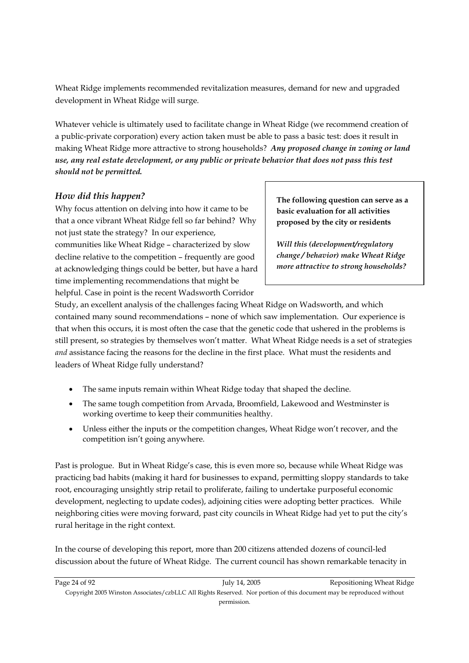Wheat Ridge implements recommended revitalization measures, demand for new and upgraded development in Wheat Ridge will surge.

Whatever vehicle is ultimately used to facilitate change in Wheat Ridge (we recommend creation of a public-private corporation) every action taken must be able to pass a basic test: does it result in making Wheat Ridge more attractive to strong households? *Any proposed change in zoning or land use, any real estate development, or any public or private behavior that does not pass this test should not be permitted.*

#### *How did this happen?*

Why focus attention on delving into how it came to be that a once vibrant Wheat Ridge fell so far behind? Why not just state the strategy? In our experience, communities like Wheat Ridge – characterized by slow decline relative to the competition – frequently are good at acknowledging things could be better, but have a hard time implementing recommendations that might be helpful. Case in point is the recent Wadsworth Corridor

**The following question can serve as a basic evaluation for all activities proposed by the city or residents**

*Will this (development/regulatory change / behavior) make Wheat Ridge more attractive to strong households?*

Study, an excellent analysis of the challenges facing Wheat Ridge on Wadsworth, and which contained many sound recommendations – none of which saw implementation. Our experience is that when this occurs, it is most often the case that the genetic code that ushered in the problems is still present, so strategies by themselves won't matter. What Wheat Ridge needs is a set of strategies *and* assistance facing the reasons for the decline in the first place. What must the residents and leaders of Wheat Ridge fully understand?

- The same inputs remain within Wheat Ridge today that shaped the decline.
- The same tough competition from Arvada, Broomfield, Lakewood and Westminster is working overtime to keep their communities healthy.
- Unless either the inputs or the competition changes, Wheat Ridge won't recover, and the competition isn't going anywhere.

Past is prologue. But in Wheat Ridge's case, this is even more so, because while Wheat Ridge was practicing bad habits (making it hard for businesses to expand, permitting sloppy standards to take root, encouraging unsightly strip retail to proliferate, failing to undertake purposeful economic development, neglecting to update codes), adjoining cities were adopting better practices. While neighboring cities were moving forward, past city councils in Wheat Ridge had yet to put the city's rural heritage in the right context.

In the course of developing this report, more than 200 citizens attended dozens of council-led discussion about the future of Wheat Ridge. The current council has shown remarkable tenacity in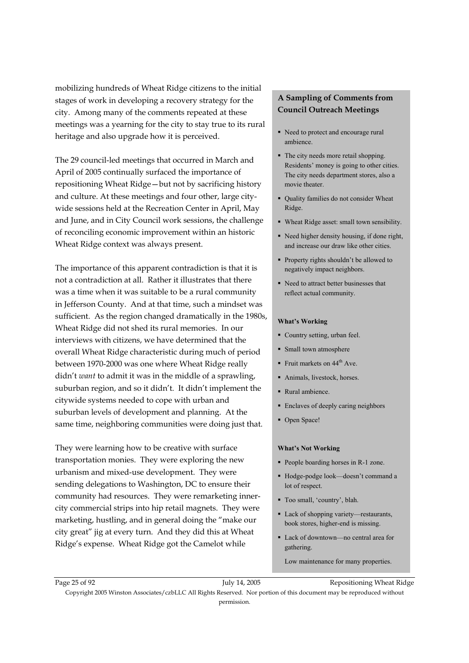mobilizing hundreds of Wheat Ridge citizens to the initial stages of work in developing a recovery strategy for the city. Among many of the comments repeated at these meetings was a yearning for the city to stay true to its rural heritage and also upgrade how it is perceived.

The 29 council-led meetings that occurred in March and April of 2005 continually surfaced the importance of repositioning Wheat Ridge—but not by sacrificing history and culture. At these meetings and four other, large citywide sessions held at the Recreation Center in April, May and June, and in City Council work sessions, the challenge of reconciling economic improvement within an historic Wheat Ridge context was always present.

The importance of this apparent contradiction is that it is not a contradiction at all. Rather it illustrates that there was a time when it was suitable to be a rural community in Jefferson County. And at that time, such a mindset was sufficient. As the region changed dramatically in the 1980s, Wheat Ridge did not shed its rural memories. In our interviews with citizens, we have determined that the overall Wheat Ridge characteristic during much of period between 1970-2000 was one where Wheat Ridge really didn't *want* to admit it was in the middle of a sprawling, suburban region, and so it didn't. It didn't implement the citywide systems needed to cope with urban and suburban levels of development and planning. At the same time, neighboring communities were doing just that.

They were learning how to be creative with surface transportation monies. They were exploring the new urbanism and mixed-use development. They were sending delegations to Washington, DC to ensure their community had resources. They were remarketing innercity commercial strips into hip retail magnets. They were marketing, hustling, and in general doing the "make our city great" jig at every turn. And they did this at Wheat Ridge's expense. Wheat Ridge got the Camelot while

#### **A Sampling of Comments from Council Outreach Meetings**

- Need to protect and encourage rural ambience.
- The city needs more retail shopping. Residents' money is going to other cities. The city needs department stores, also a movie theater.
- Quality families do not consider Wheat Ridge.
- Wheat Ridge asset: small town sensibility.
- Need higher density housing, if done right, and increase our draw like other cities.
- **Property rights shouldn't be allowed to** negatively impact neighbors.
- Need to attract better businesses that reflect actual community.

#### **What's Working**

- Country setting, urban feel.
- **Small town atmosphere**
- Fruit markets on  $44<sup>th</sup>$  Ave.
- Animals, livestock, horses.
- Rural ambience.
- **Enclaves of deeply caring neighbors**
- Open Space!

#### **What's Not Working**

- People boarding horses in R-1 zone.
- Hodge-podge look—doesn't command a lot of respect.
- Too small, 'country', blah.
- Lack of shopping variety—restaurants, book stores, higher-end is missing.
- Lack of downtown—no central area for gathering.

Low maintenance for many properties.

Page 25 of 92 **Page 25** of 92 July 14, 2005 Repositioning Wheat Ridge Copyright 2005 Winston Associates/czbLLC All Rights Reserved. Nor portion of this document may be reproduced without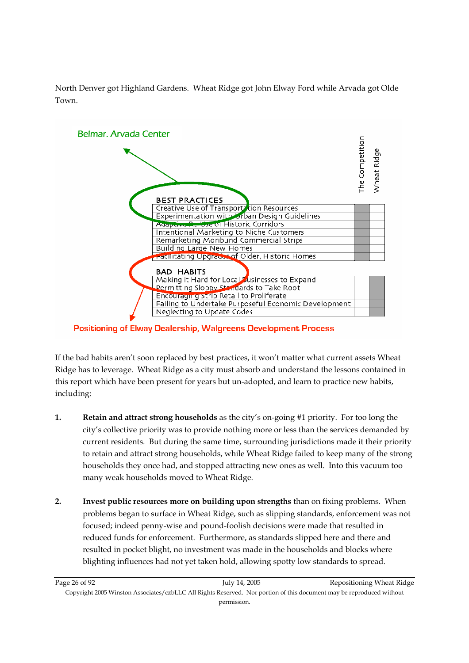

North Denver got Highland Gardens. Wheat Ridge got John Elway Ford while Arvada got Olde Town.

**Positioning of Elway Dealership, Walgreens Development Process** 

If the bad habits aren't soon replaced by best practices, it won't matter what current assets Wheat Ridge has to leverage. Wheat Ridge as a city must absorb and understand the lessons contained in this report which have been present for years but un-adopted, and learn to practice new habits, including:

- **1. Retain and attract strong households** as the city's on-going #1 priority. For too long the city's collective priority was to provide nothing more or less than the services demanded by current residents. But during the same time, surrounding jurisdictions made it their priority to retain and attract strong households, while Wheat Ridge failed to keep many of the strong households they once had, and stopped attracting new ones as well. Into this vacuum too many weak households moved to Wheat Ridge.
- **2. Invest public resources more on building upon strengths** than on fixing problems. When problems began to surface in Wheat Ridge, such as slipping standards, enforcement was not focused; indeed penny-wise and pound-foolish decisions were made that resulted in reduced funds for enforcement. Furthermore, as standards slipped here and there and resulted in pocket blight, no investment was made in the households and blocks where blighting influences had not yet taken hold, allowing spotty low standards to spread.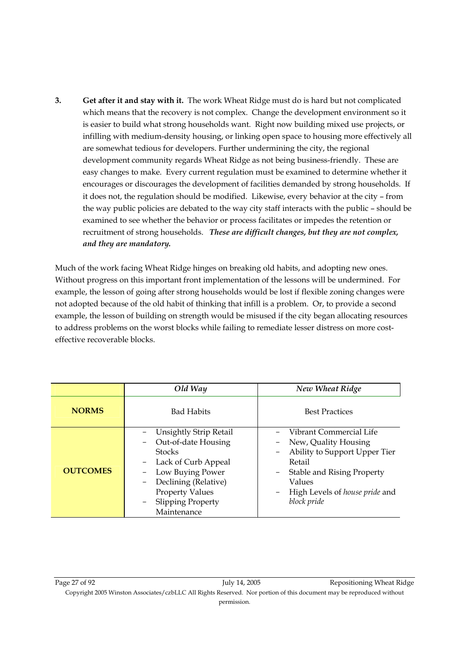**3. Get after it and stay with it.** The work Wheat Ridge must do is hard but not complicated which means that the recovery is not complex. Change the development environment so it is easier to build what strong households want. Right now building mixed use projects, or infilling with medium-density housing, or linking open space to housing more effectively all are somewhat tedious for developers. Further undermining the city, the regional development community regards Wheat Ridge as not being business-friendly. These are easy changes to make. Every current regulation must be examined to determine whether it encourages or discourages the development of facilities demanded by strong households. If it does not, the regulation should be modified. Likewise, every behavior at the city – from the way public policies are debated to the way city staff interacts with the public – should be examined to see whether the behavior or process facilitates or impedes the retention or recruitment of strong households. *These are difficult changes, but they are not complex, and they are mandatory.*

Much of the work facing Wheat Ridge hinges on breaking old habits, and adopting new ones. Without progress on this important front implementation of the lessons will be undermined. For example, the lesson of going after strong households would be lost if flexible zoning changes were not adopted because of the old habit of thinking that infill is a problem. Or, to provide a second example, the lesson of building on strength would be misused if the city began allocating resources to address problems on the worst blocks while failing to remediate lesser distress on more costeffective recoverable blocks.

|                 | Old Way                                              | New Wheat Ridge                                            |  |  |
|-----------------|------------------------------------------------------|------------------------------------------------------------|--|--|
| <b>NORMS</b>    | <b>Bad Habits</b>                                    | <b>Best Practices</b>                                      |  |  |
|                 | <b>Unsightly Strip Retail</b><br>Out-of-date Housing | Vibrant Commercial Life<br>New, Quality Housing            |  |  |
|                 | <b>Stocks</b>                                        | Ability to Support Upper Tier                              |  |  |
|                 | Lack of Curb Appeal                                  | Retail                                                     |  |  |
| <b>OUTCOMES</b> | Low Buying Power                                     | Stable and Rising Property                                 |  |  |
|                 | Declining (Relative)<br>$\overline{\phantom{m}}$     | Values                                                     |  |  |
|                 | <b>Property Values</b>                               | High Levels of <i>house pride</i> and<br>$\qquad \qquad -$ |  |  |
|                 | <b>Slipping Property</b>                             | block pride                                                |  |  |
|                 | Maintenance                                          |                                                            |  |  |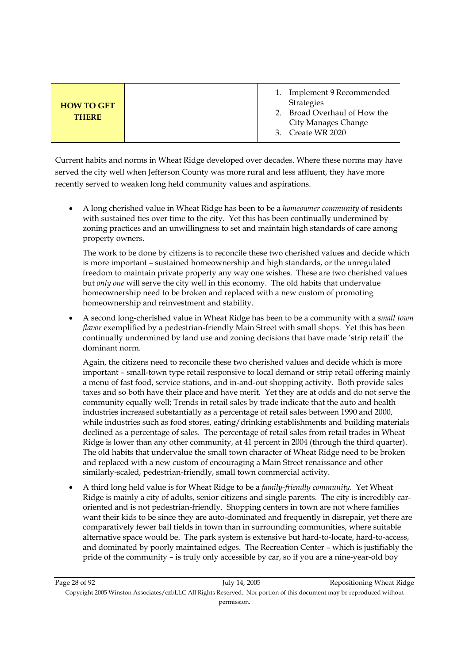|                                   |               | Implement 9 Recommended<br><b>Strategies</b>                          |
|-----------------------------------|---------------|-----------------------------------------------------------------------|
| <b>HOW TO GET</b><br><b>THERE</b> | $\mathcal{P}$ | Broad Overhaul of How the<br>City Manages Change<br>3. Create WR 2020 |

Current habits and norms in Wheat Ridge developed over decades. Where these norms may have served the city well when Jefferson County was more rural and less affluent, they have more recently served to weaken long held community values and aspirations.

• A long cherished value in Wheat Ridge has been to be a *homeowner community* of residents with sustained ties over time to the city. Yet this has been continually undermined by zoning practices and an unwillingness to set and maintain high standards of care among property owners.

The work to be done by citizens is to reconcile these two cherished values and decide which is more important – sustained homeownership and high standards, or the unregulated freedom to maintain private property any way one wishes. These are two cherished values but *only one* will serve the city well in this economy. The old habits that undervalue homeownership need to be broken and replaced with a new custom of promoting homeownership and reinvestment and stability.

• A second long-cherished value in Wheat Ridge has been to be a community with a *small town flavor* exemplified by a pedestrian-friendly Main Street with small shops. Yet this has been continually undermined by land use and zoning decisions that have made 'strip retail' the dominant norm.

Again, the citizens need to reconcile these two cherished values and decide which is more important – small-town type retail responsive to local demand or strip retail offering mainly a menu of fast food, service stations, and in-and-out shopping activity. Both provide sales taxes and so both have their place and have merit. Yet they are at odds and do not serve the community equally well; Trends in retail sales by trade indicate that the auto and health industries increased substantially as a percentage of retail sales between 1990 and 2000, while industries such as food stores, eating/drinking establishments and building materials declined as a percentage of sales. The percentage of retail sales from retail trades in Wheat Ridge is lower than any other community, at 41 percent in 2004 (through the third quarter). The old habits that undervalue the small town character of Wheat Ridge need to be broken and replaced with a new custom of encouraging a Main Street renaissance and other similarly-scaled, pedestrian-friendly, small town commercial activity.

• A third long held value is for Wheat Ridge to be a *family-friendly community*. Yet Wheat Ridge is mainly a city of adults, senior citizens and single parents. The city is incredibly caroriented and is not pedestrian-friendly. Shopping centers in town are not where families want their kids to be since they are auto-dominated and frequently in disrepair, yet there are comparatively fewer ball fields in town than in surrounding communities, where suitable alternative space would be. The park system is extensive but hard-to-locate, hard-to-access, and dominated by poorly maintained edges. The Recreation Center – which is justifiably the pride of the community – is truly only accessible by car, so if you are a nine-year-old boy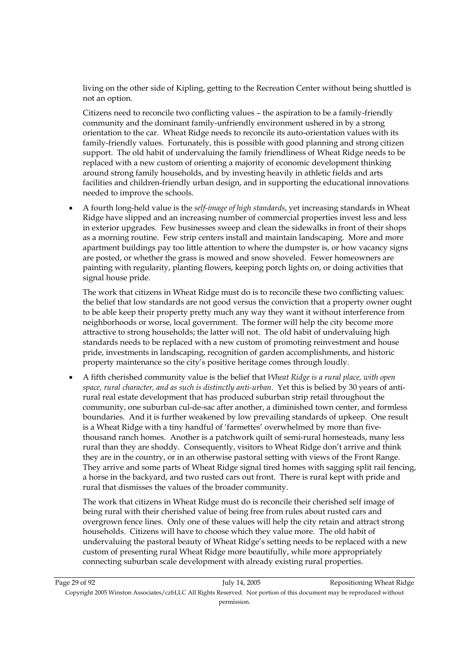living on the other side of Kipling, getting to the Recreation Center without being shuttled is not an option.

Citizens need to reconcile two conflicting values – the aspiration to be a family-friendly community and the dominant family-unfriendly environment ushered in by a strong orientation to the car. Wheat Ridge needs to reconcile its auto-orientation values with its family-friendly values. Fortunately, this is possible with good planning and strong citizen support. The old habit of undervaluing the family friendliness of Wheat Ridge needs to be replaced with a new custom of orienting a majority of economic development thinking around strong family households, and by investing heavily in athletic fields and arts facilities and children-friendly urban design, and in supporting the educational innovations needed to improve the schools.

• A fourth long-held value is the *self-image of high standards*, yet increasing standards in Wheat Ridge have slipped and an increasing number of commercial properties invest less and less in exterior upgrades. Few businesses sweep and clean the sidewalks in front of their shops as a morning routine. Few strip centers install and maintain landscaping. More and more apartment buildings pay too little attention to where the dumpster is, or how vacancy signs are posted, or whether the grass is mowed and snow shoveled. Fewer homeowners are painting with regularity, planting flowers, keeping porch lights on, or doing activities that signal house pride.

The work that citizens in Wheat Ridge must do is to reconcile these two conflicting values: the belief that low standards are not good versus the conviction that a property owner ought to be able keep their property pretty much any way they want it without interference from neighborhoods or worse, local government. The former will help the city become more attractive to strong households; the latter will not. The old habit of undervaluing high standards needs to be replaced with a new custom of promoting reinvestment and house pride, investments in landscaping, recognition of garden accomplishments, and historic property maintenance so the city's positive heritage comes through loudly.

• A fifth cherished community value is the belief that *Wheat Ridge is a rural place, with open space, rural character, and as such is distinctly anti-urban*. Yet this is belied by 30 years of antirural real estate development that has produced suburban strip retail throughout the community, one suburban cul-de-sac after another, a diminished town center, and formless boundaries. And it is further weakened by low prevailing standards of upkeep. One result is a Wheat Ridge with a tiny handful of 'farmettes' overwhelmed by more than fivethousand ranch homes. Another is a patchwork quilt of semi-rural homesteads, many less rural than they are shoddy. Consequently, visitors to Wheat Ridge don't arrive and think they are in the country, or in an otherwise pastoral setting with views of the Front Range. They arrive and some parts of Wheat Ridge signal tired homes with sagging split rail fencing, a horse in the backyard, and two rusted cars out front. There is rural kept with pride and rural that dismisses the values of the broader community.

The work that citizens in Wheat Ridge must do is reconcile their cherished self image of being rural with their cherished value of being free from rules about rusted cars and overgrown fence lines. Only one of these values will help the city retain and attract strong households. Citizens will have to choose which they value more. The old habit of undervaluing the pastoral beauty of Wheat Ridge's setting needs to be replaced with a new custom of presenting rural Wheat Ridge more beautifully, while more appropriately connecting suburban scale development with already existing rural properties.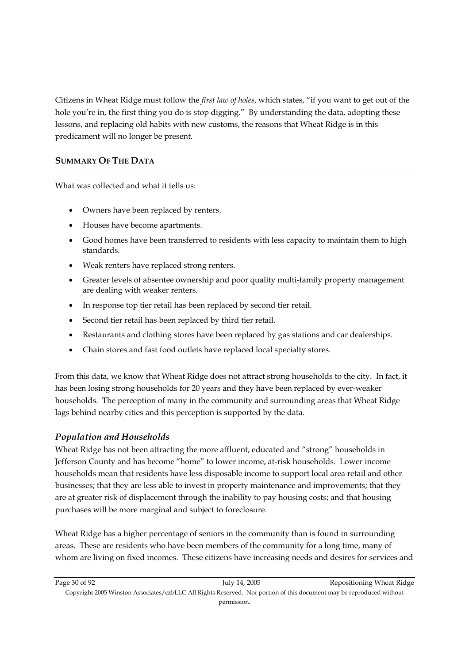Citizens in Wheat Ridge must follow the *first law of holes*, which states, "if you want to get out of the hole you're in, the first thing you do is stop digging." By understanding the data, adopting these lessons, and replacing old habits with new customs, the reasons that Wheat Ridge is in this predicament will no longer be present.

#### **SUMMARY OF THE DATA**

What was collected and what it tells us:

- Owners have been replaced by renters.
- Houses have become apartments.
- Good homes have been transferred to residents with less capacity to maintain them to high standards.
- Weak renters have replaced strong renters.
- Greater levels of absentee ownership and poor quality multi-family property management are dealing with weaker renters.
- In response top tier retail has been replaced by second tier retail.
- Second tier retail has been replaced by third tier retail.
- Restaurants and clothing stores have been replaced by gas stations and car dealerships.
- Chain stores and fast food outlets have replaced local specialty stores.

From this data, we know that Wheat Ridge does not attract strong households to the city. In fact, it has been losing strong households for 20 years and they have been replaced by ever-weaker households. The perception of many in the community and surrounding areas that Wheat Ridge lags behind nearby cities and this perception is supported by the data.

#### *Population and Households*

Wheat Ridge has not been attracting the more affluent, educated and "strong" households in Jefferson County and has become "home" to lower income, at-risk households. Lower income households mean that residents have less disposable income to support local area retail and other businesses; that they are less able to invest in property maintenance and improvements; that they are at greater risk of displacement through the inability to pay housing costs; and that housing purchases will be more marginal and subject to foreclosure.

Wheat Ridge has a higher percentage of seniors in the community than is found in surrounding areas. These are residents who have been members of the community for a long time, many of whom are living on fixed incomes. These citizens have increasing needs and desires for services and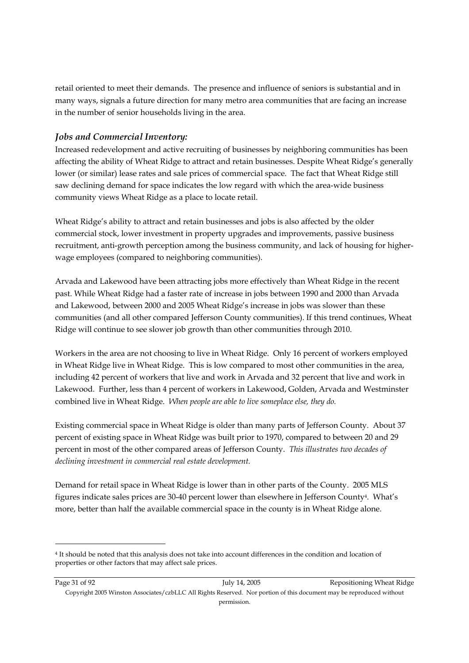retail oriented to meet their demands. The presence and influence of seniors is substantial and in many ways, signals a future direction for many metro area communities that are facing an increase in the number of senior households living in the area.

#### *Jobs and Commercial Inventory:*

Increased redevelopment and active recruiting of businesses by neighboring communities has been affecting the ability of Wheat Ridge to attract and retain businesses. Despite Wheat Ridge's generally lower (or similar) lease rates and sale prices of commercial space. The fact that Wheat Ridge still saw declining demand for space indicates the low regard with which the area-wide business community views Wheat Ridge as a place to locate retail.

Wheat Ridge's ability to attract and retain businesses and jobs is also affected by the older commercial stock, lower investment in property upgrades and improvements, passive business recruitment, anti-growth perception among the business community, and lack of housing for higherwage employees (compared to neighboring communities).

Arvada and Lakewood have been attracting jobs more effectively than Wheat Ridge in the recent past. While Wheat Ridge had a faster rate of increase in jobs between 1990 and 2000 than Arvada and Lakewood, between 2000 and 2005 Wheat Ridge's increase in jobs was slower than these communities (and all other compared Jefferson County communities). If this trend continues, Wheat Ridge will continue to see slower job growth than other communities through 2010.

Workers in the area are not choosing to live in Wheat Ridge. Only 16 percent of workers employed in Wheat Ridge live in Wheat Ridge. This is low compared to most other communities in the area, including 42 percent of workers that live and work in Arvada and 32 percent that live and work in Lakewood. Further, less than 4 percent of workers in Lakewood, Golden, Arvada and Westminster combined live in Wheat Ridge. *When people are able to live someplace else, they do.*

Existing commercial space in Wheat Ridge is older than many parts of Jefferson County. About 37 percent of existing space in Wheat Ridge was built prior to 1970, compared to between 20 and 29 percent in most of the other compared areas of Jefferson County. *This illustrates two decades of declining investment in commercial real estate development.*

Demand for retail space in Wheat Ridge is lower than in other parts of the County. 2005 MLS figures indicate sales prices are 30-40 percent lower than elsewhere in Jefferson County4. What's more, better than half the available commercial space in the county is in Wheat Ridge alone.

-

<sup>4</sup> It should be noted that this analysis does not take into account differences in the condition and location of properties or other factors that may affect sale prices.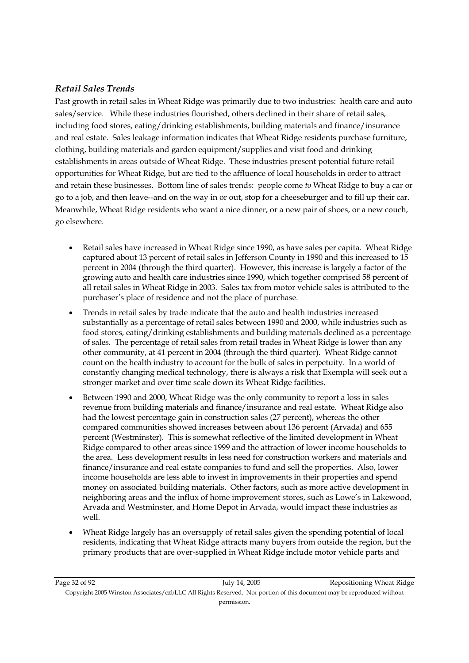#### *Retail Sales Trends*

Past growth in retail sales in Wheat Ridge was primarily due to two industries: health care and auto sales/service. While these industries flourished, others declined in their share of retail sales, including food stores, eating/drinking establishments, building materials and finance/insurance and real estate. Sales leakage information indicates that Wheat Ridge residents purchase furniture, clothing, building materials and garden equipment/supplies and visit food and drinking establishments in areas outside of Wheat Ridge. These industries present potential future retail opportunities for Wheat Ridge, but are tied to the affluence of local households in order to attract and retain these businesses. Bottom line of sales trends: people come *to* Wheat Ridge to buy a car or go to a job, and then leave--and on the way in or out, stop for a cheeseburger and to fill up their car. Meanwhile, Wheat Ridge residents who want a nice dinner, or a new pair of shoes, or a new couch, go elsewhere.

- Retail sales have increased in Wheat Ridge since 1990, as have sales per capita. Wheat Ridge captured about 13 percent of retail sales in Jefferson County in 1990 and this increased to 15 percent in 2004 (through the third quarter). However, this increase is largely a factor of the growing auto and health care industries since 1990, which together comprised 58 percent of all retail sales in Wheat Ridge in 2003. Sales tax from motor vehicle sales is attributed to the purchaser's place of residence and not the place of purchase.
- Trends in retail sales by trade indicate that the auto and health industries increased substantially as a percentage of retail sales between 1990 and 2000, while industries such as food stores, eating/drinking establishments and building materials declined as a percentage of sales. The percentage of retail sales from retail trades in Wheat Ridge is lower than any other community, at 41 percent in 2004 (through the third quarter). Wheat Ridge cannot count on the health industry to account for the bulk of sales in perpetuity. In a world of constantly changing medical technology, there is always a risk that Exempla will seek out a stronger market and over time scale down its Wheat Ridge facilities.
- Between 1990 and 2000, Wheat Ridge was the only community to report a loss in sales revenue from building materials and finance/insurance and real estate. Wheat Ridge also had the lowest percentage gain in construction sales (27 percent), whereas the other compared communities showed increases between about 136 percent (Arvada) and 655 percent (Westminster). This is somewhat reflective of the limited development in Wheat Ridge compared to other areas since 1999 and the attraction of lower income households to the area. Less development results in less need for construction workers and materials and finance/insurance and real estate companies to fund and sell the properties. Also, lower income households are less able to invest in improvements in their properties and spend money on associated building materials. Other factors, such as more active development in neighboring areas and the influx of home improvement stores, such as Lowe's in Lakewood, Arvada and Westminster, and Home Depot in Arvada, would impact these industries as well.
- Wheat Ridge largely has an oversupply of retail sales given the spending potential of local residents, indicating that Wheat Ridge attracts many buyers from outside the region, but the primary products that are over-supplied in Wheat Ridge include motor vehicle parts and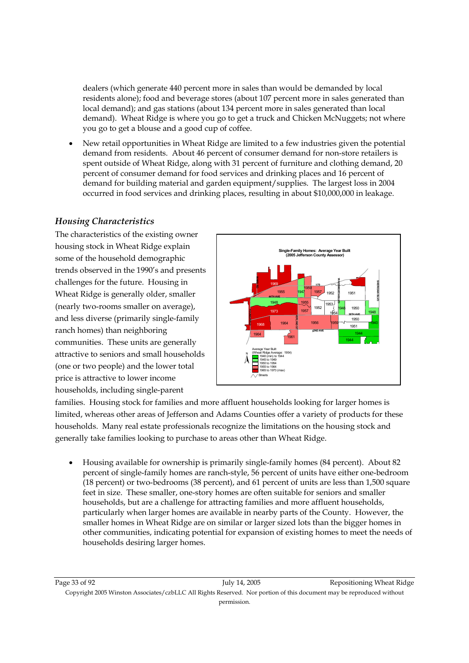dealers (which generate 440 percent more in sales than would be demanded by local residents alone); food and beverage stores (about 107 percent more in sales generated than local demand); and gas stations (about 134 percent more in sales generated than local demand). Wheat Ridge is where you go to get a truck and Chicken McNuggets; not where you go to get a blouse and a good cup of coffee.

• New retail opportunities in Wheat Ridge are limited to a few industries given the potential demand from residents. About 46 percent of consumer demand for non-store retailers is spent outside of Wheat Ridge, along with 31 percent of furniture and clothing demand, 20 percent of consumer demand for food services and drinking places and 16 percent of demand for building material and garden equipment/supplies. The largest loss in 2004 occurred in food services and drinking places, resulting in about \$10,000,000 in leakage.

#### *Housing Characteristics*

The characteristics of the existing owner housing stock in Wheat Ridge explain some of the household demographic trends observed in the 1990's and presents challenges for the future. Housing in Wheat Ridge is generally older, smaller (nearly two-rooms smaller on average), and less diverse (primarily single-family ranch homes) than neighboring communities. These units are generally attractive to seniors and small households (one or two people) and the lower total price is attractive to lower income households, including single-parent



families. Housing stock for families and more affluent households looking for larger homes is limited, whereas other areas of Jefferson and Adams Counties offer a variety of products for these households. Many real estate professionals recognize the limitations on the housing stock and generally take families looking to purchase to areas other than Wheat Ridge.

• Housing available for ownership is primarily single-family homes (84 percent). About 82 percent of single-family homes are ranch-style, 56 percent of units have either one-bedroom (18 percent) or two-bedrooms (38 percent), and 61 percent of units are less than 1,500 square feet in size. These smaller, one-story homes are often suitable for seniors and smaller households, but are a challenge for attracting families and more affluent households, particularly when larger homes are available in nearby parts of the County. However, the smaller homes in Wheat Ridge are on similar or larger sized lots than the bigger homes in other communities, indicating potential for expansion of existing homes to meet the needs of households desiring larger homes.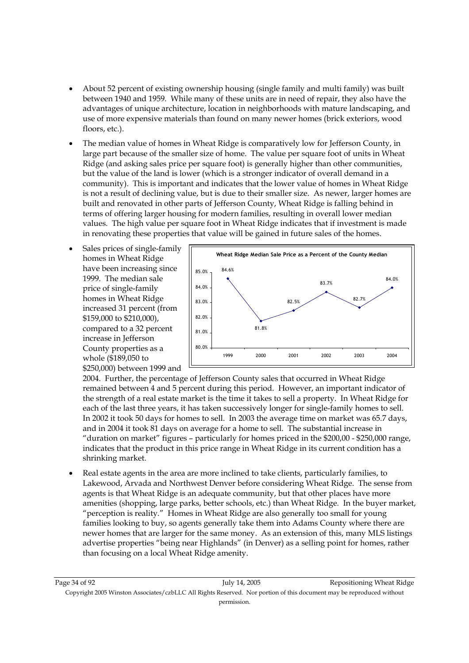- About 52 percent of existing ownership housing (single family and multi family) was built between 1940 and 1959. While many of these units are in need of repair, they also have the advantages of unique architecture, location in neighborhoods with mature landscaping, and use of more expensive materials than found on many newer homes (brick exteriors, wood floors, etc.).
- The median value of homes in Wheat Ridge is comparatively low for Jefferson County, in large part because of the smaller size of home. The value per square foot of units in Wheat Ridge (and asking sales price per square foot) is generally higher than other communities, but the value of the land is lower (which is a stronger indicator of overall demand in a community). This is important and indicates that the lower value of homes in Wheat Ridge is not a result of declining value, but is due to their smaller size. As newer, larger homes are built and renovated in other parts of Jefferson County, Wheat Ridge is falling behind in terms of offering larger housing for modern families, resulting in overall lower median values. The high value per square foot in Wheat Ridge indicates that if investment is made in renovating these properties that value will be gained in future sales of the homes.
- Sales prices of single-family homes in Wheat Ridge have been increasing since 1999. The median sale price of single-family homes in Wheat Ridge increased 31 percent (from \$159,000 to \$210,000), compared to a 32 percent increase in Jefferson County properties as a whole (\$189,050 to \$250,000) between 1999 and



2004. Further, the percentage of Jefferson County sales that occurred in Wheat Ridge remained between 4 and 5 percent during this period. However, an important indicator of the strength of a real estate market is the time it takes to sell a property. In Wheat Ridge for each of the last three years, it has taken successively longer for single-family homes to sell. In 2002 it took 50 days for homes to sell. In 2003 the average time on market was 65.7 days, and in 2004 it took 81 days on average for a home to sell. The substantial increase in "duration on market" figures – particularly for homes priced in the \$200,00 - \$250,000 range, indicates that the product in this price range in Wheat Ridge in its current condition has a shrinking market.

• Real estate agents in the area are more inclined to take clients, particularly families, to Lakewood, Arvada and Northwest Denver before considering Wheat Ridge. The sense from agents is that Wheat Ridge is an adequate community, but that other places have more amenities (shopping, large parks, better schools, etc.) than Wheat Ridge. In the buyer market, "perception is reality." Homes in Wheat Ridge are also generally too small for young families looking to buy, so agents generally take them into Adams County where there are newer homes that are larger for the same money. As an extension of this, many MLS listings advertise properties "being near Highlands" (in Denver) as a selling point for homes, rather than focusing on a local Wheat Ridge amenity.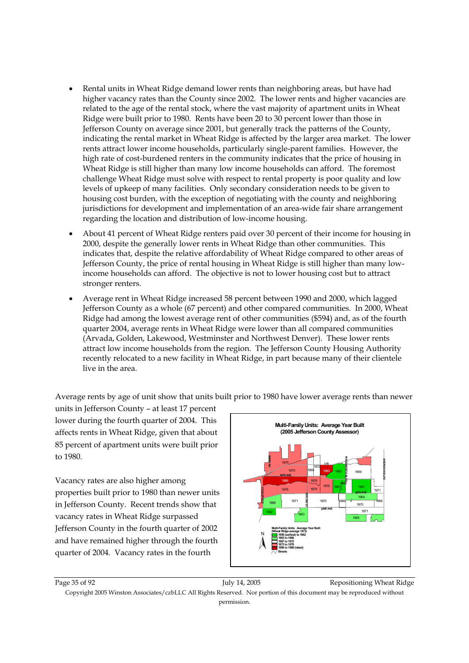- Rental units in Wheat Ridge demand lower rents than neighboring areas, but have had higher vacancy rates than the County since 2002. The lower rents and higher vacancies are related to the age of the rental stock, where the vast majority of apartment units in Wheat Ridge were built prior to 1980. Rents have been 20 to 30 percent lower than those in Jefferson County on average since 2001, but generally track the patterns of the County, indicating the rental market in Wheat Ridge is affected by the larger area market. The lower rents attract lower income households, particularly single-parent families. However, the high rate of cost-burdened renters in the community indicates that the price of housing in Wheat Ridge is still higher than many low income households can afford. The foremost challenge Wheat Ridge must solve with respect to rental property is poor quality and low levels of upkeep of many facilities. Only secondary consideration needs to be given to housing cost burden, with the exception of negotiating with the county and neighboring jurisdictions for development and implementation of an area-wide fair share arrangement regarding the location and distribution of low-income housing.
- About 41 percent of Wheat Ridge renters paid over 30 percent of their income for housing in 2000, despite the generally lower rents in Wheat Ridge than other communities. This indicates that, despite the relative affordability of Wheat Ridge compared to other areas of Jefferson County, the price of rental housing in Wheat Ridge is still higher than many lowincome households can afford. The objective is not to lower housing cost but to attract stronger renters.
- Average rent in Wheat Ridge increased 58 percent between 1990 and 2000, which lagged Jefferson County as a whole (67 percent) and other compared communities. In 2000, Wheat Ridge had among the lowest average rent of other communities (\$594) and, as of the fourth quarter 2004, average rents in Wheat Ridge were lower than all compared communities (Arvada, Golden, Lakewood, Westminster and Northwest Denver). These lower rents attract low income households from the region. The Jefferson County Housing Authority recently relocated to a new facility in Wheat Ridge, in part because many of their clientele live in the area.

Average rents by age of unit show that units built prior to 1980 have lower average rents than newer

units in Jefferson County – at least 17 percent lower during the fourth quarter of 2004. This affects rents in Wheat Ridge, given that about 85 percent of apartment units were built prior to 1980.

Vacancy rates are also higher among properties built prior to 1980 than newer units in Jefferson County. Recent trends show that vacancy rates in Wheat Ridge surpassed Jefferson County in the fourth quarter of 2002 and have remained higher through the fourth quarter of 2004. Vacancy rates in the fourth



Page 35 of 92 July 14, 2005 Repositioning Wheat Ridge Copyright 2005 Winston Associates/czbLLC All Rights Reserved. Nor portion of this document may be reproduced without permission.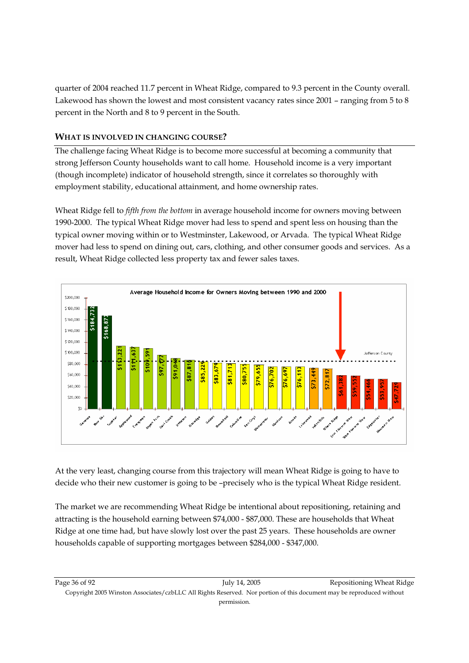quarter of 2004 reached 11.7 percent in Wheat Ridge, compared to 9.3 percent in the County overall. Lakewood has shown the lowest and most consistent vacancy rates since 2001 – ranging from 5 to 8 percent in the North and 8 to 9 percent in the South.

#### **WHAT IS INVOLVED IN CHANGING COURSE?**

The challenge facing Wheat Ridge is to become more successful at becoming a community that strong Jefferson County households want to call home. Household income is a very important (though incomplete) indicator of household strength, since it correlates so thoroughly with employment stability, educational attainment, and home ownership rates.

Wheat Ridge fell to *fifth from the bottom* in average household income for owners moving between 1990-2000. The typical Wheat Ridge mover had less to spend and spent less on housing than the typical owner moving within or to Westminster, Lakewood, or Arvada. The typical Wheat Ridge mover had less to spend on dining out, cars, clothing, and other consumer goods and services. As a result, Wheat Ridge collected less property tax and fewer sales taxes.



At the very least, changing course from this trajectory will mean Wheat Ridge is going to have to decide who their new customer is going to be –precisely who is the typical Wheat Ridge resident.

The market we are recommending Wheat Ridge be intentional about repositioning, retaining and attracting is the household earning between \$74,000 - \$87,000. These are households that Wheat Ridge at one time had, but have slowly lost over the past 25 years. These households are owner households capable of supporting mortgages between \$284,000 - \$347,000.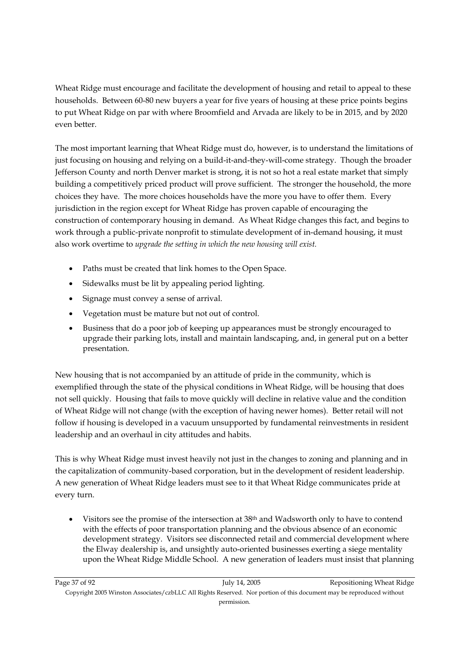Wheat Ridge must encourage and facilitate the development of housing and retail to appeal to these households. Between 60-80 new buyers a year for five years of housing at these price points begins to put Wheat Ridge on par with where Broomfield and Arvada are likely to be in 2015, and by 2020 even better.

The most important learning that Wheat Ridge must do, however, is to understand the limitations of just focusing on housing and relying on a build-it-and-they-will-come strategy. Though the broader Jefferson County and north Denver market is strong, it is not so hot a real estate market that simply building a competitively priced product will prove sufficient. The stronger the household, the more choices they have. The more choices households have the more you have to offer them. Every jurisdiction in the region except for Wheat Ridge has proven capable of encouraging the construction of contemporary housing in demand. As Wheat Ridge changes this fact, and begins to work through a public-private nonprofit to stimulate development of in-demand housing, it must also work overtime to *upgrade the setting in which the new housing will exist.*

- Paths must be created that link homes to the Open Space.
- Sidewalks must be lit by appealing period lighting.
- Signage must convey a sense of arrival.
- Vegetation must be mature but not out of control.
- Business that do a poor job of keeping up appearances must be strongly encouraged to upgrade their parking lots, install and maintain landscaping, and, in general put on a better presentation.

New housing that is not accompanied by an attitude of pride in the community, which is exemplified through the state of the physical conditions in Wheat Ridge, will be housing that does not sell quickly. Housing that fails to move quickly will decline in relative value and the condition of Wheat Ridge will not change (with the exception of having newer homes). Better retail will not follow if housing is developed in a vacuum unsupported by fundamental reinvestments in resident leadership and an overhaul in city attitudes and habits.

This is why Wheat Ridge must invest heavily not just in the changes to zoning and planning and in the capitalization of community-based corporation, but in the development of resident leadership. A new generation of Wheat Ridge leaders must see to it that Wheat Ridge communicates pride at every turn.

• Visitors see the promise of the intersection at 38th and Wadsworth only to have to contend with the effects of poor transportation planning and the obvious absence of an economic development strategy. Visitors see disconnected retail and commercial development where the Elway dealership is, and unsightly auto-oriented businesses exerting a siege mentality upon the Wheat Ridge Middle School. A new generation of leaders must insist that planning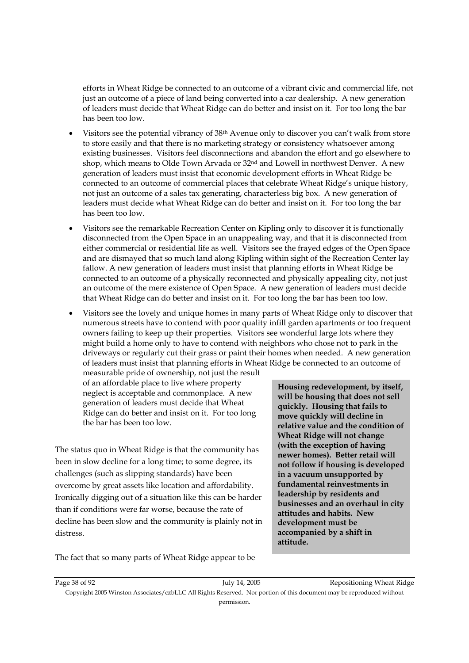efforts in Wheat Ridge be connected to an outcome of a vibrant civic and commercial life, not just an outcome of a piece of land being converted into a car dealership. A new generation of leaders must decide that Wheat Ridge can do better and insist on it. For too long the bar has been too low.

- Visitors see the potential vibrancy of 38th Avenue only to discover you can't walk from store to store easily and that there is no marketing strategy or consistency whatsoever among existing businesses. Visitors feel disconnections and abandon the effort and go elsewhere to shop, which means to Olde Town Arvada or 32nd and Lowell in northwest Denver. A new generation of leaders must insist that economic development efforts in Wheat Ridge be connected to an outcome of commercial places that celebrate Wheat Ridge's unique history, not just an outcome of a sales tax generating, characterless big box. A new generation of leaders must decide what Wheat Ridge can do better and insist on it. For too long the bar has been too low.
- Visitors see the remarkable Recreation Center on Kipling only to discover it is functionally disconnected from the Open Space in an unappealing way, and that it is disconnected from either commercial or residential life as well. Visitors see the frayed edges of the Open Space and are dismayed that so much land along Kipling within sight of the Recreation Center lay fallow. A new generation of leaders must insist that planning efforts in Wheat Ridge be connected to an outcome of a physically reconnected and physically appealing city, not just an outcome of the mere existence of Open Space. A new generation of leaders must decide that Wheat Ridge can do better and insist on it. For too long the bar has been too low.
- Visitors see the lovely and unique homes in many parts of Wheat Ridge only to discover that numerous streets have to contend with poor quality infill garden apartments or too frequent owners failing to keep up their properties. Visitors see wonderful large lots where they might build a home only to have to contend with neighbors who chose not to park in the driveways or regularly cut their grass or paint their homes when needed. A new generation of leaders must insist that planning efforts in Wheat Ridge be connected to an outcome of

measurable pride of ownership, not just the result of an affordable place to live where property neglect is acceptable and commonplace. A new generation of leaders must decide that Wheat Ridge can do better and insist on it. For too long the bar has been too low.

The status quo in Wheat Ridge is that the community has been in slow decline for a long time; to some degree, its challenges (such as slipping standards) have been overcome by great assets like location and affordability. Ironically digging out of a situation like this can be harder than if conditions were far worse, because the rate of decline has been slow and the community is plainly not in distress.

**Housing redevelopment, by itself, will be housing that does not sell quickly. Housing that fails to move quickly will decline in relative value and the condition of Wheat Ridge will not change (with the exception of having newer homes). Better retail will not follow if housing is developed in a vacuum unsupported by fundamental reinvestments in leadership by residents and businesses and an overhaul in city attitudes and habits. New development must be accompanied by a shift in attitude.** 

The fact that so many parts of Wheat Ridge appear to be

Page 38 of 92 July 14, 2005 Repositioning Wheat Ridge Copyright 2005 Winston Associates/czbLLC All Rights Reserved. Nor portion of this document may be reproduced without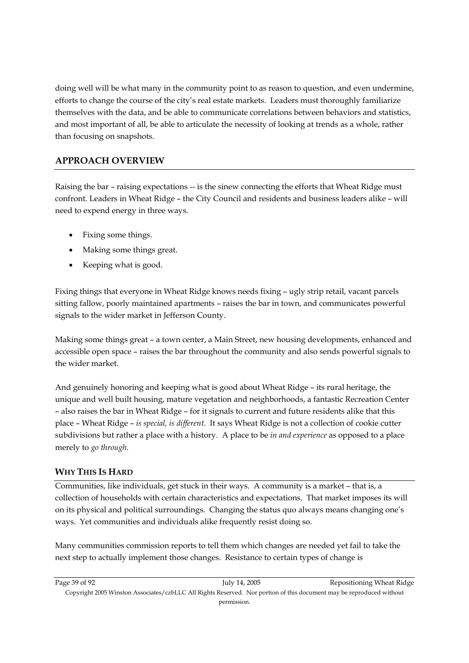doing well will be what many in the community point to as reason to question, and even undermine, efforts to change the course of the city's real estate markets. Leaders must thoroughly familiarize themselves with the data, and be able to communicate correlations between behaviors and statistics, and most important of all, be able to articulate the necessity of looking at trends as a whole, rather than focusing on snapshots.

## **APPROACH OVERVIEW**

Raising the bar – raising expectations -- is the sinew connecting the efforts that Wheat Ridge must confront. Leaders in Wheat Ridge – the City Council and residents and business leaders alike – will need to expend energy in three ways.

- Fixing some things.
- Making some things great.
- Keeping what is good.

Fixing things that everyone in Wheat Ridge knows needs fixing – ugly strip retail, vacant parcels sitting fallow, poorly maintained apartments – raises the bar in town, and communicates powerful signals to the wider market in Jefferson County.

Making some things great – a town center, a Main Street, new housing developments, enhanced and accessible open space – raises the bar throughout the community and also sends powerful signals to the wider market.

And genuinely honoring and keeping what is good about Wheat Ridge – its rural heritage, the unique and well built housing, mature vegetation and neighborhoods, a fantastic Recreation Center – also raises the bar in Wheat Ridge – for it signals to current and future residents alike that this place – Wheat Ridge – *is special, is different*. It says Wheat Ridge is not a collection of cookie cutter subdivisions but rather a place with a history. A place to be *in and experience* as opposed to a place merely to *go through*.

## **WHY THIS IS HARD**

Communities, like individuals, get stuck in their ways. A community is a market – that is, a collection of households with certain characteristics and expectations. That market imposes its will on its physical and political surroundings. Changing the status quo always means changing one's ways. Yet communities and individuals alike frequently resist doing so.

Many communities commission reports to tell them which changes are needed yet fail to take the next step to actually implement those changes. Resistance to certain types of change is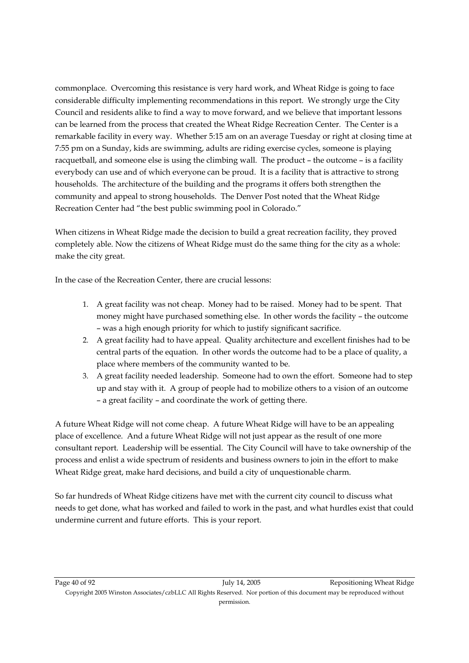commonplace. Overcoming this resistance is very hard work, and Wheat Ridge is going to face considerable difficulty implementing recommendations in this report. We strongly urge the City Council and residents alike to find a way to move forward, and we believe that important lessons can be learned from the process that created the Wheat Ridge Recreation Center. The Center is a remarkable facility in every way. Whether 5:15 am on an average Tuesday or right at closing time at 7:55 pm on a Sunday, kids are swimming, adults are riding exercise cycles, someone is playing racquetball, and someone else is using the climbing wall. The product – the outcome – is a facility everybody can use and of which everyone can be proud. It is a facility that is attractive to strong households. The architecture of the building and the programs it offers both strengthen the community and appeal to strong households. The Denver Post noted that the Wheat Ridge Recreation Center had "the best public swimming pool in Colorado."

When citizens in Wheat Ridge made the decision to build a great recreation facility, they proved completely able. Now the citizens of Wheat Ridge must do the same thing for the city as a whole: make the city great.

In the case of the Recreation Center, there are crucial lessons:

- 1. A great facility was not cheap. Money had to be raised. Money had to be spent. That money might have purchased something else. In other words the facility – the outcome – was a high enough priority for which to justify significant sacrifice.
- 2. A great facility had to have appeal. Quality architecture and excellent finishes had to be central parts of the equation. In other words the outcome had to be a place of quality, a place where members of the community wanted to be.
- 3. A great facility needed leadership. Someone had to own the effort. Someone had to step up and stay with it. A group of people had to mobilize others to a vision of an outcome – a great facility – and coordinate the work of getting there.

A future Wheat Ridge will not come cheap. A future Wheat Ridge will have to be an appealing place of excellence. And a future Wheat Ridge will not just appear as the result of one more consultant report. Leadership will be essential. The City Council will have to take ownership of the process and enlist a wide spectrum of residents and business owners to join in the effort to make Wheat Ridge great, make hard decisions, and build a city of unquestionable charm.

So far hundreds of Wheat Ridge citizens have met with the current city council to discuss what needs to get done, what has worked and failed to work in the past, and what hurdles exist that could undermine current and future efforts. This is your report.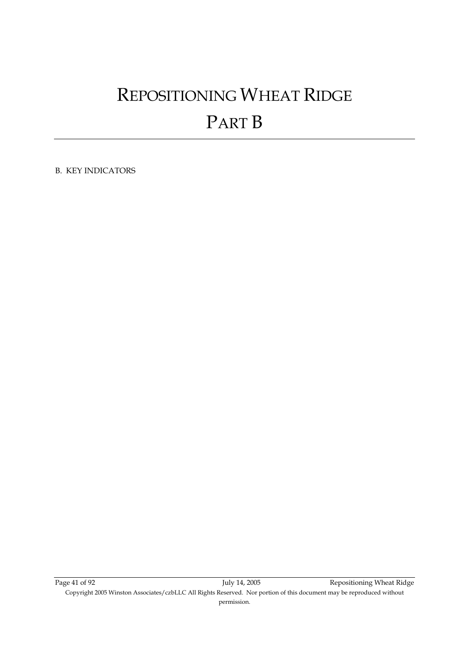# REPOSITIONING WHEAT RIDGE PART B

B. KEY INDICATORS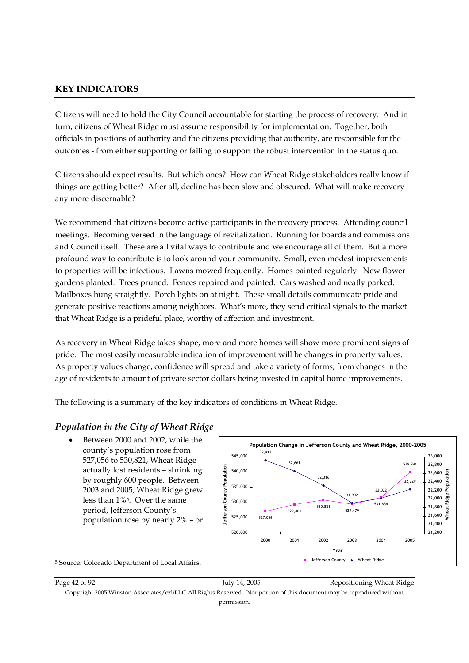## **KEY INDICATORS**

Citizens will need to hold the City Council accountable for starting the process of recovery. And in turn, citizens of Wheat Ridge must assume responsibility for implementation. Together, both officials in positions of authority and the citizens providing that authority, are responsible for the outcomes - from either supporting or failing to support the robust intervention in the status quo.

Citizens should expect results. But which ones? How can Wheat Ridge stakeholders really know if things are getting better? After all, decline has been slow and obscured. What will make recovery any more discernable?

We recommend that citizens become active participants in the recovery process. Attending council meetings. Becoming versed in the language of revitalization. Running for boards and commissions and Council itself. These are all vital ways to contribute and we encourage all of them. But a more profound way to contribute is to look around your community. Small, even modest improvements to properties will be infectious. Lawns mowed frequently. Homes painted regularly. New flower gardens planted. Trees pruned. Fences repaired and painted. Cars washed and neatly parked. Mailboxes hung straightly. Porch lights on at night. These small details communicate pride and generate positive reactions among neighbors. What's more, they send critical signals to the market that Wheat Ridge is a prideful place, worthy of affection and investment.

As recovery in Wheat Ridge takes shape, more and more homes will show more prominent signs of pride. The most easily measurable indication of improvement will be changes in property values. As property values change, confidence will spread and take a variety of forms, from changes in the age of residents to amount of private sector dollars being invested in capital home improvements.

The following is a summary of the key indicators of conditions in Wheat Ridge.

## *Population in the City of Wheat Ridge*

Between 2000 and 2002, while the county's population rose from 527,056 to 530,821, Wheat Ridge actually lost residents – shrinking by roughly 600 people. Between 2003 and 2005, Wheat Ridge grew less than 1%5. Over the same period, Jefferson County's population rose by nearly 2% – or



5 Source: Colorado Department of Local Affairs.

-

Page 42 of 92 **Page 42** of 92 July 14, 2005 **Repositioning Wheat Ridge** 

Copyright 2005 Winston Associates/czbLLC All Rights Reserved. Nor portion of this document may be reproduced without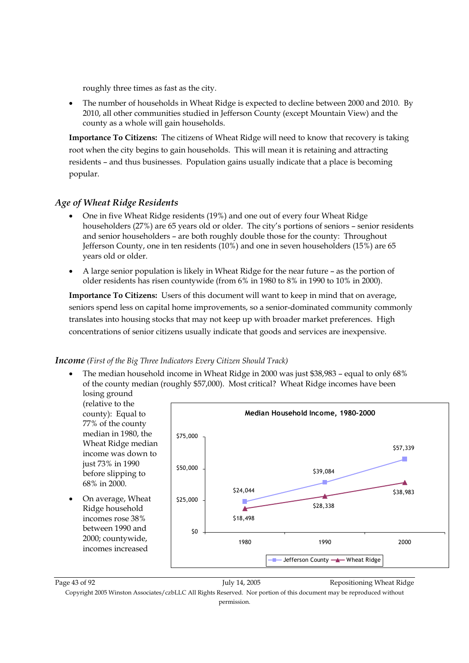roughly three times as fast as the city.

• The number of households in Wheat Ridge is expected to decline between 2000 and 2010. By 2010, all other communities studied in Jefferson County (except Mountain View) and the county as a whole will gain households.

**Importance To Citizens:** The citizens of Wheat Ridge will need to know that recovery is taking root when the city begins to gain households. This will mean it is retaining and attracting residents – and thus businesses. Population gains usually indicate that a place is becoming popular.

## *Age of Wheat Ridge Residents*

- One in five Wheat Ridge residents (19%) and one out of every four Wheat Ridge householders (27%) are 65 years old or older. The city's portions of seniors – senior residents and senior householders – are both roughly double those for the county: Throughout Jefferson County, one in ten residents (10%) and one in seven householders (15%) are 65 years old or older.
- A large senior population is likely in Wheat Ridge for the near future as the portion of older residents has risen countywide (from 6% in 1980 to 8% in 1990 to 10% in 2000).

**Importance To Citizens:** Users of this document will want to keep in mind that on average, seniors spend less on capital home improvements, so a senior-dominated community commonly translates into housing stocks that may not keep up with broader market preferences. High concentrations of senior citizens usually indicate that goods and services are inexpensive.

#### *Income (First of the Big Three Indicators Every Citizen Should Track)*

• The median household income in Wheat Ridge in 2000 was just \$38,983 – equal to only 68% of the county median (roughly \$57,000). Most critical? Wheat Ridge incomes have been losing ground



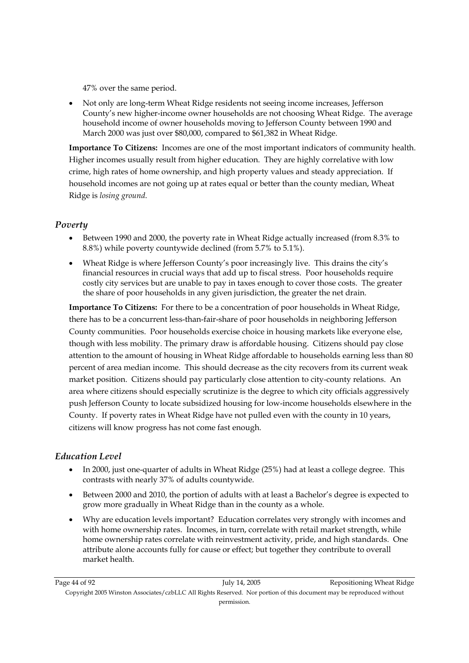47% over the same period.

• Not only are long-term Wheat Ridge residents not seeing income increases, Jefferson County's new higher-income owner households are not choosing Wheat Ridge. The average household income of owner households moving to Jefferson County between 1990 and March 2000 was just over \$80,000, compared to \$61,382 in Wheat Ridge.

**Importance To Citizens:** Incomes are one of the most important indicators of community health. Higher incomes usually result from higher education. They are highly correlative with low crime, high rates of home ownership, and high property values and steady appreciation. If household incomes are not going up at rates equal or better than the county median, Wheat Ridge is *losing ground*.

## *Poverty*

- Between 1990 and 2000, the poverty rate in Wheat Ridge actually increased (from 8.3% to 8.8%) while poverty countywide declined (from 5.7% to 5.1%).
- Wheat Ridge is where Jefferson County's poor increasingly live. This drains the city's financial resources in crucial ways that add up to fiscal stress. Poor households require costly city services but are unable to pay in taxes enough to cover those costs. The greater the share of poor households in any given jurisdiction, the greater the net drain.

**Importance To Citizens:** For there to be a concentration of poor households in Wheat Ridge, there has to be a concurrent less-than-fair-share of poor households in neighboring Jefferson County communities. Poor households exercise choice in housing markets like everyone else, though with less mobility. The primary draw is affordable housing. Citizens should pay close attention to the amount of housing in Wheat Ridge affordable to households earning less than 80 percent of area median income. This should decrease as the city recovers from its current weak market position. Citizens should pay particularly close attention to city-county relations. An area where citizens should especially scrutinize is the degree to which city officials aggressively push Jefferson County to locate subsidized housing for low-income households elsewhere in the County. If poverty rates in Wheat Ridge have not pulled even with the county in 10 years, citizens will know progress has not come fast enough.

## *Education Level*

- In 2000, just one-quarter of adults in Wheat Ridge (25%) had at least a college degree. This contrasts with nearly 37% of adults countywide.
- Between 2000 and 2010, the portion of adults with at least a Bachelor's degree is expected to grow more gradually in Wheat Ridge than in the county as a whole.
- Why are education levels important? Education correlates very strongly with incomes and with home ownership rates. Incomes, in turn, correlate with retail market strength, while home ownership rates correlate with reinvestment activity, pride, and high standards. One attribute alone accounts fully for cause or effect; but together they contribute to overall market health.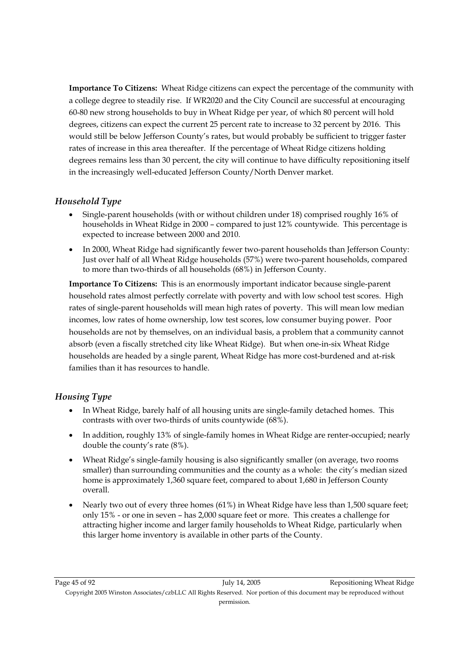**Importance To Citizens:** Wheat Ridge citizens can expect the percentage of the community with a college degree to steadily rise. If WR2020 and the City Council are successful at encouraging 60-80 new strong households to buy in Wheat Ridge per year, of which 80 percent will hold degrees, citizens can expect the current 25 percent rate to increase to 32 percent by 2016. This would still be below Jefferson County's rates, but would probably be sufficient to trigger faster rates of increase in this area thereafter. If the percentage of Wheat Ridge citizens holding degrees remains less than 30 percent, the city will continue to have difficulty repositioning itself in the increasingly well-educated Jefferson County/North Denver market.

## *Household Type*

- Single-parent households (with or without children under 18) comprised roughly 16% of households in Wheat Ridge in 2000 – compared to just 12% countywide. This percentage is expected to increase between 2000 and 2010.
- In 2000, Wheat Ridge had significantly fewer two-parent households than Jefferson County: Just over half of all Wheat Ridge households (57%) were two-parent households, compared to more than two-thirds of all households (68%) in Jefferson County.

**Importance To Citizens:** This is an enormously important indicator because single-parent household rates almost perfectly correlate with poverty and with low school test scores. High rates of single-parent households will mean high rates of poverty. This will mean low median incomes, low rates of home ownership, low test scores, low consumer buying power. Poor households are not by themselves, on an individual basis, a problem that a community cannot absorb (even a fiscally stretched city like Wheat Ridge). But when one-in-six Wheat Ridge households are headed by a single parent, Wheat Ridge has more cost-burdened and at-risk families than it has resources to handle.

## *Housing Type*

- In Wheat Ridge, barely half of all housing units are single-family detached homes. This contrasts with over two-thirds of units countywide (68%).
- In addition, roughly 13% of single-family homes in Wheat Ridge are renter-occupied; nearly double the county's rate (8%).
- Wheat Ridge's single-family housing is also significantly smaller (on average, two rooms smaller) than surrounding communities and the county as a whole: the city's median sized home is approximately 1,360 square feet, compared to about 1,680 in Jefferson County overall.
- Nearly two out of every three homes (61%) in Wheat Ridge have less than 1,500 square feet; only 15% - or one in seven – has 2,000 square feet or more. This creates a challenge for attracting higher income and larger family households to Wheat Ridge, particularly when this larger home inventory is available in other parts of the County.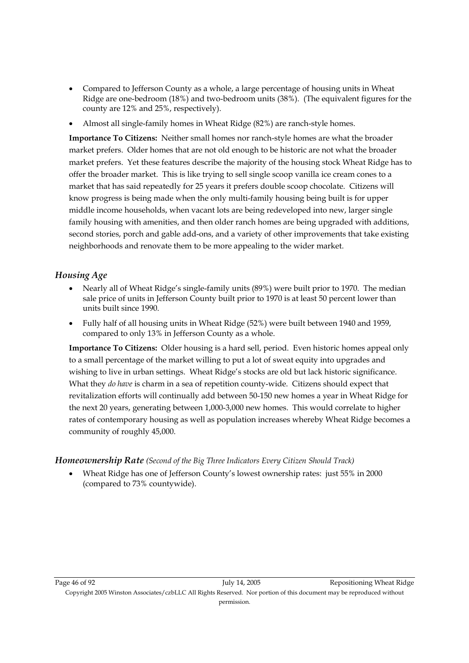- Compared to Jefferson County as a whole, a large percentage of housing units in Wheat Ridge are one-bedroom (18%) and two-bedroom units (38%). (The equivalent figures for the county are 12% and 25%, respectively).
- Almost all single-family homes in Wheat Ridge (82%) are ranch-style homes.

**Importance To Citizens:** Neither small homes nor ranch-style homes are what the broader market prefers. Older homes that are not old enough to be historic are not what the broader market prefers. Yet these features describe the majority of the housing stock Wheat Ridge has to offer the broader market. This is like trying to sell single scoop vanilla ice cream cones to a market that has said repeatedly for 25 years it prefers double scoop chocolate. Citizens will know progress is being made when the only multi-family housing being built is for upper middle income households, when vacant lots are being redeveloped into new, larger single family housing with amenities, and then older ranch homes are being upgraded with additions, second stories, porch and gable add-ons, and a variety of other improvements that take existing neighborhoods and renovate them to be more appealing to the wider market.

## *Housing Age*

- Nearly all of Wheat Ridge's single-family units (89%) were built prior to 1970. The median sale price of units in Jefferson County built prior to 1970 is at least 50 percent lower than units built since 1990.
- Fully half of all housing units in Wheat Ridge (52%) were built between 1940 and 1959, compared to only 13% in Jefferson County as a whole.

**Importance To Citizens:** Older housing is a hard sell, period. Even historic homes appeal only to a small percentage of the market willing to put a lot of sweat equity into upgrades and wishing to live in urban settings. Wheat Ridge's stocks are old but lack historic significance. What they *do have* is charm in a sea of repetition county-wide. Citizens should expect that revitalization efforts will continually add between 50-150 new homes a year in Wheat Ridge for the next 20 years, generating between 1,000-3,000 new homes. This would correlate to higher rates of contemporary housing as well as population increases whereby Wheat Ridge becomes a community of roughly 45,000.

## *Homeownership Rate (Second of the Big Three Indicators Every Citizen Should Track)*

• Wheat Ridge has one of Jefferson County's lowest ownership rates: just 55% in 2000 (compared to 73% countywide).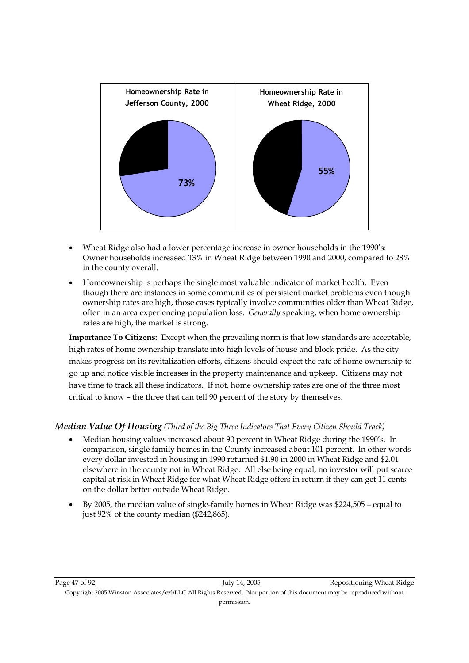

- Wheat Ridge also had a lower percentage increase in owner households in the 1990's: Owner households increased 13% in Wheat Ridge between 1990 and 2000, compared to 28% in the county overall.
- Homeownership is perhaps the single most valuable indicator of market health. Even though there are instances in some communities of persistent market problems even though ownership rates are high, those cases typically involve communities older than Wheat Ridge, often in an area experiencing population loss. *Generally* speaking, when home ownership rates are high, the market is strong.

**Importance To Citizens:** Except when the prevailing norm is that low standards are acceptable, high rates of home ownership translate into high levels of house and block pride. As the city makes progress on its revitalization efforts, citizens should expect the rate of home ownership to go up and notice visible increases in the property maintenance and upkeep. Citizens may not have time to track all these indicators. If not, home ownership rates are one of the three most critical to know – the three that can tell 90 percent of the story by themselves.

## *Median Value Of Housing (Third of the Big Three Indicators That Every Citizen Should Track)*

- Median housing values increased about 90 percent in Wheat Ridge during the 1990's. In comparison, single family homes in the County increased about 101 percent. In other words every dollar invested in housing in 1990 returned \$1.90 in 2000 in Wheat Ridge and \$2.01 elsewhere in the county not in Wheat Ridge. All else being equal, no investor will put scarce capital at risk in Wheat Ridge for what Wheat Ridge offers in return if they can get 11 cents on the dollar better outside Wheat Ridge.
- By 2005, the median value of single-family homes in Wheat Ridge was \$224,505 equal to just 92% of the county median (\$242,865).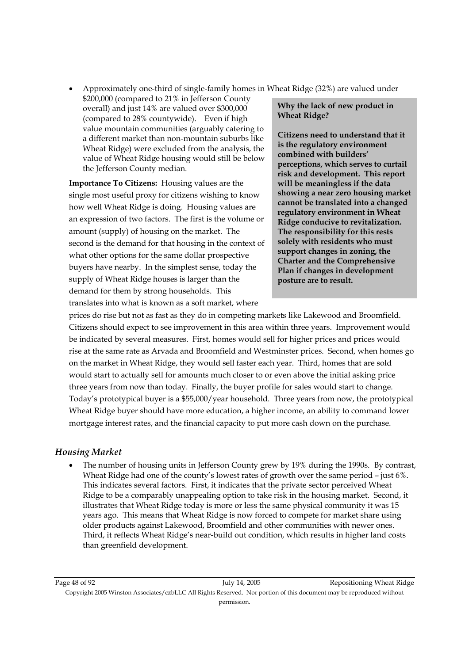• Approximately one-third of single-family homes in Wheat Ridge (32%) are valued under

\$200,000 (compared to 21% in Jefferson County overall) and just 14% are valued over \$300,000 (compared to 28% countywide). Even if high value mountain communities (arguably catering to a different market than non-mountain suburbs like Wheat Ridge) were excluded from the analysis, the value of Wheat Ridge housing would still be below the Jefferson County median.

**Importance To Citizens:** Housing values are the single most useful proxy for citizens wishing to know how well Wheat Ridge is doing. Housing values are an expression of two factors. The first is the volume or amount (supply) of housing on the market. The second is the demand for that housing in the context of what other options for the same dollar prospective buyers have nearby. In the simplest sense, today the supply of Wheat Ridge houses is larger than the demand for them by strong households. This translates into what is known as a soft market, where

**Why the lack of new product in Wheat Ridge?** 

**Citizens need to understand that it is the regulatory environment combined with builders' perceptions, which serves to curtail risk and development. This report will be meaningless if the data showing a near zero housing market cannot be translated into a changed regulatory environment in Wheat Ridge conducive to revitalization. The responsibility for this rests solely with residents who must support changes in zoning, the Charter and the Comprehensive Plan if changes in development posture are to result.** 

prices do rise but not as fast as they do in competing markets like Lakewood and Broomfield. Citizens should expect to see improvement in this area within three years. Improvement would be indicated by several measures. First, homes would sell for higher prices and prices would rise at the same rate as Arvada and Broomfield and Westminster prices. Second, when homes go on the market in Wheat Ridge, they would sell faster each year. Third, homes that are sold would start to actually sell for amounts much closer to or even above the initial asking price three years from now than today. Finally, the buyer profile for sales would start to change. Today's prototypical buyer is a \$55,000/year household. Three years from now, the prototypical Wheat Ridge buyer should have more education, a higher income, an ability to command lower mortgage interest rates, and the financial capacity to put more cash down on the purchase.

## *Housing Market*

• The number of housing units in Jefferson County grew by 19% during the 1990s. By contrast, Wheat Ridge had one of the county's lowest rates of growth over the same period – just 6%. This indicates several factors. First, it indicates that the private sector perceived Wheat Ridge to be a comparably unappealing option to take risk in the housing market. Second, it illustrates that Wheat Ridge today is more or less the same physical community it was 15 years ago. This means that Wheat Ridge is now forced to compete for market share using older products against Lakewood, Broomfield and other communities with newer ones. Third, it reflects Wheat Ridge's near-build out condition, which results in higher land costs than greenfield development.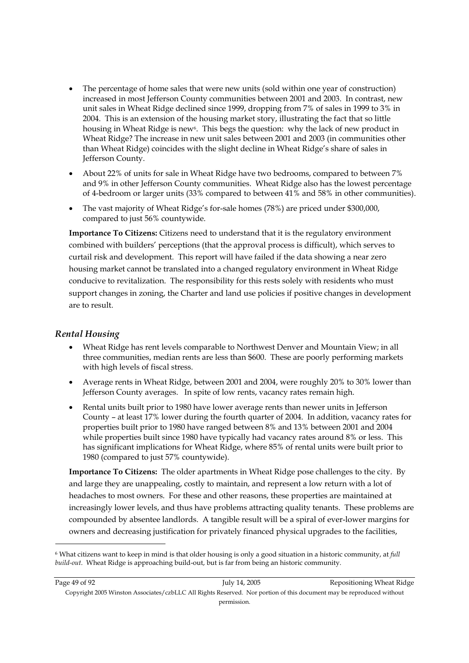- The percentage of home sales that were new units (sold within one year of construction) increased in most Jefferson County communities between 2001 and 2003. In contrast, new unit sales in Wheat Ridge declined since 1999, dropping from 7% of sales in 1999 to 3% in 2004. This is an extension of the housing market story, illustrating the fact that so little housing in Wheat Ridge is new<sup>6</sup>. This begs the question: why the lack of new product in Wheat Ridge? The increase in new unit sales between 2001 and 2003 (in communities other than Wheat Ridge) coincides with the slight decline in Wheat Ridge's share of sales in Jefferson County.
- About 22% of units for sale in Wheat Ridge have two bedrooms, compared to between 7% and 9% in other Jefferson County communities. Wheat Ridge also has the lowest percentage of 4-bedroom or larger units (33% compared to between 41% and 58% in other communities).
- The vast majority of Wheat Ridge's for-sale homes (78%) are priced under \$300,000, compared to just 56% countywide.

**Importance To Citizens:** Citizens need to understand that it is the regulatory environment combined with builders' perceptions (that the approval process is difficult), which serves to curtail risk and development. This report will have failed if the data showing a near zero housing market cannot be translated into a changed regulatory environment in Wheat Ridge conducive to revitalization. The responsibility for this rests solely with residents who must support changes in zoning, the Charter and land use policies if positive changes in development are to result.

## *Rental Housing*

- Wheat Ridge has rent levels comparable to Northwest Denver and Mountain View; in all three communities, median rents are less than \$600. These are poorly performing markets with high levels of fiscal stress.
- Average rents in Wheat Ridge, between 2001 and 2004, were roughly 20% to 30% lower than Jefferson County averages. In spite of low rents, vacancy rates remain high.
- Rental units built prior to 1980 have lower average rents than newer units in Jefferson County – at least 17% lower during the fourth quarter of 2004. In addition, vacancy rates for properties built prior to 1980 have ranged between 8% and 13% between 2001 and 2004 while properties built since 1980 have typically had vacancy rates around 8% or less. This has significant implications for Wheat Ridge, where 85% of rental units were built prior to 1980 (compared to just 57% countywide).

**Importance To Citizens:** The older apartments in Wheat Ridge pose challenges to the city. By and large they are unappealing, costly to maintain, and represent a low return with a lot of headaches to most owners. For these and other reasons, these properties are maintained at increasingly lower levels, and thus have problems attracting quality tenants. These problems are compounded by absentee landlords. A tangible result will be a spiral of ever-lower margins for owners and decreasing justification for privately financed physical upgrades to the facilities,

-

permission.

<sup>6</sup> What citizens want to keep in mind is that older housing is only a good situation in a historic community, at *full build-out*. Wheat Ridge is approaching build-out, but is far from being an historic community.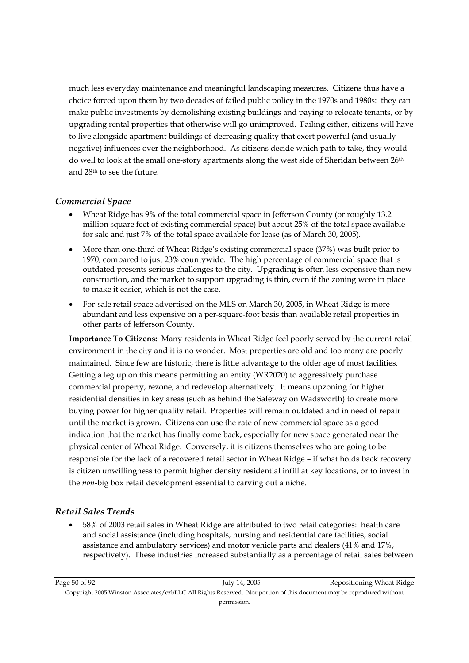much less everyday maintenance and meaningful landscaping measures. Citizens thus have a choice forced upon them by two decades of failed public policy in the 1970s and 1980s: they can make public investments by demolishing existing buildings and paying to relocate tenants, or by upgrading rental properties that otherwise will go unimproved. Failing either, citizens will have to live alongside apartment buildings of decreasing quality that exert powerful (and usually negative) influences over the neighborhood. As citizens decide which path to take, they would do well to look at the small one-story apartments along the west side of Sheridan between 26<sup>th</sup> and 28th to see the future.

## *Commercial Space*

- Wheat Ridge has 9% of the total commercial space in Jefferson County (or roughly 13.2 million square feet of existing commercial space) but about 25% of the total space available for sale and just 7% of the total space available for lease (as of March 30, 2005).
- More than one-third of Wheat Ridge's existing commercial space (37%) was built prior to 1970, compared to just 23% countywide. The high percentage of commercial space that is outdated presents serious challenges to the city. Upgrading is often less expensive than new construction, and the market to support upgrading is thin, even if the zoning were in place to make it easier, which is not the case.
- For-sale retail space advertised on the MLS on March 30, 2005, in Wheat Ridge is more abundant and less expensive on a per-square-foot basis than available retail properties in other parts of Jefferson County.

**Importance To Citizens:** Many residents in Wheat Ridge feel poorly served by the current retail environment in the city and it is no wonder. Most properties are old and too many are poorly maintained. Since few are historic, there is little advantage to the older age of most facilities. Getting a leg up on this means permitting an entity (WR2020) to aggressively purchase commercial property, rezone, and redevelop alternatively. It means upzoning for higher residential densities in key areas (such as behind the Safeway on Wadsworth) to create more buying power for higher quality retail. Properties will remain outdated and in need of repair until the market is grown. Citizens can use the rate of new commercial space as a good indication that the market has finally come back, especially for new space generated near the physical center of Wheat Ridge. Conversely, it is citizens themselves who are going to be responsible for the lack of a recovered retail sector in Wheat Ridge – if what holds back recovery is citizen unwillingness to permit higher density residential infill at key locations, or to invest in the *non*-big box retail development essential to carving out a niche.

## *Retail Sales Trends*

• 58% of 2003 retail sales in Wheat Ridge are attributed to two retail categories: health care and social assistance (including hospitals, nursing and residential care facilities, social assistance and ambulatory services) and motor vehicle parts and dealers (41% and 17%, respectively). These industries increased substantially as a percentage of retail sales between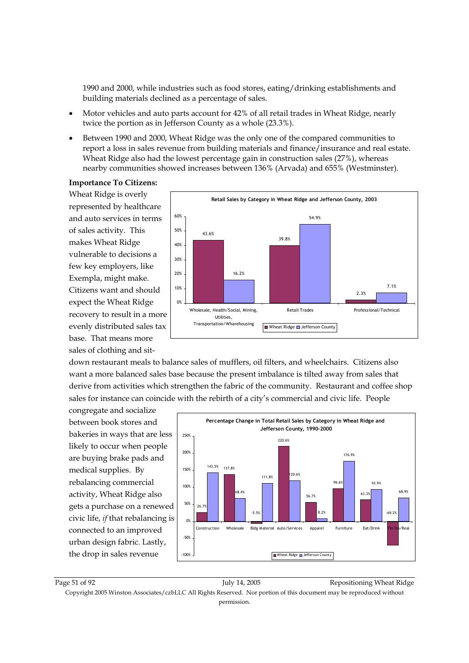1990 and 2000, while industries such as food stores, eating/drinking establishments and building materials declined as a percentage of sales.

- Motor vehicles and auto parts account for 42% of all retail trades in Wheat Ridge, nearly twice the portion as in Jefferson County as a whole (23.3%).
- Between 1990 and 2000, Wheat Ridge was the only one of the compared communities to report a loss in sales revenue from building materials and finance/insurance and real estate. Wheat Ridge also had the lowest percentage gain in construction sales (27%), whereas nearby communities showed increases between 136% (Arvada) and 655% (Westminster).

#### **Importance To Citizens:**

Wheat Ridge is overly represented by healthcare and auto services in terms of sales activity. This makes Wheat Ridge vulnerable to decisions a few key employers, like Exempla, might make. Citizens want and should expect the Wheat Ridge recovery to result in a more evenly distributed sales tax base. That means more sales of clothing and sit-



down restaurant meals to balance sales of mufflers, oil filters, and wheelchairs. Citizens also want a more balanced sales base because the present imbalance is tilted away from sales that derive from activities which strengthen the fabric of the community. Restaurant and coffee shop sales for instance can coincide with the rebirth of a city's commercial and civic life. People

congregate and socialize between book stores and bakeries in ways that are less likely to occur when people are buying brake pads and medical supplies. By rebalancing commercial activity, Wheat Ridge also gets a purchase on a renewed civic life, *if* that rebalancing is connected to an improved urban design fabric. Lastly, the drop in sales revenue



Page 51 of 92 July 14, 2005 July 14, 2005 Repositioning Wheat Ridge Copyright 2005 Winston Associates/czbLLC All Rights Reserved. Nor portion of this document may be reproduced without permission.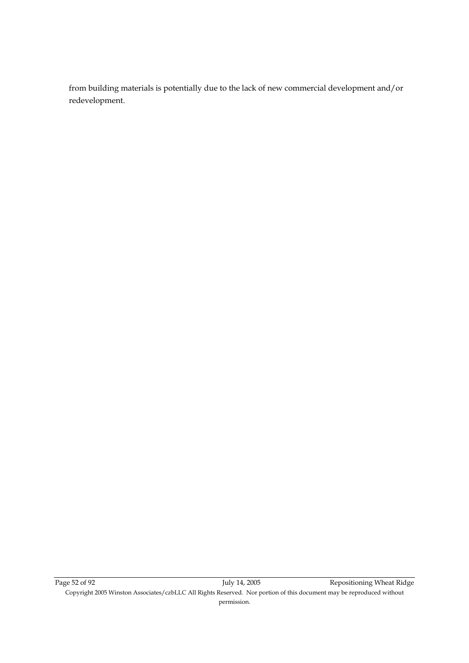from building materials is potentially due to the lack of new commercial development and/or redevelopment.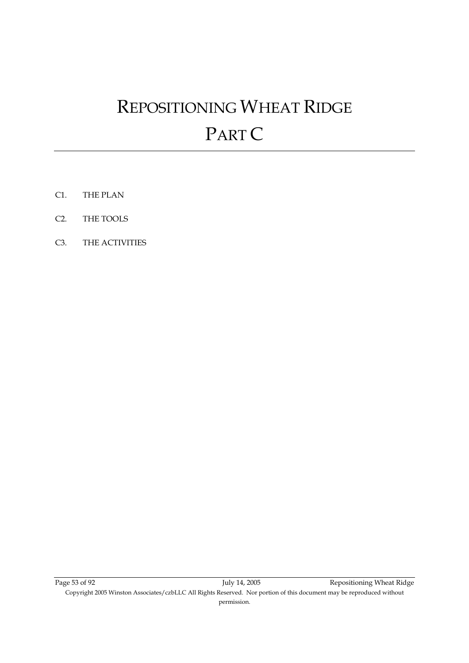# REPOSITIONING WHEAT RIDGE PART C

- C1. THE PLAN
- C2. THE TOOLS
- C3. THE ACTIVITIES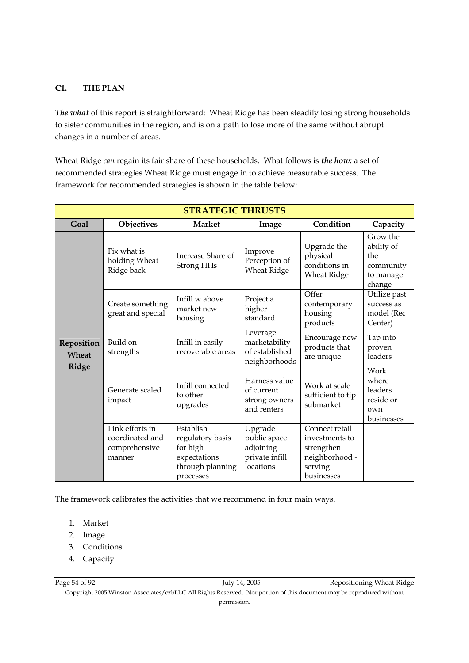#### **C1. THE PLAN**

*The what* of this report is straightforward: Wheat Ridge has been steadily losing strong households to sister communities in the region, and is on a path to lose more of the same without abrupt changes in a number of areas.

Wheat Ridge *can* regain its fair share of these households. What follows is *the how:* a set of recommended strategies Wheat Ridge must engage in to achieve measurable success. The framework for recommended strategies is shown in the table below:

| <b>STRATEGIC THRUSTS</b>     |                                                               |                                                                                            |                                                                     |                                                                                           |                                                                   |  |
|------------------------------|---------------------------------------------------------------|--------------------------------------------------------------------------------------------|---------------------------------------------------------------------|-------------------------------------------------------------------------------------------|-------------------------------------------------------------------|--|
| Goal                         | Objectives                                                    | <b>Market</b>                                                                              | Image                                                               | Condition                                                                                 | Capacity                                                          |  |
| Reposition<br>Wheat<br>Ridge | Fix what is<br>holding Wheat<br>Ridge back                    | Increase Share of<br>Strong HHs                                                            | Improve<br>Perception of<br><b>Wheat Ridge</b>                      | Upgrade the<br>physical<br>conditions in<br><b>Wheat Ridge</b>                            | Grow the<br>ability of<br>the<br>community<br>to manage<br>change |  |
|                              | Create something<br>great and special                         | Infill w above<br>market new<br>housing                                                    | Project a<br>higher<br>standard                                     | Offer<br>contemporary<br>housing<br>products                                              | Utilize past<br>success as<br>model (Rec<br>Center)               |  |
|                              | Build on<br>strengths                                         | Infill in easily<br>recoverable areas                                                      | Leverage<br>marketability<br>of established<br>neighborhoods        | Encourage new<br>products that<br>are unique                                              | Tap into<br>proven<br>leaders                                     |  |
|                              | Generate scaled<br>impact                                     | Infill connected<br>to other<br>upgrades                                                   | Harness value<br>of current<br>strong owners<br>and renters         | Work at scale<br>sufficient to tip<br>submarket                                           | Work<br>where<br>leaders<br>reside or<br>own<br>businesses        |  |
|                              | Link efforts in<br>coordinated and<br>comprehensive<br>manner | Establish<br>regulatory basis<br>for high<br>expectations<br>through planning<br>processes | Upgrade<br>public space<br>adjoining<br>private infill<br>locations | Connect retail<br>investments to<br>strengthen<br>neighborhood -<br>serving<br>businesses |                                                                   |  |

The framework calibrates the activities that we recommend in four main ways.

- 1. Market
- 2. Image
- 3. Conditions
- 4. Capacity

Copyright 2005 Winston Associates/czbLLC All Rights Reserved. Nor portion of this document may be reproduced without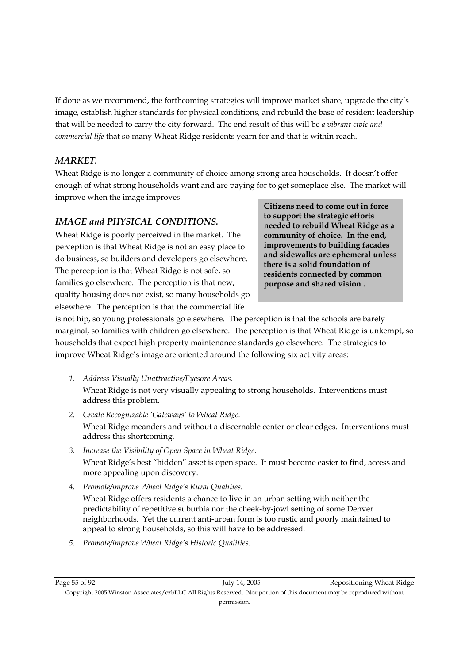If done as we recommend, the forthcoming strategies will improve market share, upgrade the city's image, establish higher standards for physical conditions, and rebuild the base of resident leadership that will be needed to carry the city forward. The end result of this will be *a vibrant civic and commercial life* that so many Wheat Ridge residents yearn for and that is within reach.

## *MARKET.*

Wheat Ridge is no longer a community of choice among strong area households. It doesn't offer enough of what strong households want and are paying for to get someplace else. The market will improve when the image improves.

## *IMAGE and PHYSICAL CONDITIONS.*

Wheat Ridge is poorly perceived in the market. The perception is that Wheat Ridge is not an easy place to do business, so builders and developers go elsewhere. The perception is that Wheat Ridge is not safe, so families go elsewhere. The perception is that new, quality housing does not exist, so many households go elsewhere. The perception is that the commercial life

**Citizens need to come out in force to support the strategic efforts needed to rebuild Wheat Ridge as a community of choice. In the end, improvements to building facades and sidewalks are ephemeral unless there is a solid foundation of residents connected by common purpose and shared vision .** 

is not hip, so young professionals go elsewhere. The perception is that the schools are barely marginal, so families with children go elsewhere. The perception is that Wheat Ridge is unkempt, so households that expect high property maintenance standards go elsewhere. The strategies to improve Wheat Ridge's image are oriented around the following six activity areas:

- *1. Address Visually Unattractive/Eyesore Areas.*  Wheat Ridge is not very visually appealing to strong households. Interventions must address this problem.
- *2. Create Recognizable 'Gateways' to Wheat Ridge.*  Wheat Ridge meanders and without a discernable center or clear edges. Interventions must address this shortcoming.
- *3. Increase the Visibility of Open Space in Wheat Ridge.*  Wheat Ridge's best "hidden" asset is open space. It must become easier to find, access and more appealing upon discovery.
- *4. Promote/improve Wheat Ridge's Rural Qualities.*

Wheat Ridge offers residents a chance to live in an urban setting with neither the predictability of repetitive suburbia nor the cheek-by-jowl setting of some Denver neighborhoods. Yet the current anti-urban form is too rustic and poorly maintained to appeal to strong households, so this will have to be addressed.

*5. Promote/improve Wheat Ridge's Historic Qualities.*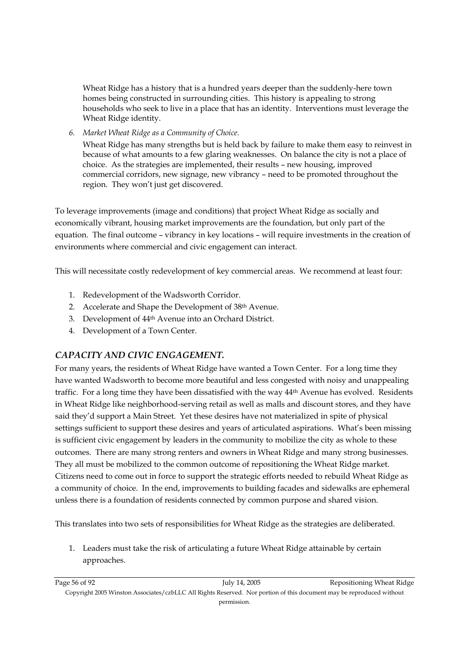Wheat Ridge has a history that is a hundred years deeper than the suddenly-here town homes being constructed in surrounding cities. This history is appealing to strong households who seek to live in a place that has an identity. Interventions must leverage the Wheat Ridge identity.

*6. Market Wheat Ridge as a Community of Choice.* 

Wheat Ridge has many strengths but is held back by failure to make them easy to reinvest in because of what amounts to a few glaring weaknesses. On balance the city is not a place of choice. As the strategies are implemented, their results – new housing, improved commercial corridors, new signage, new vibrancy – need to be promoted throughout the region. They won't just get discovered.

To leverage improvements (image and conditions) that project Wheat Ridge as socially and economically vibrant, housing market improvements are the foundation, but only part of the equation. The final outcome – vibrancy in key locations – will require investments in the creation of environments where commercial and civic engagement can interact.

This will necessitate costly redevelopment of key commercial areas. We recommend at least four:

- 1. Redevelopment of the Wadsworth Corridor.
- 2. Accelerate and Shape the Development of 38th Avenue.
- 3. Development of 44th Avenue into an Orchard District.
- 4. Development of a Town Center.

## *CAPACITY AND CIVIC ENGAGEMENT.*

For many years, the residents of Wheat Ridge have wanted a Town Center. For a long time they have wanted Wadsworth to become more beautiful and less congested with noisy and unappealing traffic. For a long time they have been dissatisfied with the way 44th Avenue has evolved. Residents in Wheat Ridge like neighborhood-serving retail as well as malls and discount stores, and they have said they'd support a Main Street. Yet these desires have not materialized in spite of physical settings sufficient to support these desires and years of articulated aspirations. What's been missing is sufficient civic engagement by leaders in the community to mobilize the city as whole to these outcomes. There are many strong renters and owners in Wheat Ridge and many strong businesses. They all must be mobilized to the common outcome of repositioning the Wheat Ridge market. Citizens need to come out in force to support the strategic efforts needed to rebuild Wheat Ridge as a community of choice. In the end, improvements to building facades and sidewalks are ephemeral unless there is a foundation of residents connected by common purpose and shared vision.

This translates into two sets of responsibilities for Wheat Ridge as the strategies are deliberated.

1. Leaders must take the risk of articulating a future Wheat Ridge attainable by certain approaches.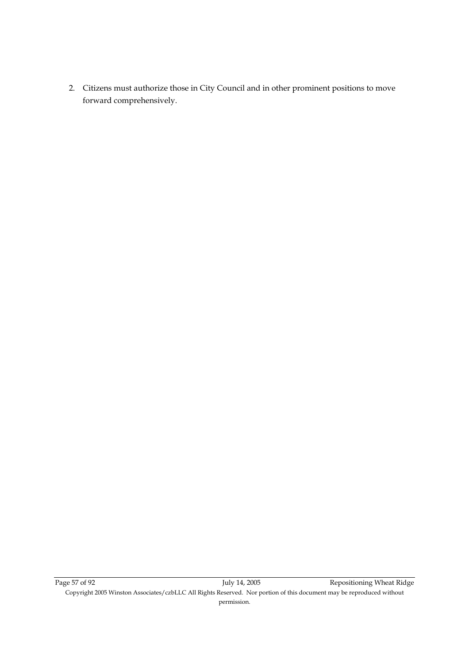2. Citizens must authorize those in City Council and in other prominent positions to move forward comprehensively.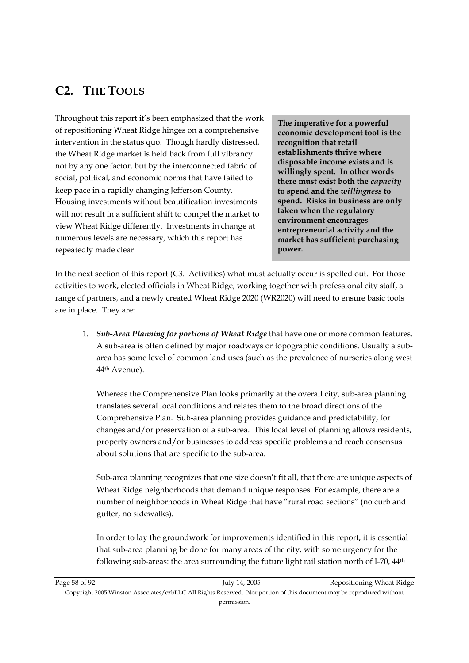## **C2. THE TOOLS**

Throughout this report it's been emphasized that the work of repositioning Wheat Ridge hinges on a comprehensive intervention in the status quo. Though hardly distressed, the Wheat Ridge market is held back from full vibrancy not by any one factor, but by the interconnected fabric of social, political, and economic norms that have failed to keep pace in a rapidly changing Jefferson County. Housing investments without beautification investments will not result in a sufficient shift to compel the market to view Wheat Ridge differently. Investments in change at numerous levels are necessary, which this report has repeatedly made clear.

**The imperative for a powerful economic development tool is the recognition that retail establishments thrive where disposable income exists and is willingly spent. In other words there must exist both the** *capacity* **to spend and the** *willingness* **to spend. Risks in business are only taken when the regulatory environment encourages entrepreneurial activity and the market has sufficient purchasing power.** 

In the next section of this report (C3. Activities) what must actually occur is spelled out. For those activities to work, elected officials in Wheat Ridge, working together with professional city staff, a range of partners, and a newly created Wheat Ridge 2020 (WR2020) will need to ensure basic tools are in place. They are:

1. *Sub-Area Planning for portions of Wheat Ridge* that have one or more common features. A sub-area is often defined by major roadways or topographic conditions. Usually a subarea has some level of common land uses (such as the prevalence of nurseries along west 44th Avenue).

Whereas the Comprehensive Plan looks primarily at the overall city, sub-area planning translates several local conditions and relates them to the broad directions of the Comprehensive Plan. Sub-area planning provides guidance and predictability, for changes and/or preservation of a sub-area. This local level of planning allows residents, property owners and/or businesses to address specific problems and reach consensus about solutions that are specific to the sub-area.

Sub-area planning recognizes that one size doesn't fit all, that there are unique aspects of Wheat Ridge neighborhoods that demand unique responses. For example, there are a number of neighborhoods in Wheat Ridge that have "rural road sections" (no curb and gutter, no sidewalks).

In order to lay the groundwork for improvements identified in this report, it is essential that sub-area planning be done for many areas of the city, with some urgency for the following sub-areas: the area surrounding the future light rail station north of I-70, 44<sup>th</sup>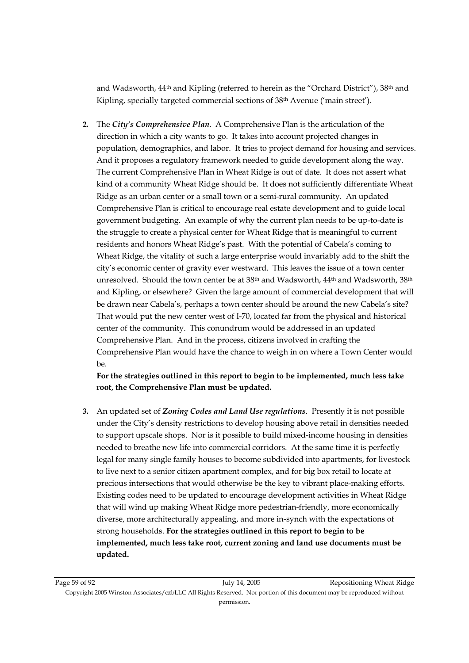and Wadsworth,  $44<sup>th</sup>$  and Kipling (referred to herein as the "Orchard District"),  $38<sup>th</sup>$  and Kipling, specially targeted commercial sections of 38th Avenue ('main street').

**2.** The *City's Comprehensive Plan*. A Comprehensive Plan is the articulation of the direction in which a city wants to go. It takes into account projected changes in population, demographics, and labor. It tries to project demand for housing and services. And it proposes a regulatory framework needed to guide development along the way. The current Comprehensive Plan in Wheat Ridge is out of date. It does not assert what kind of a community Wheat Ridge should be. It does not sufficiently differentiate Wheat Ridge as an urban center or a small town or a semi-rural community. An updated Comprehensive Plan is critical to encourage real estate development and to guide local government budgeting. An example of why the current plan needs to be up-to-date is the struggle to create a physical center for Wheat Ridge that is meaningful to current residents and honors Wheat Ridge's past. With the potential of Cabela's coming to Wheat Ridge, the vitality of such a large enterprise would invariably add to the shift the city's economic center of gravity ever westward. This leaves the issue of a town center unresolved. Should the town center be at 38th and Wadsworth, 44th and Wadsworth, 38th and Kipling, or elsewhere? Given the large amount of commercial development that will be drawn near Cabela's, perhaps a town center should be around the new Cabela's site? That would put the new center west of I-70, located far from the physical and historical center of the community. This conundrum would be addressed in an updated Comprehensive Plan. And in the process, citizens involved in crafting the Comprehensive Plan would have the chance to weigh in on where a Town Center would be.

**For the strategies outlined in this report to begin to be implemented, much less take root, the Comprehensive Plan must be updated.** 

**3.** An updated set of *Zoning Codes and Land Use regulations*. Presently it is not possible under the City's density restrictions to develop housing above retail in densities needed to support upscale shops. Nor is it possible to build mixed-income housing in densities needed to breathe new life into commercial corridors. At the same time it is perfectly legal for many single family houses to become subdivided into apartments, for livestock to live next to a senior citizen apartment complex, and for big box retail to locate at precious intersections that would otherwise be the key to vibrant place-making efforts. Existing codes need to be updated to encourage development activities in Wheat Ridge that will wind up making Wheat Ridge more pedestrian-friendly, more economically diverse, more architecturally appealing, and more in-synch with the expectations of strong households. **For the strategies outlined in this report to begin to be implemented, much less take root, current zoning and land use documents must be updated.**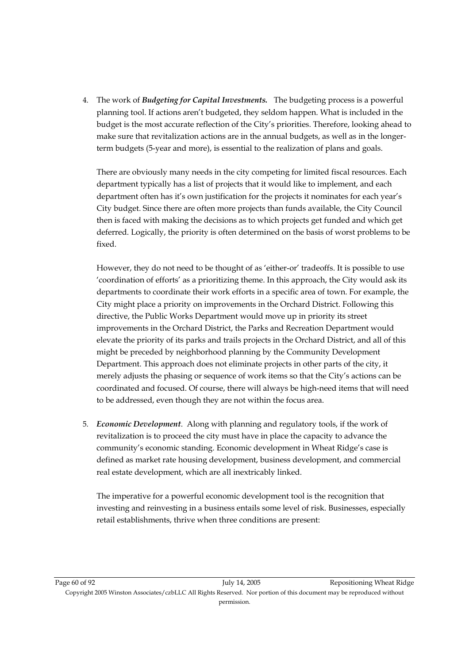4. The work of *Budgeting for Capital Investments.* The budgeting process is a powerful planning tool. If actions aren't budgeted, they seldom happen. What is included in the budget is the most accurate reflection of the City's priorities. Therefore, looking ahead to make sure that revitalization actions are in the annual budgets, as well as in the longerterm budgets (5-year and more), is essential to the realization of plans and goals.

There are obviously many needs in the city competing for limited fiscal resources. Each department typically has a list of projects that it would like to implement, and each department often has it's own justification for the projects it nominates for each year's City budget. Since there are often more projects than funds available, the City Council then is faced with making the decisions as to which projects get funded and which get deferred. Logically, the priority is often determined on the basis of worst problems to be fixed.

However, they do not need to be thought of as 'either-or' tradeoffs. It is possible to use 'coordination of efforts' as a prioritizing theme. In this approach, the City would ask its departments to coordinate their work efforts in a specific area of town. For example, the City might place a priority on improvements in the Orchard District. Following this directive, the Public Works Department would move up in priority its street improvements in the Orchard District, the Parks and Recreation Department would elevate the priority of its parks and trails projects in the Orchard District, and all of this might be preceded by neighborhood planning by the Community Development Department. This approach does not eliminate projects in other parts of the city, it merely adjusts the phasing or sequence of work items so that the City's actions can be coordinated and focused. Of course, there will always be high-need items that will need to be addressed, even though they are not within the focus area.

5. *Economic Development*. Along with planning and regulatory tools, if the work of revitalization is to proceed the city must have in place the capacity to advance the community's economic standing. Economic development in Wheat Ridge's case is defined as market rate housing development, business development, and commercial real estate development, which are all inextricably linked.

The imperative for a powerful economic development tool is the recognition that investing and reinvesting in a business entails some level of risk. Businesses, especially retail establishments, thrive when three conditions are present: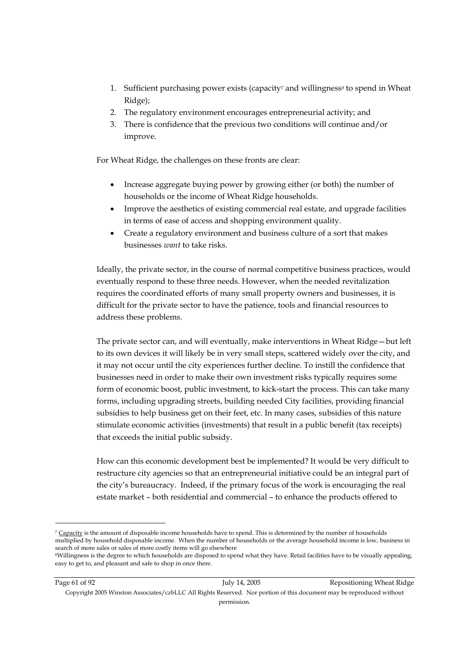- 1. Sufficient purchasing power exists (capacity7 and willingness*8* to spend in Wheat Ridge);
- 2. The regulatory environment encourages entrepreneurial activity; and
- 3. There is confidence that the previous two conditions will continue and/or improve.

For Wheat Ridge, the challenges on these fronts are clear:

- Increase aggregate buying power by growing either (or both) the number of households or the income of Wheat Ridge households.
- Improve the aesthetics of existing commercial real estate, and upgrade facilities in terms of ease of access and shopping environment quality.
- Create a regulatory environment and business culture of a sort that makes businesses *want* to take risks.

Ideally, the private sector, in the course of normal competitive business practices, would eventually respond to these three needs. However, when the needed revitalization requires the coordinated efforts of many small property owners and businesses, it is difficult for the private sector to have the patience, tools and financial resources to address these problems.

The private sector can, and will eventually, make interventions in Wheat Ridge—but left to its own devices it will likely be in very small steps, scattered widely over the city, and it may not occur until the city experiences further decline. To instill the confidence that businesses need in order to make their own investment risks typically requires some form of economic boost, public investment, to kick-start the process. This can take many forms, including upgrading streets, building needed City facilities, providing financial subsidies to help business get on their feet, etc. In many cases, subsidies of this nature stimulate economic activities (investments) that result in a public benefit (tax receipts) that exceeds the initial public subsidy.

How can this economic development best be implemented? It would be very difficult to restructure city agencies so that an entrepreneurial initiative could be an integral part of the city's bureaucracy. Indeed, if the primary focus of the work is encouraging the real estate market – both residential and commercial – to enhance the products offered to

-

<sup>&</sup>lt;sup>7</sup> Capacity is the amount of disposable income households have to spend. This is determined by the number of households multiplied by household disposable income. When the number of households or the average household income is low, business in search of more sales or sales of more costly items will go elsewhere

<sup>8</sup>Willingness is the degree to which households are disposed to spend what they have. Retail facilities have to be visually appealing, easy to get to, and pleasant and safe to shop in once there.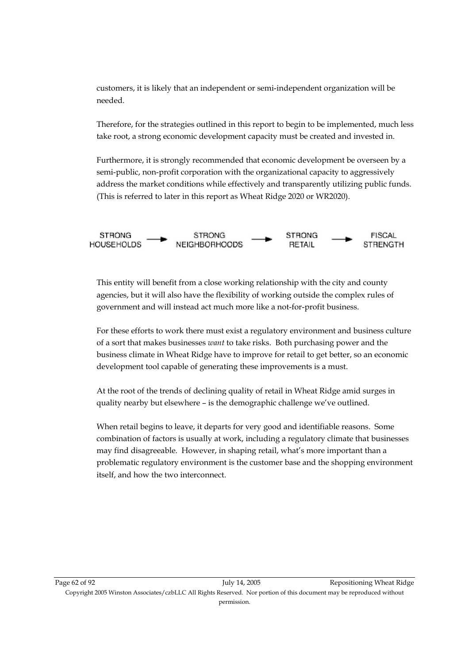customers, it is likely that an independent or semi-independent organization will be needed.

Therefore, for the strategies outlined in this report to begin to be implemented, much less take root, a strong economic development capacity must be created and invested in.

Furthermore, it is strongly recommended that economic development be overseen by a semi-public, non-profit corporation with the organizational capacity to aggressively address the market conditions while effectively and transparently utilizing public funds. (This is referred to later in this report as Wheat Ridge 2020 or WR2020).



This entity will benefit from a close working relationship with the city and county agencies, but it will also have the flexibility of working outside the complex rules of government and will instead act much more like a not-for-profit business.

For these efforts to work there must exist a regulatory environment and business culture of a sort that makes businesses *want* to take risks. Both purchasing power and the business climate in Wheat Ridge have to improve for retail to get better, so an economic development tool capable of generating these improvements is a must.

At the root of the trends of declining quality of retail in Wheat Ridge amid surges in quality nearby but elsewhere – is the demographic challenge we've outlined.

When retail begins to leave, it departs for very good and identifiable reasons. Some combination of factors is usually at work, including a regulatory climate that businesses may find disagreeable. However, in shaping retail, what's more important than a problematic regulatory environment is the customer base and the shopping environment itself, and how the two interconnect.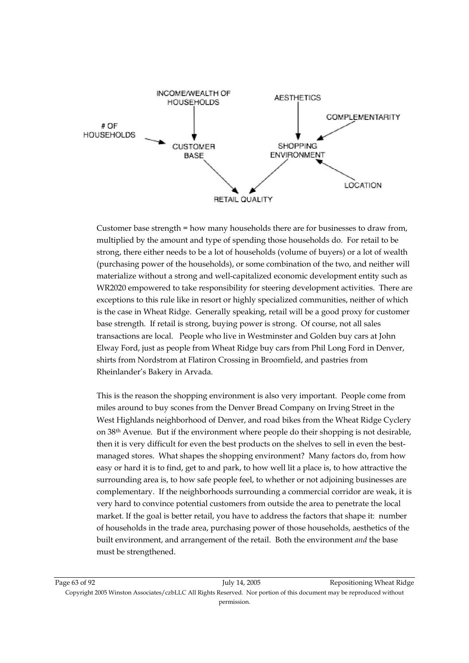

Customer base strength = how many households there are for businesses to draw from, multiplied by the amount and type of spending those households do. For retail to be strong, there either needs to be a lot of households (volume of buyers) or a lot of wealth (purchasing power of the households), or some combination of the two, and neither will materialize without a strong and well-capitalized economic development entity such as WR2020 empowered to take responsibility for steering development activities. There are exceptions to this rule like in resort or highly specialized communities, neither of which is the case in Wheat Ridge. Generally speaking, retail will be a good proxy for customer base strength. If retail is strong, buying power is strong. Of course, not all sales transactions are local. People who live in Westminster and Golden buy cars at John Elway Ford, just as people from Wheat Ridge buy cars from Phil Long Ford in Denver, shirts from Nordstrom at Flatiron Crossing in Broomfield, and pastries from Rheinlander's Bakery in Arvada.

This is the reason the shopping environment is also very important. People come from miles around to buy scones from the Denver Bread Company on Irving Street in the West Highlands neighborhood of Denver, and road bikes from the Wheat Ridge Cyclery on 38th Avenue. But if the environment where people do their shopping is not desirable, then it is very difficult for even the best products on the shelves to sell in even the bestmanaged stores. What shapes the shopping environment? Many factors do, from how easy or hard it is to find, get to and park, to how well lit a place is, to how attractive the surrounding area is, to how safe people feel, to whether or not adjoining businesses are complementary. If the neighborhoods surrounding a commercial corridor are weak, it is very hard to convince potential customers from outside the area to penetrate the local market. If the goal is better retail, you have to address the factors that shape it: number of households in the trade area, purchasing power of those households, aesthetics of the built environment, and arrangement of the retail. Both the environment *and* the base must be strengthened.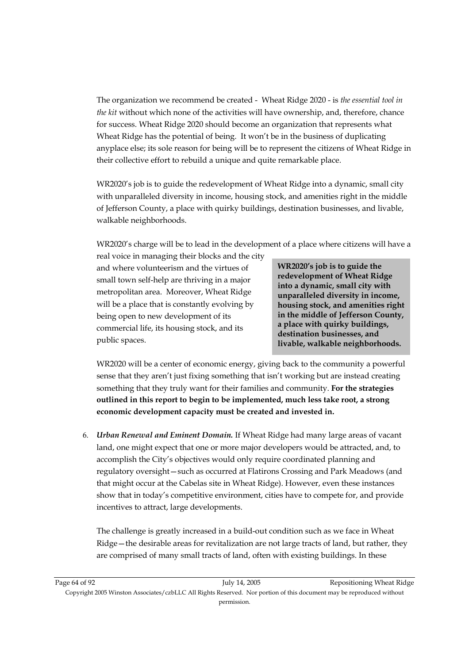The organization we recommend be created - Wheat Ridge 2020 - is *the essential tool in the kit* without which none of the activities will have ownership, and, therefore, chance for success. Wheat Ridge 2020 should become an organization that represents what Wheat Ridge has the potential of being. It won't be in the business of duplicating anyplace else; its sole reason for being will be to represent the citizens of Wheat Ridge in their collective effort to rebuild a unique and quite remarkable place.

WR2020's job is to guide the redevelopment of Wheat Ridge into a dynamic, small city with unparalleled diversity in income, housing stock, and amenities right in the middle of Jefferson County, a place with quirky buildings, destination businesses, and livable, walkable neighborhoods.

WR2020's charge will be to lead in the development of a place where citizens will have a

real voice in managing their blocks and the city and where volunteerism and the virtues of small town self-help are thriving in a major metropolitan area. Moreover, Wheat Ridge will be a place that is constantly evolving by being open to new development of its commercial life, its housing stock, and its public spaces.

**WR2020's job is to guide the redevelopment of Wheat Ridge into a dynamic, small city with unparalleled diversity in income, housing stock, and amenities right in the middle of Jefferson County, a place with quirky buildings, destination businesses, and livable, walkable neighborhoods.** 

WR2020 will be a center of economic energy, giving back to the community a powerful sense that they aren't just fixing something that isn't working but are instead creating something that they truly want for their families and community. **For the strategies outlined in this report to begin to be implemented, much less take root, a strong economic development capacity must be created and invested in.** 

6. *Urban Renewal and Eminent Domain.* If Wheat Ridge had many large areas of vacant land, one might expect that one or more major developers would be attracted, and, to accomplish the City's objectives would only require coordinated planning and regulatory oversight—such as occurred at Flatirons Crossing and Park Meadows (and that might occur at the Cabelas site in Wheat Ridge). However, even these instances show that in today's competitive environment, cities have to compete for, and provide incentives to attract, large developments.

The challenge is greatly increased in a build-out condition such as we face in Wheat Ridge—the desirable areas for revitalization are not large tracts of land, but rather, they are comprised of many small tracts of land, often with existing buildings. In these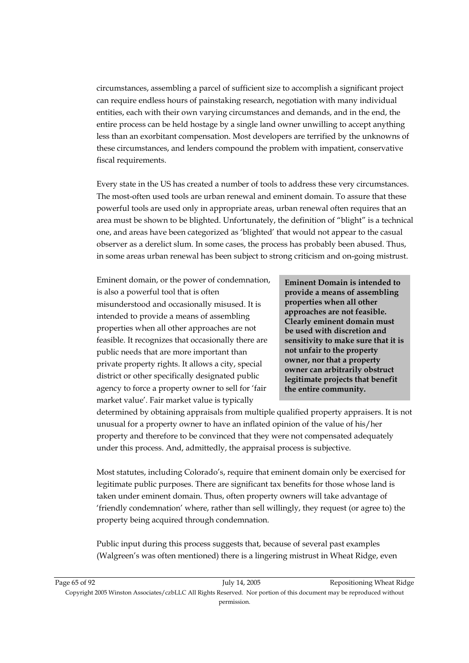circumstances, assembling a parcel of sufficient size to accomplish a significant project can require endless hours of painstaking research, negotiation with many individual entities, each with their own varying circumstances and demands, and in the end, the entire process can be held hostage by a single land owner unwilling to accept anything less than an exorbitant compensation. Most developers are terrified by the unknowns of these circumstances, and lenders compound the problem with impatient, conservative fiscal requirements.

Every state in the US has created a number of tools to address these very circumstances. The most-often used tools are urban renewal and eminent domain. To assure that these powerful tools are used only in appropriate areas, urban renewal often requires that an area must be shown to be blighted. Unfortunately, the definition of "blight" is a technical one, and areas have been categorized as 'blighted' that would not appear to the casual observer as a derelict slum. In some cases, the process has probably been abused. Thus, in some areas urban renewal has been subject to strong criticism and on-going mistrust.

Eminent domain, or the power of condemnation, is also a powerful tool that is often misunderstood and occasionally misused. It is intended to provide a means of assembling properties when all other approaches are not feasible. It recognizes that occasionally there are public needs that are more important than private property rights. It allows a city, special district or other specifically designated public agency to force a property owner to sell for 'fair market value'. Fair market value is typically

**Eminent Domain is intended to provide a means of assembling properties when all other approaches are not feasible. Clearly eminent domain must be used with discretion and sensitivity to make sure that it is not unfair to the property owner, nor that a property owner can arbitrarily obstruct legitimate projects that benefit the entire community.** 

determined by obtaining appraisals from multiple qualified property appraisers. It is not unusual for a property owner to have an inflated opinion of the value of his/her property and therefore to be convinced that they were not compensated adequately under this process. And, admittedly, the appraisal process is subjective.

Most statutes, including Colorado's, require that eminent domain only be exercised for legitimate public purposes. There are significant tax benefits for those whose land is taken under eminent domain. Thus, often property owners will take advantage of 'friendly condemnation' where, rather than sell willingly, they request (or agree to) the property being acquired through condemnation.

Public input during this process suggests that, because of several past examples (Walgreen's was often mentioned) there is a lingering mistrust in Wheat Ridge, even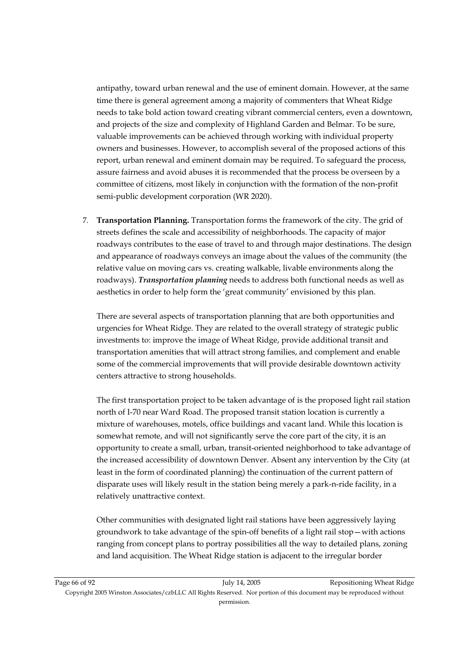antipathy, toward urban renewal and the use of eminent domain. However, at the same time there is general agreement among a majority of commenters that Wheat Ridge needs to take bold action toward creating vibrant commercial centers, even a downtown, and projects of the size and complexity of Highland Garden and Belmar. To be sure, valuable improvements can be achieved through working with individual property owners and businesses. However, to accomplish several of the proposed actions of this report, urban renewal and eminent domain may be required. To safeguard the process, assure fairness and avoid abuses it is recommended that the process be overseen by a committee of citizens, most likely in conjunction with the formation of the non-profit semi-public development corporation (WR 2020).

7. **Transportation Planning.** Transportation forms the framework of the city. The grid of streets defines the scale and accessibility of neighborhoods. The capacity of major roadways contributes to the ease of travel to and through major destinations. The design and appearance of roadways conveys an image about the values of the community (the relative value on moving cars vs. creating walkable, livable environments along the roadways). *Transportation planning* needs to address both functional needs as well as aesthetics in order to help form the 'great community' envisioned by this plan.

There are several aspects of transportation planning that are both opportunities and urgencies for Wheat Ridge. They are related to the overall strategy of strategic public investments to: improve the image of Wheat Ridge, provide additional transit and transportation amenities that will attract strong families, and complement and enable some of the commercial improvements that will provide desirable downtown activity centers attractive to strong households.

The first transportation project to be taken advantage of is the proposed light rail station north of I-70 near Ward Road. The proposed transit station location is currently a mixture of warehouses, motels, office buildings and vacant land. While this location is somewhat remote, and will not significantly serve the core part of the city, it is an opportunity to create a small, urban, transit-oriented neighborhood to take advantage of the increased accessibility of downtown Denver. Absent any intervention by the City (at least in the form of coordinated planning) the continuation of the current pattern of disparate uses will likely result in the station being merely a park-n-ride facility, in a relatively unattractive context.

Other communities with designated light rail stations have been aggressively laying groundwork to take advantage of the spin-off benefits of a light rail stop—with actions ranging from concept plans to portray possibilities all the way to detailed plans, zoning and land acquisition. The Wheat Ridge station is adjacent to the irregular border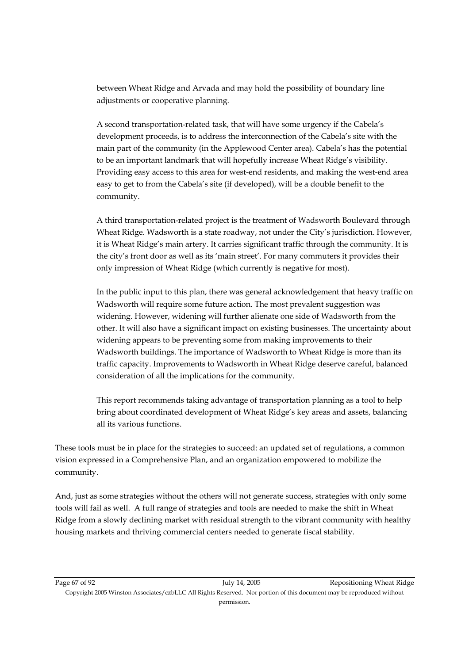between Wheat Ridge and Arvada and may hold the possibility of boundary line adjustments or cooperative planning.

A second transportation-related task, that will have some urgency if the Cabela's development proceeds, is to address the interconnection of the Cabela's site with the main part of the community (in the Applewood Center area). Cabela's has the potential to be an important landmark that will hopefully increase Wheat Ridge's visibility. Providing easy access to this area for west-end residents, and making the west-end area easy to get to from the Cabela's site (if developed), will be a double benefit to the community.

A third transportation-related project is the treatment of Wadsworth Boulevard through Wheat Ridge. Wadsworth is a state roadway, not under the City's jurisdiction. However, it is Wheat Ridge's main artery. It carries significant traffic through the community. It is the city's front door as well as its 'main street'. For many commuters it provides their only impression of Wheat Ridge (which currently is negative for most).

In the public input to this plan, there was general acknowledgement that heavy traffic on Wadsworth will require some future action. The most prevalent suggestion was widening. However, widening will further alienate one side of Wadsworth from the other. It will also have a significant impact on existing businesses. The uncertainty about widening appears to be preventing some from making improvements to their Wadsworth buildings. The importance of Wadsworth to Wheat Ridge is more than its traffic capacity. Improvements to Wadsworth in Wheat Ridge deserve careful, balanced consideration of all the implications for the community.

This report recommends taking advantage of transportation planning as a tool to help bring about coordinated development of Wheat Ridge's key areas and assets, balancing all its various functions.

These tools must be in place for the strategies to succeed: an updated set of regulations, a common vision expressed in a Comprehensive Plan, and an organization empowered to mobilize the community.

And, just as some strategies without the others will not generate success, strategies with only some tools will fail as well. A full range of strategies and tools are needed to make the shift in Wheat Ridge from a slowly declining market with residual strength to the vibrant community with healthy housing markets and thriving commercial centers needed to generate fiscal stability.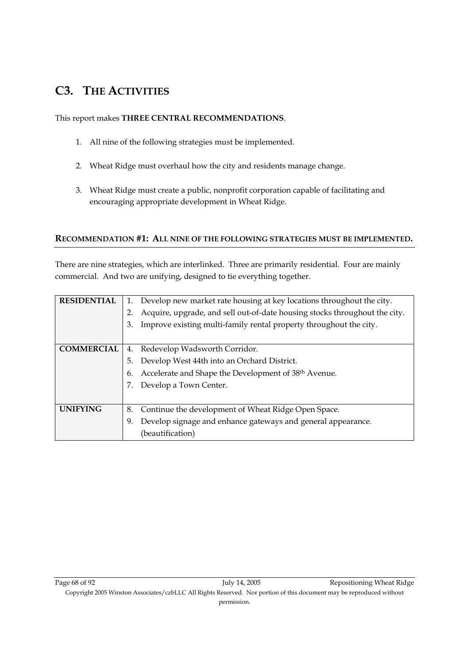## **C3. THE ACTIVITIES**

### This report makes **THREE CENTRAL RECOMMENDATIONS**.

- 1. All nine of the following strategies must be implemented.
- 2. Wheat Ridge must overhaul how the city and residents manage change.
- 3. Wheat Ridge must create a public, nonprofit corporation capable of facilitating and encouraging appropriate development in Wheat Ridge.

## **RECOMMENDATION #1: ALL NINE OF THE FOLLOWING STRATEGIES MUST BE IMPLEMENTED.**

There are nine strategies, which are interlinked. Three are primarily residential. Four are mainly commercial. And two are unifying, designed to tie everything together.

| <b>RESIDENTIAL</b> | 1. Develop new market rate housing at key locations throughout the city.         |  |  |
|--------------------|----------------------------------------------------------------------------------|--|--|
|                    | Acquire, upgrade, and sell out-of-date housing stocks throughout the city.<br>2. |  |  |
|                    | Improve existing multi-family rental property throughout the city.<br>3.         |  |  |
|                    |                                                                                  |  |  |
| <b>COMMERCIAL</b>  | 4. Redevelop Wadsworth Corridor.                                                 |  |  |
|                    | Develop West 44th into an Orchard District.<br>5.                                |  |  |
|                    | Accelerate and Shape the Development of 38 <sup>th</sup> Avenue.<br>6.           |  |  |
|                    | Develop a Town Center.                                                           |  |  |
|                    |                                                                                  |  |  |
| <b>UNIFYING</b>    | 8. Continue the development of Wheat Ridge Open Space.                           |  |  |
|                    | Develop signage and enhance gateways and general appearance.<br>9.               |  |  |
|                    | (beautification)                                                                 |  |  |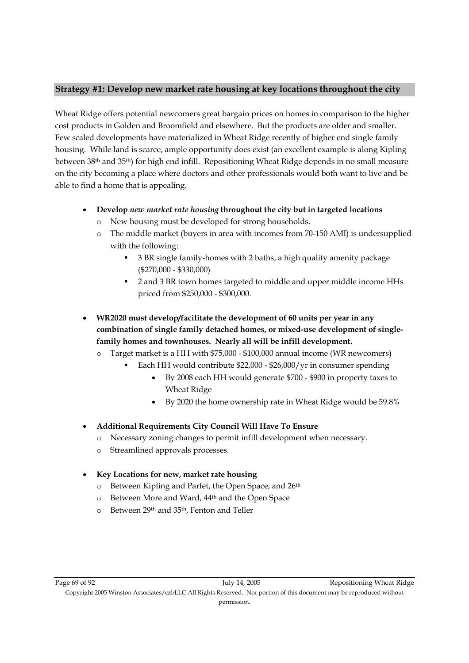## **Strategy #1: Develop new market rate housing at key locations throughout the city**

Wheat Ridge offers potential newcomers great bargain prices on homes in comparison to the higher cost products in Golden and Broomfield and elsewhere. But the products are older and smaller. Few scaled developments have materialized in Wheat Ridge recently of higher end single family housing. While land is scarce, ample opportunity does exist (an excellent example is along Kipling between 38th and 35th) for high end infill. Repositioning Wheat Ridge depends in no small measure on the city becoming a place where doctors and other professionals would both want to live and be able to find a home that is appealing.

- **Develop** *new market rate housing* **throughout the city but in targeted locations** 
	- o New housing must be developed for strong households.
	- o The middle market (buyers in area with incomes from 70-150 AMI) is undersupplied with the following:
		- 3 BR single family-homes with 2 baths, a high quality amenity package (\$270,000 - \$330,000)
		- 2 and 3 BR town homes targeted to middle and upper middle income HHs priced from \$250,000 - \$300,000.
- **WR2020 must develop/facilitate the development of 60 units per year in any combination of single family detached homes, or mixed-use development of singlefamily homes and townhouses. Nearly all will be infill development.** 
	- o Target market is a HH with \$75,000 \$100,000 annual income (WR newcomers)
		- Each HH would contribute \$22,000 \$26,000/yr in consumer spending
			- By 2008 each HH would generate \$700 \$900 in property taxes to Wheat Ridge
			- By 2020 the home ownership rate in Wheat Ridge would be 59.8%
- **Additional Requirements City Council Will Have To Ensure** 
	- o Necessary zoning changes to permit infill development when necessary.
	- o Streamlined approvals processes.
- **Key Locations for new, market rate housing** 
	- o Between Kipling and Parfet, the Open Space, and 26<sup>th</sup>
	- o Between More and Ward, 44th and the Open Space
	- o Between 29th and 35th, Fenton and Teller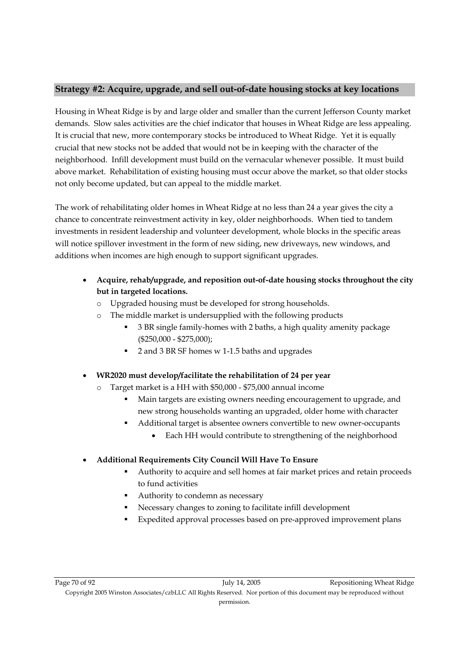## **Strategy #2: Acquire, upgrade, and sell out-of-date housing stocks at key locations**

Housing in Wheat Ridge is by and large older and smaller than the current Jefferson County market demands. Slow sales activities are the chief indicator that houses in Wheat Ridge are less appealing. It is crucial that new, more contemporary stocks be introduced to Wheat Ridge. Yet it is equally crucial that new stocks not be added that would not be in keeping with the character of the neighborhood. Infill development must build on the vernacular whenever possible. It must build above market. Rehabilitation of existing housing must occur above the market, so that older stocks not only become updated, but can appeal to the middle market.

The work of rehabilitating older homes in Wheat Ridge at no less than 24 a year gives the city a chance to concentrate reinvestment activity in key, older neighborhoods. When tied to tandem investments in resident leadership and volunteer development, whole blocks in the specific areas will notice spillover investment in the form of new siding, new driveways, new windows, and additions when incomes are high enough to support significant upgrades.

- **Acquire, rehab/upgrade, and reposition out-of-date housing stocks throughout the city but in targeted locations.** 
	- o Upgraded housing must be developed for strong households.
		- The middle market is undersupplied with the following products
			- 3 BR single family-homes with 2 baths, a high quality amenity package (\$250,000 - \$275,000);
			- 2 and 3 BR SF homes w 1-1.5 baths and upgrades
- **WR2020 must develop/facilitate the rehabilitation of 24 per year** 
	- o Target market is a HH with \$50,000 \$75,000 annual income
		- Main targets are existing owners needing encouragement to upgrade, and new strong households wanting an upgraded, older home with character
		- Additional target is absentee owners convertible to new owner-occupants
			- Each HH would contribute to strengthening of the neighborhood
- **Additional Requirements City Council Will Have To Ensure** 
	- Authority to acquire and sell homes at fair market prices and retain proceeds to fund activities
	- Authority to condemn as necessary
	- Necessary changes to zoning to facilitate infill development
	- Expedited approval processes based on pre-approved improvement plans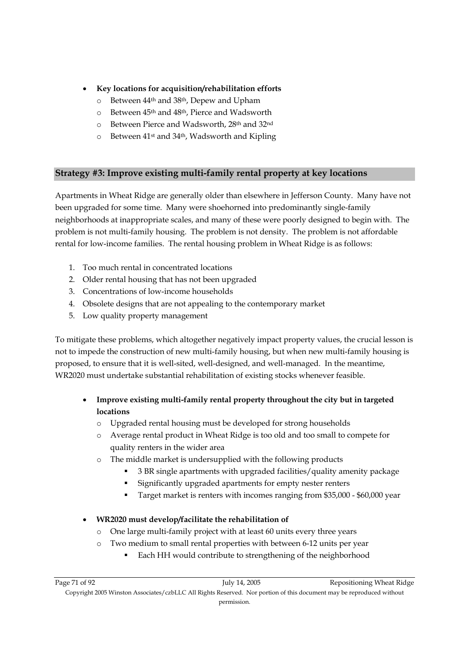- **Key locations for acquisition/rehabilitation efforts** 
	- o Between 44th and 38th, Depew and Upham
	- o Between 45th and 48th, Pierce and Wadsworth
	- o Between Pierce and Wadsworth, 28th and 32nd
	- o Between 41st and 34th, Wadsworth and Kipling

## **Strategy #3: Improve existing multi-family rental property at key locations**

Apartments in Wheat Ridge are generally older than elsewhere in Jefferson County. Many have not been upgraded for some time. Many were shoehorned into predominantly single-family neighborhoods at inappropriate scales, and many of these were poorly designed to begin with. The problem is not multi-family housing. The problem is not density. The problem is not affordable rental for low-income families. The rental housing problem in Wheat Ridge is as follows:

- 1. Too much rental in concentrated locations
- 2. Older rental housing that has not been upgraded
- 3. Concentrations of low-income households
- 4. Obsolete designs that are not appealing to the contemporary market
- 5. Low quality property management

To mitigate these problems, which altogether negatively impact property values, the crucial lesson is not to impede the construction of new multi-family housing, but when new multi-family housing is proposed, to ensure that it is well-sited, well-designed, and well-managed. In the meantime, WR2020 must undertake substantial rehabilitation of existing stocks whenever feasible.

- **Improve existing multi-family rental property throughout the city but in targeted locations** 
	- o Upgraded rental housing must be developed for strong households
	- o Average rental product in Wheat Ridge is too old and too small to compete for quality renters in the wider area
	- o The middle market is undersupplied with the following products
		- 3 BR single apartments with upgraded facilities/quality amenity package
		- Significantly upgraded apartments for empty nester renters
		- Target market is renters with incomes ranging from \$35,000 \$60,000 year
- **WR2020 must develop/facilitate the rehabilitation of** 
	- o One large multi-family project with at least 60 units every three years
	- o Two medium to small rental properties with between 6-12 units per year
		- Each HH would contribute to strengthening of the neighborhood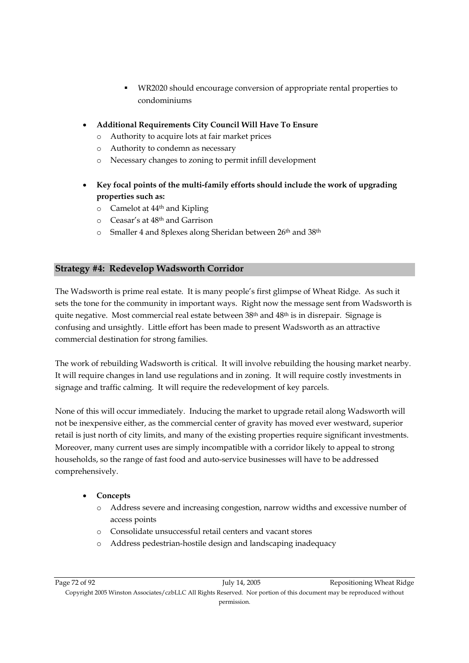- WR2020 should encourage conversion of appropriate rental properties to condominiums
- **Additional Requirements City Council Will Have To Ensure** 
	- o Authority to acquire lots at fair market prices
	- o Authority to condemn as necessary
	- o Necessary changes to zoning to permit infill development
- **Key focal points of the multi-family efforts should include the work of upgrading properties such as:** 
	- o Camelot at 44th and Kipling
	- o Ceasar's at 48th and Garrison
	- o Smaller 4 and 8plexes along Sheridan between 26th and 38th

## **Strategy #4: Redevelop Wadsworth Corridor**

The Wadsworth is prime real estate. It is many people's first glimpse of Wheat Ridge. As such it sets the tone for the community in important ways. Right now the message sent from Wadsworth is quite negative. Most commercial real estate between 38<sup>th</sup> and 48<sup>th</sup> is in disrepair. Signage is confusing and unsightly. Little effort has been made to present Wadsworth as an attractive commercial destination for strong families.

The work of rebuilding Wadsworth is critical. It will involve rebuilding the housing market nearby. It will require changes in land use regulations and in zoning. It will require costly investments in signage and traffic calming. It will require the redevelopment of key parcels.

None of this will occur immediately. Inducing the market to upgrade retail along Wadsworth will not be inexpensive either, as the commercial center of gravity has moved ever westward, superior retail is just north of city limits, and many of the existing properties require significant investments. Moreover, many current uses are simply incompatible with a corridor likely to appeal to strong households, so the range of fast food and auto-service businesses will have to be addressed comprehensively.

## • **Concepts**

- o Address severe and increasing congestion, narrow widths and excessive number of access points
- o Consolidate unsuccessful retail centers and vacant stores
- o Address pedestrian-hostile design and landscaping inadequacy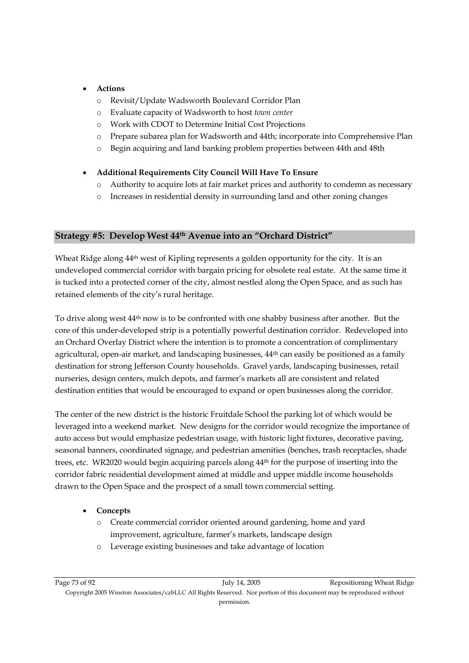#### • **Actions**

- o Revisit/Update Wadsworth Boulevard Corridor Plan
- o Evaluate capacity of Wadsworth to host *town center*
- o Work with CDOT to Determine Initial Cost Projections
- o Prepare subarea plan for Wadsworth and 44th; incorporate into Comprehensive Plan
- o Begin acquiring and land banking problem properties between 44th and 48th

#### • **Additional Requirements City Council Will Have To Ensure**

- o Authority to acquire lots at fair market prices and authority to condemn as necessary
- o Increases in residential density in surrounding land and other zoning changes

#### **Strategy #5: Develop West 44th Avenue into an "Orchard District"**

Wheat Ridge along  $44<sup>th</sup>$  west of Kipling represents a golden opportunity for the city. It is an undeveloped commercial corridor with bargain pricing for obsolete real estate. At the same time it is tucked into a protected corner of the city, almost nestled along the Open Space, and as such has retained elements of the city's rural heritage.

To drive along west 44th now is to be confronted with one shabby business after another. But the core of this under-developed strip is a potentially powerful destination corridor. Redeveloped into an Orchard Overlay District where the intention is to promote a concentration of complimentary agricultural, open-air market, and landscaping businesses,  $44<sup>th</sup>$  can easily be positioned as a family destination for strong Jefferson County households. Gravel yards, landscaping businesses, retail nurseries, design centers, mulch depots, and farmer's markets all are consistent and related destination entities that would be encouraged to expand or open businesses along the corridor.

The center of the new district is the historic Fruitdale School the parking lot of which would be leveraged into a weekend market. New designs for the corridor would recognize the importance of auto access but would emphasize pedestrian usage, with historic light fixtures, decorative paving, seasonal banners, coordinated signage, and pedestrian amenities (benches, trash receptacles, shade trees, etc. WR2020 would begin acquiring parcels along 44th for the purpose of inserting into the corridor fabric residential development aimed at middle and upper middle income households drawn to the Open Space and the prospect of a small town commercial setting.

#### • **Concepts**

- o Create commercial corridor oriented around gardening, home and yard improvement, agriculture, farmer's markets, landscape design
- o Leverage existing businesses and take advantage of location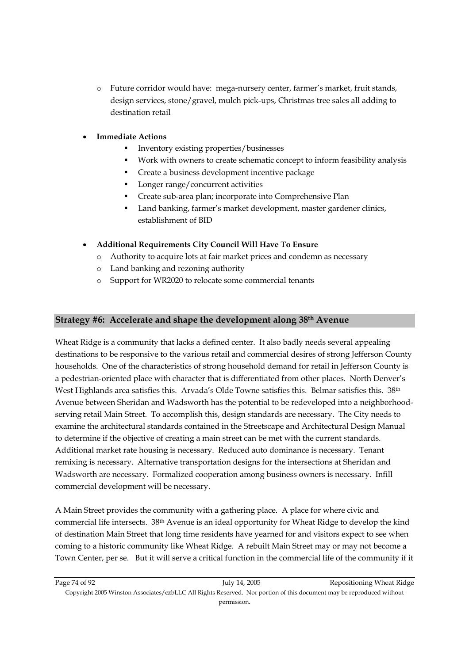- o Future corridor would have: mega-nursery center, farmer's market, fruit stands, design services, stone/gravel, mulch pick-ups, Christmas tree sales all adding to destination retail
- **Immediate Actions** 
	- Inventory existing properties/businesses
	- Work with owners to create schematic concept to inform feasibility analysis
	- Create a business development incentive package
	- Longer range/concurrent activities
	- Create sub-area plan; incorporate into Comprehensive Plan
	- Land banking, farmer's market development, master gardener clinics, establishment of BID
- **Additional Requirements City Council Will Have To Ensure** 
	- o Authority to acquire lots at fair market prices and condemn as necessary
	- o Land banking and rezoning authority
	- o Support for WR2020 to relocate some commercial tenants

#### **Strategy #6: Accelerate and shape the development along 38th Avenue**

Wheat Ridge is a community that lacks a defined center. It also badly needs several appealing destinations to be responsive to the various retail and commercial desires of strong Jefferson County households. One of the characteristics of strong household demand for retail in Jefferson County is a pedestrian-oriented place with character that is differentiated from other places. North Denver's West Highlands area satisfies this. Arvada's Olde Towne satisfies this. Belmar satisfies this. 38<sup>th</sup> Avenue between Sheridan and Wadsworth has the potential to be redeveloped into a neighborhoodserving retail Main Street. To accomplish this, design standards are necessary. The City needs to examine the architectural standards contained in the Streetscape and Architectural Design Manual to determine if the objective of creating a main street can be met with the current standards. Additional market rate housing is necessary. Reduced auto dominance is necessary. Tenant remixing is necessary. Alternative transportation designs for the intersections at Sheridan and Wadsworth are necessary. Formalized cooperation among business owners is necessary. Infill commercial development will be necessary.

A Main Street provides the community with a gathering place. A place for where civic and commercial life intersects. 38th Avenue is an ideal opportunity for Wheat Ridge to develop the kind of destination Main Street that long time residents have yearned for and visitors expect to see when coming to a historic community like Wheat Ridge. A rebuilt Main Street may or may not become a Town Center, per se. But it will serve a critical function in the commercial life of the community if it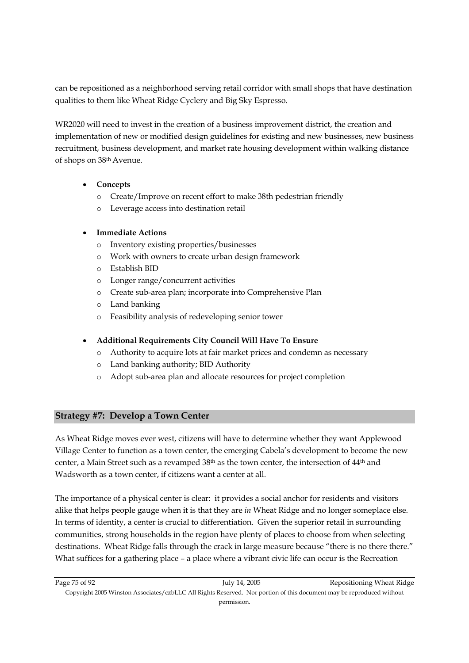can be repositioned as a neighborhood serving retail corridor with small shops that have destination qualities to them like Wheat Ridge Cyclery and Big Sky Espresso.

WR2020 will need to invest in the creation of a business improvement district, the creation and implementation of new or modified design guidelines for existing and new businesses, new business recruitment, business development, and market rate housing development within walking distance of shops on 38th Avenue.

#### • **Concepts**

- o Create/Improve on recent effort to make 38th pedestrian friendly
- o Leverage access into destination retail

#### • **Immediate Actions**

- o Inventory existing properties/businesses
- o Work with owners to create urban design framework
- o Establish BID
- o Longer range/concurrent activities
- o Create sub-area plan; incorporate into Comprehensive Plan
- o Land banking
- o Feasibility analysis of redeveloping senior tower
- **Additional Requirements City Council Will Have To Ensure** 
	- o Authority to acquire lots at fair market prices and condemn as necessary
	- o Land banking authority; BID Authority
	- o Adopt sub-area plan and allocate resources for project completion

#### **Strategy #7: Develop a Town Center**

As Wheat Ridge moves ever west, citizens will have to determine whether they want Applewood Village Center to function as a town center, the emerging Cabela's development to become the new center, a Main Street such as a revamped 38th as the town center, the intersection of 44th and Wadsworth as a town center, if citizens want a center at all.

The importance of a physical center is clear: it provides a social anchor for residents and visitors alike that helps people gauge when it is that they are *in* Wheat Ridge and no longer someplace else. In terms of identity, a center is crucial to differentiation. Given the superior retail in surrounding communities, strong households in the region have plenty of places to choose from when selecting destinations. Wheat Ridge falls through the crack in large measure because "there is no there there." What suffices for a gathering place – a place where a vibrant civic life can occur is the Recreation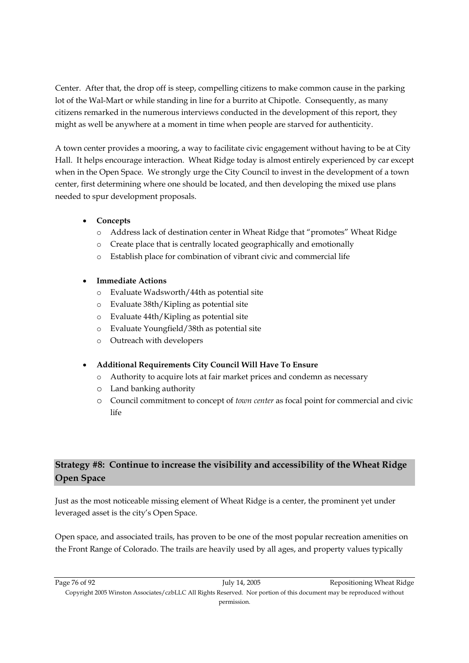Center. After that, the drop off is steep, compelling citizens to make common cause in the parking lot of the Wal-Mart or while standing in line for a burrito at Chipotle. Consequently, as many citizens remarked in the numerous interviews conducted in the development of this report, they might as well be anywhere at a moment in time when people are starved for authenticity.

A town center provides a mooring, a way to facilitate civic engagement without having to be at City Hall. It helps encourage interaction. Wheat Ridge today is almost entirely experienced by car except when in the Open Space. We strongly urge the City Council to invest in the development of a town center, first determining where one should be located, and then developing the mixed use plans needed to spur development proposals.

- **Concepts** 
	- o Address lack of destination center in Wheat Ridge that "promotes" Wheat Ridge
	- o Create place that is centrally located geographically and emotionally
	- o Establish place for combination of vibrant civic and commercial life

#### • **Immediate Actions**

- o Evaluate Wadsworth/44th as potential site
- o Evaluate 38th/Kipling as potential site
- o Evaluate 44th/Kipling as potential site
- o Evaluate Youngfield/38th as potential site
- o Outreach with developers

#### • **Additional Requirements City Council Will Have To Ensure**

- o Authority to acquire lots at fair market prices and condemn as necessary
- o Land banking authority
- o Council commitment to concept of *town center* as focal point for commercial and civic life

## **Strategy #8: Continue to increase the visibility and accessibility of the Wheat Ridge Open Space**

Just as the most noticeable missing element of Wheat Ridge is a center, the prominent yet under leveraged asset is the city's Open Space.

Open space, and associated trails, has proven to be one of the most popular recreation amenities on the Front Range of Colorado. The trails are heavily used by all ages, and property values typically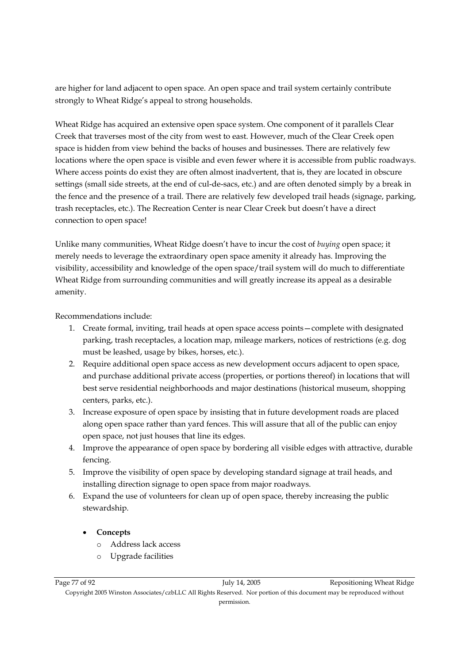are higher for land adjacent to open space. An open space and trail system certainly contribute strongly to Wheat Ridge's appeal to strong households.

Wheat Ridge has acquired an extensive open space system. One component of it parallels Clear Creek that traverses most of the city from west to east. However, much of the Clear Creek open space is hidden from view behind the backs of houses and businesses. There are relatively few locations where the open space is visible and even fewer where it is accessible from public roadways. Where access points do exist they are often almost inadvertent, that is, they are located in obscure settings (small side streets, at the end of cul-de-sacs, etc.) and are often denoted simply by a break in the fence and the presence of a trail. There are relatively few developed trail heads (signage, parking, trash receptacles, etc.). The Recreation Center is near Clear Creek but doesn't have a direct connection to open space!

Unlike many communities, Wheat Ridge doesn't have to incur the cost of *buying* open space; it merely needs to leverage the extraordinary open space amenity it already has. Improving the visibility, accessibility and knowledge of the open space/trail system will do much to differentiate Wheat Ridge from surrounding communities and will greatly increase its appeal as a desirable amenity.

Recommendations include:

- 1. Create formal, inviting, trail heads at open space access points—complete with designated parking, trash receptacles, a location map, mileage markers, notices of restrictions (e.g. dog must be leashed, usage by bikes, horses, etc.).
- 2. Require additional open space access as new development occurs adjacent to open space, and purchase additional private access (properties, or portions thereof) in locations that will best serve residential neighborhoods and major destinations (historical museum, shopping centers, parks, etc.).
- 3. Increase exposure of open space by insisting that in future development roads are placed along open space rather than yard fences. This will assure that all of the public can enjoy open space, not just houses that line its edges.
- 4. Improve the appearance of open space by bordering all visible edges with attractive, durable fencing.
- 5. Improve the visibility of open space by developing standard signage at trail heads, and installing direction signage to open space from major roadways.
- 6. Expand the use of volunteers for clean up of open space, thereby increasing the public stewardship.
	- **Concepts** 
		- o Address lack access
		- o Upgrade facilities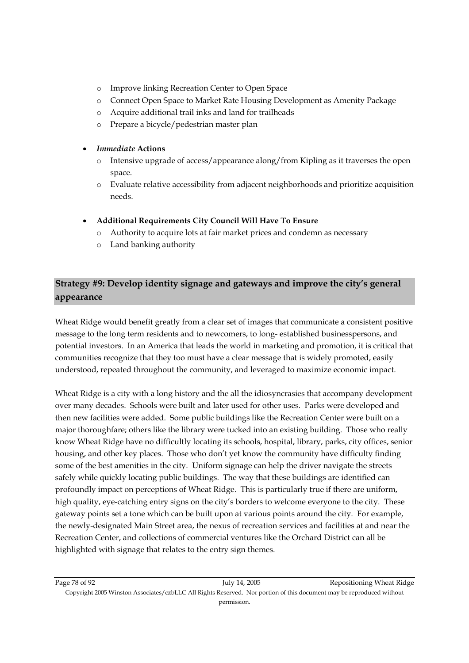- o Improve linking Recreation Center to Open Space
- o Connect Open Space to Market Rate Housing Development as Amenity Package
- o Acquire additional trail inks and land for trailheads
- o Prepare a bicycle/pedestrian master plan

#### • *Immediate* **Actions**

- o Intensive upgrade of access/appearance along/from Kipling as it traverses the open space.
- o Evaluate relative accessibility from adjacent neighborhoods and prioritize acquisition needs.
- **Additional Requirements City Council Will Have To Ensure** 
	- o Authority to acquire lots at fair market prices and condemn as necessary
	- o Land banking authority

## **Strategy #9: Develop identity signage and gateways and improve the city's general appearance**

Wheat Ridge would benefit greatly from a clear set of images that communicate a consistent positive message to the long term residents and to newcomers, to long- established businesspersons, and potential investors. In an America that leads the world in marketing and promotion, it is critical that communities recognize that they too must have a clear message that is widely promoted, easily understood, repeated throughout the community, and leveraged to maximize economic impact.

Wheat Ridge is a city with a long history and the all the idiosyncrasies that accompany development over many decades. Schools were built and later used for other uses. Parks were developed and then new facilities were added. Some public buildings like the Recreation Center were built on a major thoroughfare; others like the library were tucked into an existing building. Those who really know Wheat Ridge have no difficultly locating its schools, hospital, library, parks, city offices, senior housing, and other key places. Those who don't yet know the community have difficulty finding some of the best amenities in the city. Uniform signage can help the driver navigate the streets safely while quickly locating public buildings. The way that these buildings are identified can profoundly impact on perceptions of Wheat Ridge. This is particularly true if there are uniform, high quality, eye-catching entry signs on the city's borders to welcome everyone to the city. These gateway points set a tone which can be built upon at various points around the city. For example, the newly-designated Main Street area, the nexus of recreation services and facilities at and near the Recreation Center, and collections of commercial ventures like the Orchard District can all be highlighted with signage that relates to the entry sign themes.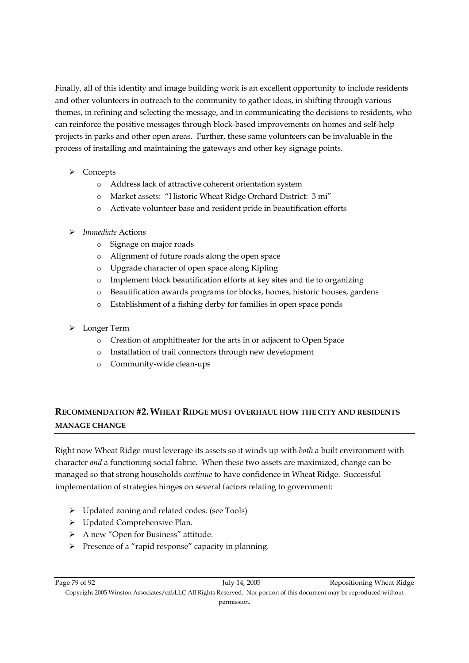Finally, all of this identity and image building work is an excellent opportunity to include residents and other volunteers in outreach to the community to gather ideas, in shifting through various themes, in refining and selecting the message, and in communicating the decisions to residents, who can reinforce the positive messages through block-based improvements on homes and self-help projects in parks and other open areas. Further, these same volunteers can be invaluable in the process of installing and maintaining the gateways and other key signage points.

- $\triangleright$  Concepts
	- o Address lack of attractive coherent orientation system
	- o Market assets: "Historic Wheat Ridge Orchard District: 3 mi"
	- o Activate volunteer base and resident pride in beautification efforts
- ¾ *Immediate* Actions
	- o Signage on major roads
	- o Alignment of future roads along the open space
	- o Upgrade character of open space along Kipling
	- o Implement block beautification efforts at key sites and tie to organizing
	- o Beautification awards programs for blocks, homes, historic houses, gardens
	- o Establishment of a fishing derby for families in open space ponds
- ¾ Longer Term
	- o Creation of amphitheater for the arts in or adjacent to Open Space
	- o Installation of trail connectors through new development
	- o Community-wide clean-ups

## **RECOMMENDATION #2. WHEAT RIDGE MUST OVERHAUL HOW THE CITY AND RESIDENTS MANAGE CHANGE**

Right now Wheat Ridge must leverage its assets so it winds up with *both* a built environment with character *and* a functioning social fabric. When these two assets are maximized, change can be managed so that strong households *continue* to have confidence in Wheat Ridge. Successful implementation of strategies hinges on several factors relating to government:

- ¾ Updated zoning and related codes. (see Tools)
- ¾ Updated Comprehensive Plan.
- ¾ A new "Open for Business" attitude.
- ¾ Presence of a "rapid response" capacity in planning.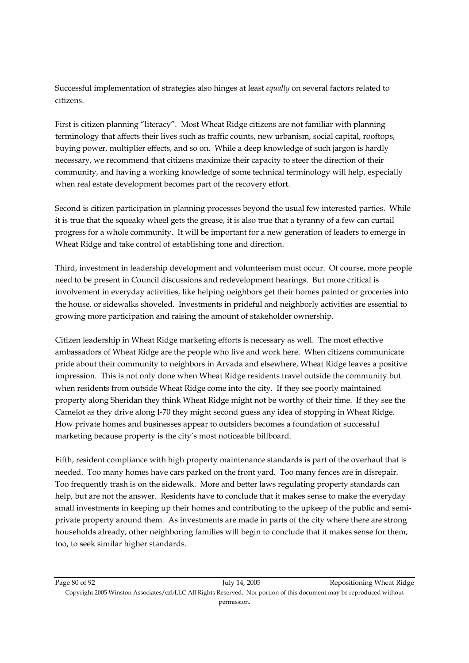Successful implementation of strategies also hinges at least *equally* on several factors related to citizens.

First is citizen planning "literacy". Most Wheat Ridge citizens are not familiar with planning terminology that affects their lives such as traffic counts, new urbanism, social capital, rooftops, buying power, multiplier effects, and so on. While a deep knowledge of such jargon is hardly necessary, we recommend that citizens maximize their capacity to steer the direction of their community, and having a working knowledge of some technical terminology will help, especially when real estate development becomes part of the recovery effort.

Second is citizen participation in planning processes beyond the usual few interested parties. While it is true that the squeaky wheel gets the grease, it is also true that a tyranny of a few can curtail progress for a whole community. It will be important for a new generation of leaders to emerge in Wheat Ridge and take control of establishing tone and direction.

Third, investment in leadership development and volunteerism must occur. Of course, more people need to be present in Council discussions and redevelopment hearings. But more critical is involvement in everyday activities, like helping neighbors get their homes painted or groceries into the house, or sidewalks shoveled. Investments in prideful and neighborly activities are essential to growing more participation and raising the amount of stakeholder ownership.

Citizen leadership in Wheat Ridge marketing efforts is necessary as well. The most effective ambassadors of Wheat Ridge are the people who live and work here. When citizens communicate pride about their community to neighbors in Arvada and elsewhere, Wheat Ridge leaves a positive impression. This is not only done when Wheat Ridge residents travel outside the community but when residents from outside Wheat Ridge come into the city. If they see poorly maintained property along Sheridan they think Wheat Ridge might not be worthy of their time. If they see the Camelot as they drive along I-70 they might second guess any idea of stopping in Wheat Ridge. How private homes and businesses appear to outsiders becomes a foundation of successful marketing because property is the city's most noticeable billboard.

Fifth, resident compliance with high property maintenance standards is part of the overhaul that is needed. Too many homes have cars parked on the front yard. Too many fences are in disrepair. Too frequently trash is on the sidewalk. More and better laws regulating property standards can help, but are not the answer. Residents have to conclude that it makes sense to make the everyday small investments in keeping up their homes and contributing to the upkeep of the public and semiprivate property around them. As investments are made in parts of the city where there are strong households already, other neighboring families will begin to conclude that it makes sense for them, too, to seek similar higher standards.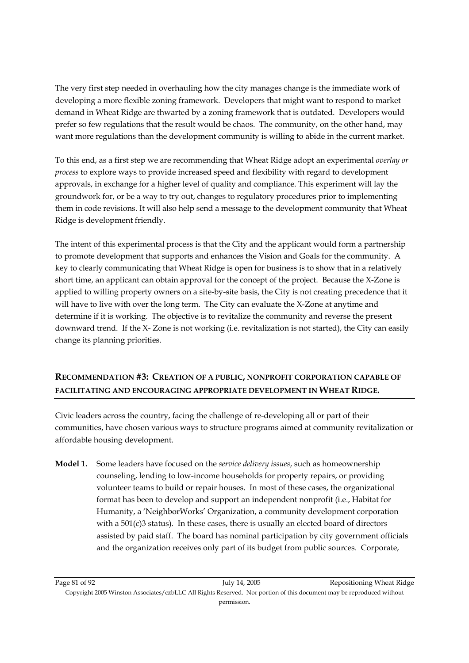The very first step needed in overhauling how the city manages change is the immediate work of developing a more flexible zoning framework. Developers that might want to respond to market demand in Wheat Ridge are thwarted by a zoning framework that is outdated. Developers would prefer so few regulations that the result would be chaos. The community, on the other hand, may want more regulations than the development community is willing to abide in the current market.

To this end, as a first step we are recommending that Wheat Ridge adopt an experimental *overlay or process* to explore ways to provide increased speed and flexibility with regard to development approvals, in exchange for a higher level of quality and compliance. This experiment will lay the groundwork for, or be a way to try out, changes to regulatory procedures prior to implementing them in code revisions. It will also help send a message to the development community that Wheat Ridge is development friendly.

The intent of this experimental process is that the City and the applicant would form a partnership to promote development that supports and enhances the Vision and Goals for the community. A key to clearly communicating that Wheat Ridge is open for business is to show that in a relatively short time, an applicant can obtain approval for the concept of the project. Because the X-Zone is applied to willing property owners on a site-by-site basis, the City is not creating precedence that it will have to live with over the long term. The City can evaluate the X-Zone at anytime and determine if it is working. The objective is to revitalize the community and reverse the present downward trend. If the X- Zone is not working (i.e. revitalization is not started), the City can easily change its planning priorities.

## **RECOMMENDATION #3: CREATION OF A PUBLIC, NONPROFIT CORPORATION CAPABLE OF FACILITATING AND ENCOURAGING APPROPRIATE DEVELOPMENT IN WHEAT RIDGE.**

Civic leaders across the country, facing the challenge of re-developing all or part of their communities, have chosen various ways to structure programs aimed at community revitalization or affordable housing development.

**Model 1.** Some leaders have focused on the *service delivery issues*, such as homeownership counseling, lending to low-income households for property repairs, or providing volunteer teams to build or repair houses. In most of these cases, the organizational format has been to develop and support an independent nonprofit (i.e., Habitat for Humanity, a 'NeighborWorks' Organization, a community development corporation with a  $501(c)3$  status). In these cases, there is usually an elected board of directors assisted by paid staff. The board has nominal participation by city government officials and the organization receives only part of its budget from public sources. Corporate,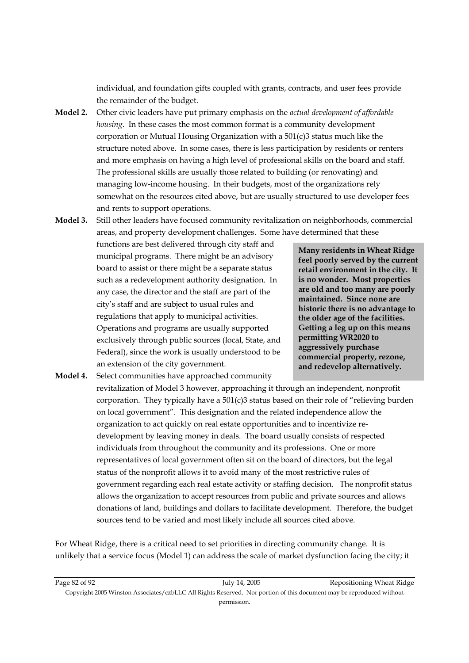individual, and foundation gifts coupled with grants, contracts, and user fees provide the remainder of the budget.

- **Model 2.** Other civic leaders have put primary emphasis on the *actual development of affordable housing*. In these cases the most common format is a community development corporation or Mutual Housing Organization with a 501(c)3 status much like the structure noted above. In some cases, there is less participation by residents or renters and more emphasis on having a high level of professional skills on the board and staff. The professional skills are usually those related to building (or renovating) and managing low-income housing. In their budgets, most of the organizations rely somewhat on the resources cited above, but are usually structured to use developer fees and rents to support operations.
- **Model 3.** Still other leaders have focused community revitalization on neighborhoods, commercial areas, and property development challenges. Some have determined that these

functions are best delivered through city staff and municipal programs. There might be an advisory board to assist or there might be a separate status such as a redevelopment authority designation. In any case, the director and the staff are part of the city's staff and are subject to usual rules and regulations that apply to municipal activities. Operations and programs are usually supported exclusively through public sources (local, State, and Federal), since the work is usually understood to be an extension of the city government.

**Many residents in Wheat Ridge feel poorly served by the current retail environment in the city. It is no wonder. Most properties are old and too many are poorly maintained. Since none are historic there is no advantage to the older age of the facilities. Getting a leg up on this means permitting WR2020 to aggressively purchase commercial property, rezone, and redevelop alternatively.** 

**Model 4.** Select communities have approached community revitalization of Model 3 however, approaching it through an independent, nonprofit corporation. They typically have a 501(c)3 status based on their role of "relieving burden on local government". This designation and the related independence allow the organization to act quickly on real estate opportunities and to incentivize redevelopment by leaving money in deals. The board usually consists of respected individuals from throughout the community and its professions. One or more representatives of local government often sit on the board of directors, but the legal status of the nonprofit allows it to avoid many of the most restrictive rules of government regarding each real estate activity or staffing decision. The nonprofit status allows the organization to accept resources from public and private sources and allows donations of land, buildings and dollars to facilitate development. Therefore, the budget sources tend to be varied and most likely include all sources cited above.

For Wheat Ridge, there is a critical need to set priorities in directing community change. It is unlikely that a service focus (Model 1) can address the scale of market dysfunction facing the city; it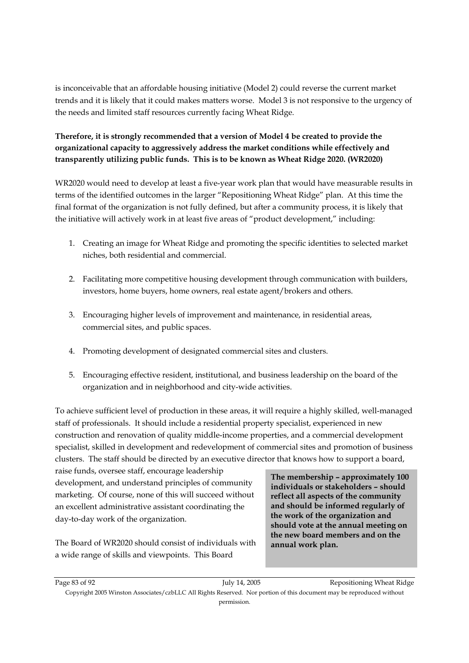is inconceivable that an affordable housing initiative (Model 2) could reverse the current market trends and it is likely that it could makes matters worse. Model 3 is not responsive to the urgency of the needs and limited staff resources currently facing Wheat Ridge.

### **Therefore, it is strongly recommended that a version of Model 4 be created to provide the organizational capacity to aggressively address the market conditions while effectively and transparently utilizing public funds. This is to be known as Wheat Ridge 2020. (WR2020)**

WR2020 would need to develop at least a five-year work plan that would have measurable results in terms of the identified outcomes in the larger "Repositioning Wheat Ridge" plan. At this time the final format of the organization is not fully defined, but after a community process, it is likely that the initiative will actively work in at least five areas of "product development," including:

- 1. Creating an image for Wheat Ridge and promoting the specific identities to selected market niches, both residential and commercial.
- 2. Facilitating more competitive housing development through communication with builders, investors, home buyers, home owners, real estate agent/brokers and others.
- 3. Encouraging higher levels of improvement and maintenance, in residential areas, commercial sites, and public spaces.
- 4. Promoting development of designated commercial sites and clusters.
- 5. Encouraging effective resident, institutional, and business leadership on the board of the organization and in neighborhood and city-wide activities.

To achieve sufficient level of production in these areas, it will require a highly skilled, well-managed staff of professionals. It should include a residential property specialist, experienced in new construction and renovation of quality middle-income properties, and a commercial development specialist, skilled in development and redevelopment of commercial sites and promotion of business clusters. The staff should be directed by an executive director that knows how to support a board,

raise funds, oversee staff, encourage leadership development, and understand principles of community marketing. Of course, none of this will succeed without an excellent administrative assistant coordinating the day-to-day work of the organization.

The Board of WR2020 should consist of individuals with a wide range of skills and viewpoints. This Board

**The membership – approximately 100 individuals or stakeholders – should reflect all aspects of the community and should be informed regularly of the work of the organization and should vote at the annual meeting on the new board members and on the annual work plan.**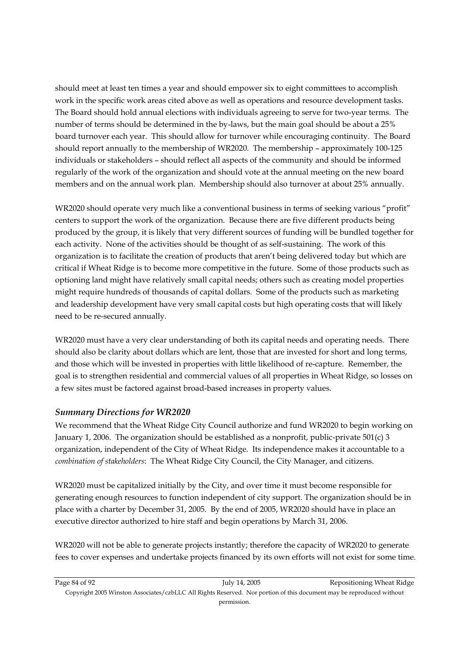should meet at least ten times a year and should empower six to eight committees to accomplish work in the specific work areas cited above as well as operations and resource development tasks. The Board should hold annual elections with individuals agreeing to serve for two-year terms. The number of terms should be determined in the by-laws, but the main goal should be about a 25% board turnover each year. This should allow for turnover while encouraging continuity. The Board should report annually to the membership of WR2020. The membership – approximately 100-125 individuals or stakeholders – should reflect all aspects of the community and should be informed regularly of the work of the organization and should vote at the annual meeting on the new board members and on the annual work plan. Membership should also turnover at about 25% annually.

WR2020 should operate very much like a conventional business in terms of seeking various "profit" centers to support the work of the organization. Because there are five different products being produced by the group, it is likely that very different sources of funding will be bundled together for each activity. None of the activities should be thought of as self-sustaining. The work of this organization is to facilitate the creation of products that aren't being delivered today but which are critical if Wheat Ridge is to become more competitive in the future. Some of those products such as optioning land might have relatively small capital needs; others such as creating model properties might require hundreds of thousands of capital dollars. Some of the products such as marketing and leadership development have very small capital costs but high operating costs that will likely need to be re-secured annually.

WR2020 must have a very clear understanding of both its capital needs and operating needs. There should also be clarity about dollars which are lent, those that are invested for short and long terms, and those which will be invested in properties with little likelihood of re-capture. Remember, the goal is to strengthen residential and commercial values of all properties in Wheat Ridge, so losses on a few sites must be factored against broad-based increases in property values.

#### *Summary Directions for WR2020*

We recommend that the Wheat Ridge City Council authorize and fund WR2020 to begin working on January 1, 2006. The organization should be established as a nonprofit, public-private 501(c) 3 organization, independent of the City of Wheat Ridge. Its independence makes it accountable to a *combination of stakeholders*: The Wheat Ridge City Council, the City Manager, and citizens.

WR2020 must be capitalized initially by the City, and over time it must become responsible for generating enough resources to function independent of city support. The organization should be in place with a charter by December 31, 2005. By the end of 2005, WR2020 should have in place an executive director authorized to hire staff and begin operations by March 31, 2006.

WR2020 will not be able to generate projects instantly; therefore the capacity of WR2020 to generate fees to cover expenses and undertake projects financed by its own efforts will not exist for some time.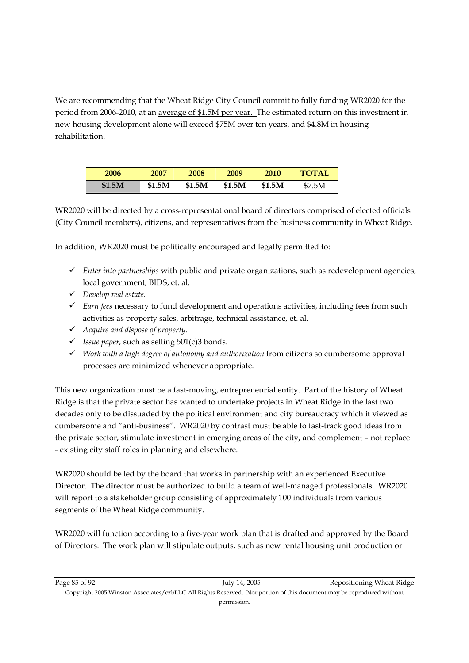We are recommending that the Wheat Ridge City Council commit to fully funding WR2020 for the period from 2006-2010, at an average of \$1.5M per year. The estimated return on this investment in new housing development alone will exceed \$75M over ten years, and \$4.8M in housing rehabilitation.

| 2006   | 2007   | 2008   | 2009   | 2010          | <b>TOTAL</b> |
|--------|--------|--------|--------|---------------|--------------|
| \$1.5M | \$1.5M | \$1.5M | \$1.5M | <b>\$1.5M</b> | \$7.5M       |

WR2020 will be directed by a cross-representational board of directors comprised of elected officials (City Council members), citizens, and representatives from the business community in Wheat Ridge.

In addition, WR2020 must be politically encouraged and legally permitted to:

- 9 *Enter into partnerships* with public and private organizations, such as redevelopment agencies, local government, BIDS, et. al.
- 9 *Develop real estate.*
- 9 *Earn fees* necessary to fund development and operations activities, including fees from such activities as property sales, arbitrage, technical assistance, et. al.
- 9 *Acquire and dispose of property.*
- $\checkmark$  *Issue paper,* such as selling 501(c)3 bonds.
- 9 *Work with a high degree of autonomy and authorization* from citizens so cumbersome approval processes are minimized whenever appropriate.

This new organization must be a fast-moving, entrepreneurial entity. Part of the history of Wheat Ridge is that the private sector has wanted to undertake projects in Wheat Ridge in the last two decades only to be dissuaded by the political environment and city bureaucracy which it viewed as cumbersome and "anti-business". WR2020 by contrast must be able to fast-track good ideas from the private sector, stimulate investment in emerging areas of the city, and complement – not replace - existing city staff roles in planning and elsewhere.

WR2020 should be led by the board that works in partnership with an experienced Executive Director. The director must be authorized to build a team of well-managed professionals. WR2020 will report to a stakeholder group consisting of approximately 100 individuals from various segments of the Wheat Ridge community.

WR2020 will function according to a five-year work plan that is drafted and approved by the Board of Directors. The work plan will stipulate outputs, such as new rental housing unit production or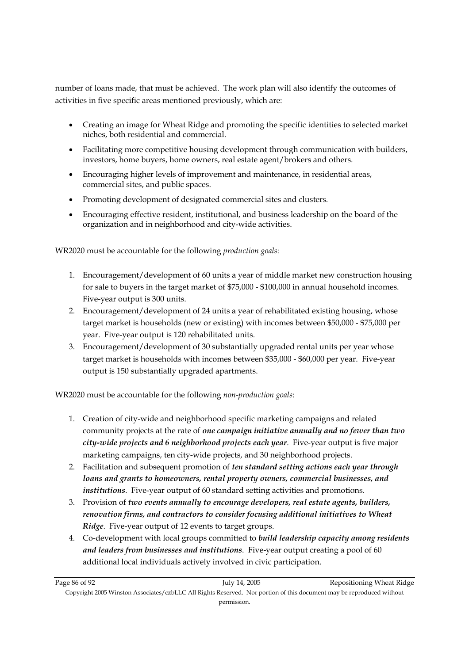number of loans made, that must be achieved. The work plan will also identify the outcomes of activities in five specific areas mentioned previously, which are:

- Creating an image for Wheat Ridge and promoting the specific identities to selected market niches, both residential and commercial.
- Facilitating more competitive housing development through communication with builders, investors, home buyers, home owners, real estate agent/brokers and others.
- Encouraging higher levels of improvement and maintenance, in residential areas, commercial sites, and public spaces.
- Promoting development of designated commercial sites and clusters.
- Encouraging effective resident, institutional, and business leadership on the board of the organization and in neighborhood and city-wide activities.

WR2020 must be accountable for the following *production goals*:

- 1. Encouragement/development of 60 units a year of middle market new construction housing for sale to buyers in the target market of \$75,000 - \$100,000 in annual household incomes. Five-year output is 300 units.
- 2. Encouragement/development of 24 units a year of rehabilitated existing housing, whose target market is households (new or existing) with incomes between \$50,000 - \$75,000 per year. Five-year output is 120 rehabilitated units.
- 3. Encouragement/development of 30 substantially upgraded rental units per year whose target market is households with incomes between \$35,000 - \$60,000 per year. Five-year output is 150 substantially upgraded apartments.

WR2020 must be accountable for the following *non-production goals*:

- 1. Creation of city-wide and neighborhood specific marketing campaigns and related community projects at the rate of *one campaign initiative annually and no fewer than two city-wide projects and 6 neighborhood projects each year*. Five-year output is five major marketing campaigns, ten city-wide projects, and 30 neighborhood projects.
- 2. Facilitation and subsequent promotion of *ten standard setting actions each year through loans and grants to homeowners, rental property owners, commercial businesses, and institutions*. Five-year output of 60 standard setting activities and promotions.
- 3. Provision of *two events annually to encourage developers, real estate agents, builders, renovation firms, and contractors to consider focusing additional initiatives to Wheat Ridge*. Five-year output of 12 events to target groups.
- 4. Co-development with local groups committed to *build leadership capacity among residents and leaders from businesses and institutions*. Five-year output creating a pool of 60 additional local individuals actively involved in civic participation.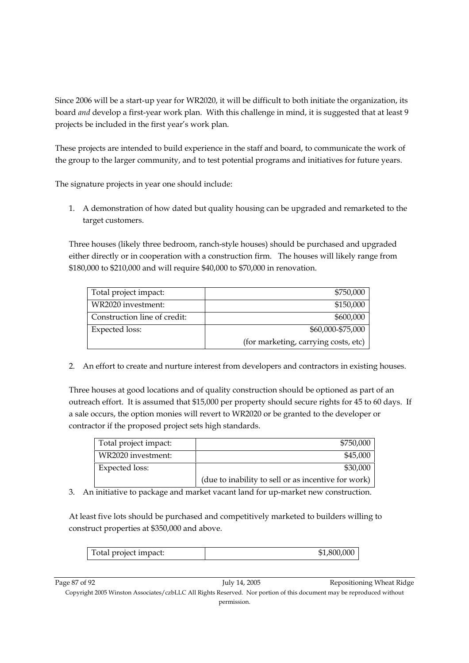Since 2006 will be a start-up year for WR2020, it will be difficult to both initiate the organization, its board *and* develop a first-year work plan. With this challenge in mind, it is suggested that at least 9 projects be included in the first year's work plan.

These projects are intended to build experience in the staff and board, to communicate the work of the group to the larger community, and to test potential programs and initiatives for future years.

The signature projects in year one should include:

1. A demonstration of how dated but quality housing can be upgraded and remarketed to the target customers.

Three houses (likely three bedroom, ranch-style houses) should be purchased and upgraded either directly or in cooperation with a construction firm. The houses will likely range from \$180,000 to \$210,000 and will require \$40,000 to \$70,000 in renovation.

| Total project impact:        | \$750,000                            |
|------------------------------|--------------------------------------|
| WR2020 investment:           | \$150,000                            |
| Construction line of credit: | \$600,000                            |
| Expected loss:               | \$60,000-\$75,000                    |
|                              | (for marketing, carrying costs, etc) |

2. An effort to create and nurture interest from developers and contractors in existing houses.

Three houses at good locations and of quality construction should be optioned as part of an outreach effort. It is assumed that \$15,000 per property should secure rights for 45 to 60 days. If a sale occurs, the option monies will revert to WR2020 or be granted to the developer or contractor if the proposed project sets high standards.

| Total project impact: | \$750,000                                           |
|-----------------------|-----------------------------------------------------|
| WR2020 investment:    | \$45,000                                            |
| Expected loss:        | \$30,000                                            |
|                       | (due to inability to sell or as incentive for work) |

3. An initiative to package and market vacant land for up-market new construction.

At least five lots should be purchased and competitively marketed to builders willing to construct properties at \$350,000 and above.

| Total project impact: | 10.00C<br>\$1<br>$1.800^{\circ}$ |
|-----------------------|----------------------------------|
|-----------------------|----------------------------------|

Page 87 of 92 July 14, 2005 Repositioning Wheat Ridge

Copyright 2005 Winston Associates/czbLLC All Rights Reserved. Nor portion of this document may be reproduced without permission.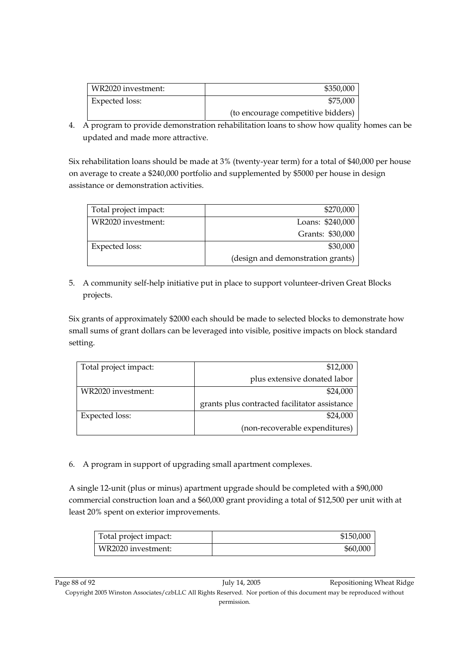| WR2020 investment: | \$350,000                          |
|--------------------|------------------------------------|
| Expected loss:     | \$75,000                           |
|                    | (to encourage competitive bidders) |

4. A program to provide demonstration rehabilitation loans to show how quality homes can be updated and made more attractive.

Six rehabilitation loans should be made at 3% (twenty-year term) for a total of \$40,000 per house on average to create a \$240,000 portfolio and supplemented by \$5000 per house in design assistance or demonstration activities.

| Total project impact: | \$270,000                         |
|-----------------------|-----------------------------------|
| WR2020 investment:    | Loans: \$240,000                  |
|                       | Grants: \$30,000                  |
| Expected loss:        | \$30,000                          |
|                       | (design and demonstration grants) |

5. A community self-help initiative put in place to support volunteer-driven Great Blocks projects.

Six grants of approximately \$2000 each should be made to selected blocks to demonstrate how small sums of grant dollars can be leveraged into visible, positive impacts on block standard setting.

| Total project impact: | \$12,000                                      |
|-----------------------|-----------------------------------------------|
|                       | plus extensive donated labor                  |
| WR2020 investment:    | \$24,000                                      |
|                       | grants plus contracted facilitator assistance |
| <b>Expected loss:</b> | \$24,000                                      |
|                       | (non-recoverable expenditures)                |

6. A program in support of upgrading small apartment complexes.

A single 12-unit (plus or minus) apartment upgrade should be completed with a \$90,000 commercial construction loan and a \$60,000 grant providing a total of \$12,500 per unit with at least 20% spent on exterior improvements.

| Total project impact: | \$150,000 |
|-----------------------|-----------|
| WR2020 investment:    | \$60,000  |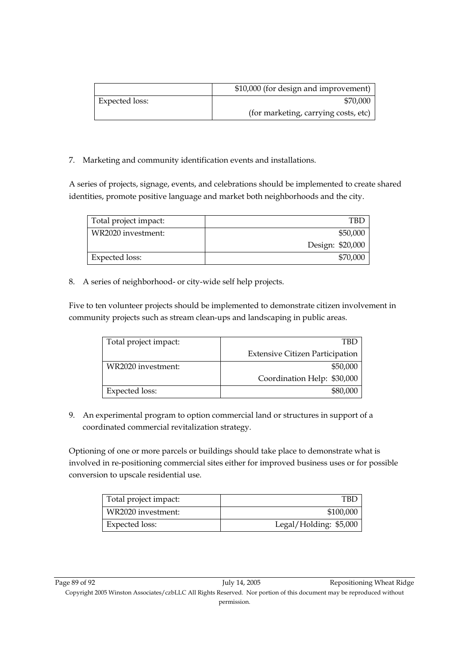|                | \$10,000 (for design and improvement) |
|----------------|---------------------------------------|
| Expected loss: | \$70,000                              |
|                | (for marketing, carrying costs, etc)  |

7. Marketing and community identification events and installations.

A series of projects, signage, events, and celebrations should be implemented to create shared identities, promote positive language and market both neighborhoods and the city.

| Total project impact: | TBI              |
|-----------------------|------------------|
| WR2020 investment:    | \$50,000         |
|                       | Design: \$20,000 |
| Expected loss:        | \$70,000         |

8. A series of neighborhood- or city-wide self help projects.

Five to ten volunteer projects should be implemented to demonstrate citizen involvement in community projects such as stream clean-ups and landscaping in public areas.

| Total project impact: | TBL                                    |
|-----------------------|----------------------------------------|
|                       | <b>Extensive Citizen Participation</b> |
| WR2020 investment:    | \$50,000                               |
|                       | Coordination Help: \$30,000            |
| Expected loss:        | \$80,000                               |

9. An experimental program to option commercial land or structures in support of a coordinated commercial revitalization strategy.

Optioning of one or more parcels or buildings should take place to demonstrate what is involved in re-positioning commercial sites either for improved business uses or for possible conversion to upscale residential use.

| Total project impact: | TBD                    |
|-----------------------|------------------------|
| WR2020 investment:    | \$100,000              |
| Expected loss:        | Legal/Holding: \$5,000 |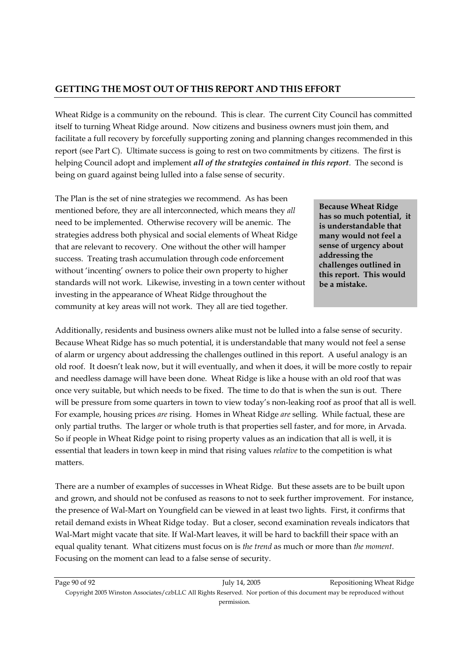## **GETTING THE MOST OUT OF THIS REPORT AND THIS EFFORT**

Wheat Ridge is a community on the rebound. This is clear. The current City Council has committed itself to turning Wheat Ridge around. Now citizens and business owners must join them, and facilitate a full recovery by forcefully supporting zoning and planning changes recommended in this report (see Part C). Ultimate success is going to rest on two commitments by citizens. The first is helping Council adopt and implement *all of the strategies contained in this report*. The second is being on guard against being lulled into a false sense of security.

The Plan is the set of nine strategies we recommend. As has been mentioned before, they are all interconnected, which means they *all* need to be implemented. Otherwise recovery will be anemic. The strategies address both physical and social elements of Wheat Ridge that are relevant to recovery. One without the other will hamper success. Treating trash accumulation through code enforcement without 'incenting' owners to police their own property to higher standards will not work. Likewise, investing in a town center without investing in the appearance of Wheat Ridge throughout the community at key areas will not work. They all are tied together.

**Because Wheat Ridge has so much potential, it is understandable that many would not feel a sense of urgency about addressing the challenges outlined in this report. This would be a mistake.** 

Additionally, residents and business owners alike must not be lulled into a false sense of security. Because Wheat Ridge has so much potential, it is understandable that many would not feel a sense of alarm or urgency about addressing the challenges outlined in this report. A useful analogy is an old roof. It doesn't leak now, but it will eventually, and when it does, it will be more costly to repair and needless damage will have been done. Wheat Ridge is like a house with an old roof that was once very suitable, but which needs to be fixed. The time to do that is when the sun is out. There will be pressure from some quarters in town to view today's non-leaking roof as proof that all is well. For example, housing prices *are* rising. Homes in Wheat Ridge *are* selling. While factual, these are only partial truths. The larger or whole truth is that properties sell faster, and for more, in Arvada. So if people in Wheat Ridge point to rising property values as an indication that all is well, it is essential that leaders in town keep in mind that rising values *relative* to the competition is what matters.

There are a number of examples of successes in Wheat Ridge. But these assets are to be built upon and grown, and should not be confused as reasons to not to seek further improvement. For instance, the presence of Wal-Mart on Youngfield can be viewed in at least two lights. First, it confirms that retail demand exists in Wheat Ridge today. But a closer, second examination reveals indicators that Wal-Mart might vacate that site. If Wal-Mart leaves, it will be hard to backfill their space with an equal quality tenant. What citizens must focus on is *the trend* as much or more than *the moment*. Focusing on the moment can lead to a false sense of security.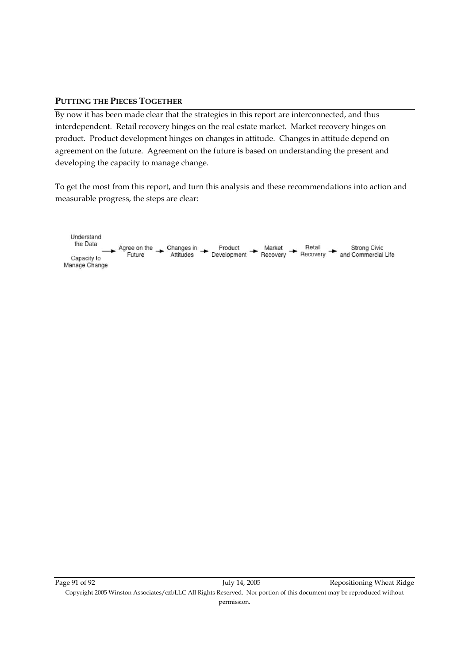#### **PUTTING THE PIECES TOGETHER**

By now it has been made clear that the strategies in this report are interconnected, and thus interdependent. Retail recovery hinges on the real estate market. Market recovery hinges on product. Product development hinges on changes in attitude. Changes in attitude depend on agreement on the future. Agreement on the future is based on understanding the present and developing the capacity to manage change.

To get the most from this report, and turn this analysis and these recommendations into action and measurable progress, the steps are clear: